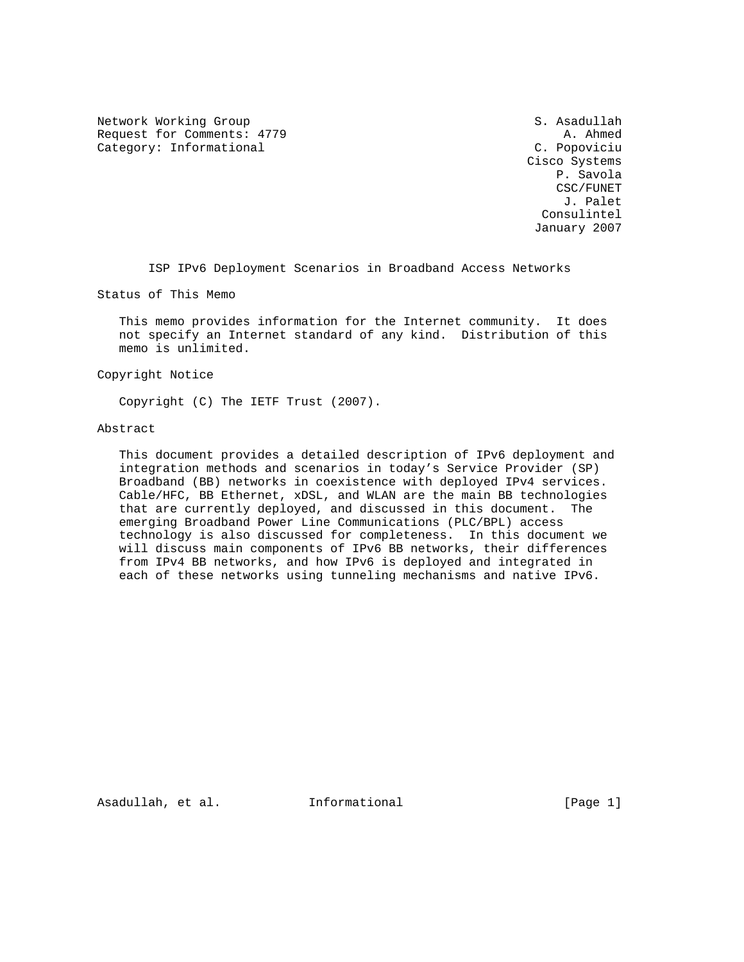Network Working Group S. Asadullah Request for Comments: 4779 A. Ahmed Category: Informational C. Popoviciu

 Cisco Systems P. Savola CSC/FUNET J. Palet Consulintel January 2007

ISP IPv6 Deployment Scenarios in Broadband Access Networks

Status of This Memo

 This memo provides information for the Internet community. It does not specify an Internet standard of any kind. Distribution of this memo is unlimited.

Copyright Notice

Copyright (C) The IETF Trust (2007).

#### Abstract

 This document provides a detailed description of IPv6 deployment and integration methods and scenarios in today's Service Provider (SP) Broadband (BB) networks in coexistence with deployed IPv4 services. Cable/HFC, BB Ethernet, xDSL, and WLAN are the main BB technologies that are currently deployed, and discussed in this document. The emerging Broadband Power Line Communications (PLC/BPL) access technology is also discussed for completeness. In this document we will discuss main components of IPv6 BB networks, their differences from IPv4 BB networks, and how IPv6 is deployed and integrated in each of these networks using tunneling mechanisms and native IPv6.

Asadullah, et al. Informational [Page 1]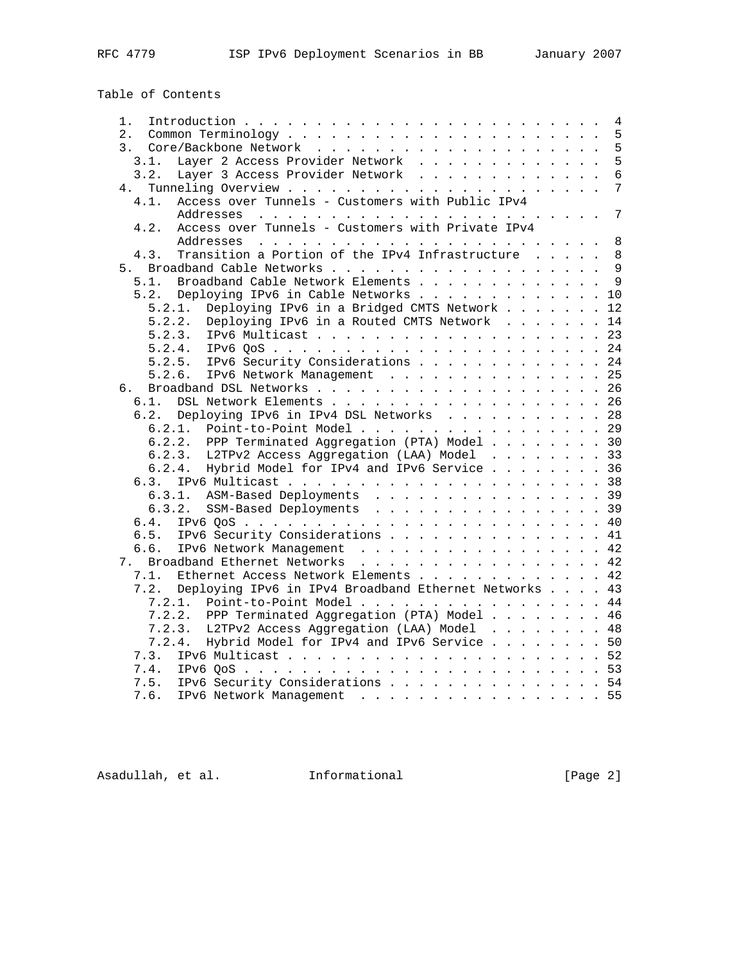# Table of Contents

| 1.                                                            |  |  | 4               |
|---------------------------------------------------------------|--|--|-----------------|
| 2.                                                            |  |  | 5               |
| 3.                                                            |  |  | 5               |
| Layer 2 Access Provider Network<br>3.1.                       |  |  | 5               |
| 3.2.<br>Layer 3 Access Provider Network                       |  |  | $\overline{6}$  |
| 4.                                                            |  |  | 7               |
| Access over Tunnels - Customers with Public IPv4<br>4.1.      |  |  |                 |
|                                                               |  |  | $7\phantom{.0}$ |
| Access over Tunnels - Customers with Private IPv4<br>4.2.     |  |  |                 |
|                                                               |  |  | $\,8\,$         |
| Transition a Portion of the IPv4 Infrastructure<br>4.3.       |  |  | 8               |
| 5.                                                            |  |  |                 |
| Broadband Cable Network Elements 9<br>5.1.                    |  |  |                 |
| Deploying IPv6 in Cable Networks 10<br>5.2.                   |  |  |                 |
| Deploying IPv6 in a Bridged CMTS Network 12<br>5.2.1.         |  |  |                 |
| Deploying IPv6 in a Routed CMTS Network 14<br>5.2.2.          |  |  |                 |
|                                                               |  |  | 23              |
|                                                               |  |  |                 |
| 5.2.4.                                                        |  |  |                 |
| 5.2.5.<br>IPv6 Security Considerations 24                     |  |  |                 |
| 5.2.6.<br>IPv6 Network Management 25                          |  |  |                 |
| б.                                                            |  |  |                 |
| DSL Network Elements 26<br>6.1.                               |  |  |                 |
| Deploying IPv6 in IPv4 DSL Networks 28<br>6.2.                |  |  |                 |
| 6.2.1. Point-to-Point Model 29                                |  |  |                 |
| 6.2.2. PPP Terminated Aggregation (PTA) Model 30              |  |  |                 |
| 6.2.3. L2TPv2 Access Aggregation (LAA) Model 33               |  |  |                 |
| Hybrid Model for IPv4 and IPv6 Service 36<br>6.2.4.           |  |  |                 |
| 6.3.                                                          |  |  |                 |
| 6.3.1. ASM-Based Deployments 39                               |  |  |                 |
| 6.3.2. SSM-Based Deployments 39                               |  |  |                 |
| 6.4.                                                          |  |  |                 |
| IPv6 Security Considerations 41<br>6.5.                       |  |  |                 |
| 6.6.<br>IPv6 Network Management 42                            |  |  |                 |
| 7. Broadband Ethernet Networks 42                             |  |  |                 |
| Ethernet Access Network Elements<br>7.1.                      |  |  | 42              |
| Deploying IPv6 in IPv4 Broadband Ethernet Networks 43<br>7.2. |  |  |                 |
| 7.2.1. Point-to-Point Model 44                                |  |  |                 |
| 7.2.2. PPP Terminated Aggregation (PTA) Model 46              |  |  |                 |
| L2TPv2 Access Aggregation (LAA) Model 48<br>7.2.3.            |  |  |                 |
| 7.2.4. Hybrid Model for IPv4 and IPv6 Service  50             |  |  |                 |
| 7.3.                                                          |  |  |                 |
| 7.4.                                                          |  |  |                 |
|                                                               |  |  |                 |
| 7.5. IPv6 Security Considerations 54                          |  |  |                 |
| 7.6. IPv6 Network Management 55                               |  |  |                 |

Asadullah, et al. 1nformational 1999 [Page 2]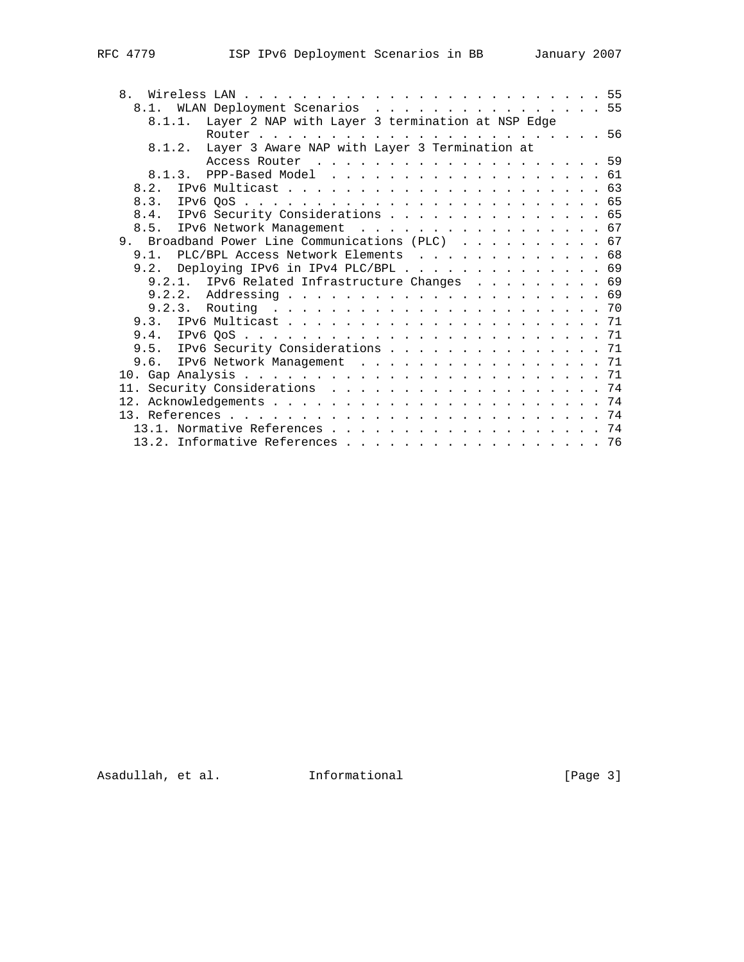| 8.                                                      |  |
|---------------------------------------------------------|--|
| 8.1. WLAN Deployment Scenarios 55                       |  |
| 8.1.1. Layer 2 NAP with Layer 3 termination at NSP Edge |  |
|                                                         |  |
| 8.1.2. Layer 3 Aware NAP with Layer 3 Termination at    |  |
|                                                         |  |
| 8.1.3. PPP-Based Model 61                               |  |
|                                                         |  |
|                                                         |  |
| 8.4. IPv6 Security Considerations 65                    |  |
| 8.5. IPv6 Network Management 67                         |  |
| 9. Broadband Power Line Communications (PLC) 67         |  |
| 9.1. PLC/BPL Access Network Elements 68                 |  |
| 9.2. Deploying IPv6 in IPv4 PLC/BPL 69                  |  |
| 9.2.1. IPv6 Related Infrastructure Changes 69           |  |
|                                                         |  |
|                                                         |  |
|                                                         |  |
|                                                         |  |
|                                                         |  |
| 9.5. IPv6 Security Considerations 71                    |  |
| 9.6. IPv6 Network Management 71                         |  |
|                                                         |  |
|                                                         |  |
|                                                         |  |
|                                                         |  |
| 13.1. Normative References 74                           |  |
| 13.2. Informative References 76                         |  |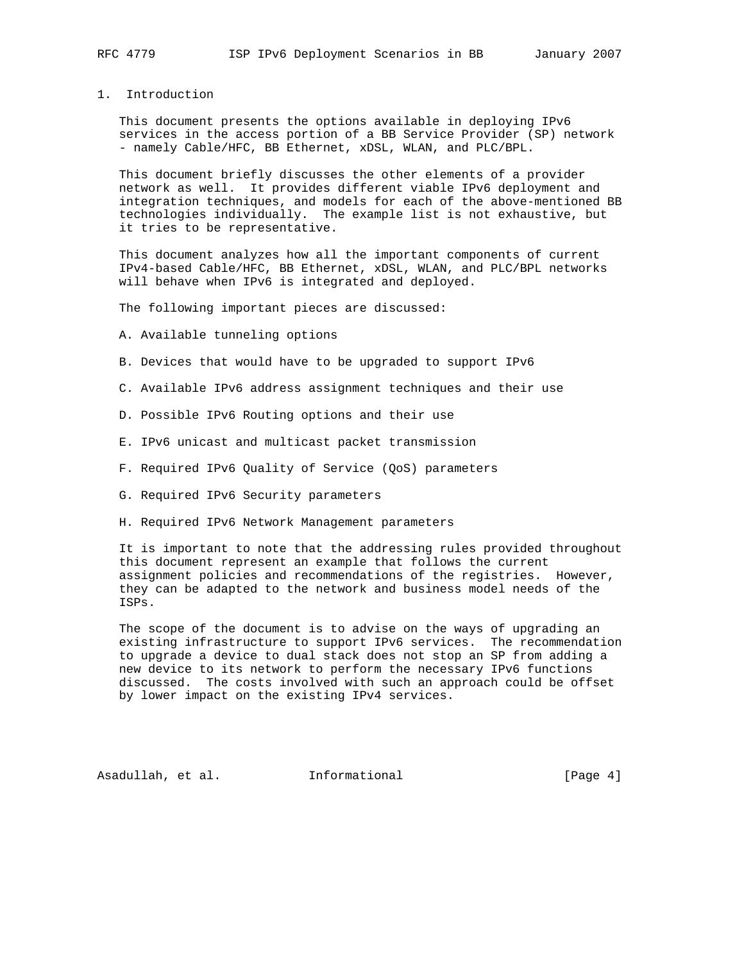## 1. Introduction

 This document presents the options available in deploying IPv6 services in the access portion of a BB Service Provider (SP) network - namely Cable/HFC, BB Ethernet, xDSL, WLAN, and PLC/BPL.

 This document briefly discusses the other elements of a provider network as well. It provides different viable IPv6 deployment and integration techniques, and models for each of the above-mentioned BB technologies individually. The example list is not exhaustive, but it tries to be representative.

 This document analyzes how all the important components of current IPv4-based Cable/HFC, BB Ethernet, xDSL, WLAN, and PLC/BPL networks will behave when IPv6 is integrated and deployed.

The following important pieces are discussed:

A. Available tunneling options

- B. Devices that would have to be upgraded to support IPv6
- C. Available IPv6 address assignment techniques and their use
- D. Possible IPv6 Routing options and their use
- E. IPv6 unicast and multicast packet transmission
- F. Required IPv6 Quality of Service (QoS) parameters
- G. Required IPv6 Security parameters
- H. Required IPv6 Network Management parameters

 It is important to note that the addressing rules provided throughout this document represent an example that follows the current assignment policies and recommendations of the registries. However, they can be adapted to the network and business model needs of the ISPs.

 The scope of the document is to advise on the ways of upgrading an existing infrastructure to support IPv6 services. The recommendation to upgrade a device to dual stack does not stop an SP from adding a new device to its network to perform the necessary IPv6 functions discussed. The costs involved with such an approach could be offset by lower impact on the existing IPv4 services.

Asadullah, et al. Informational [Page 4]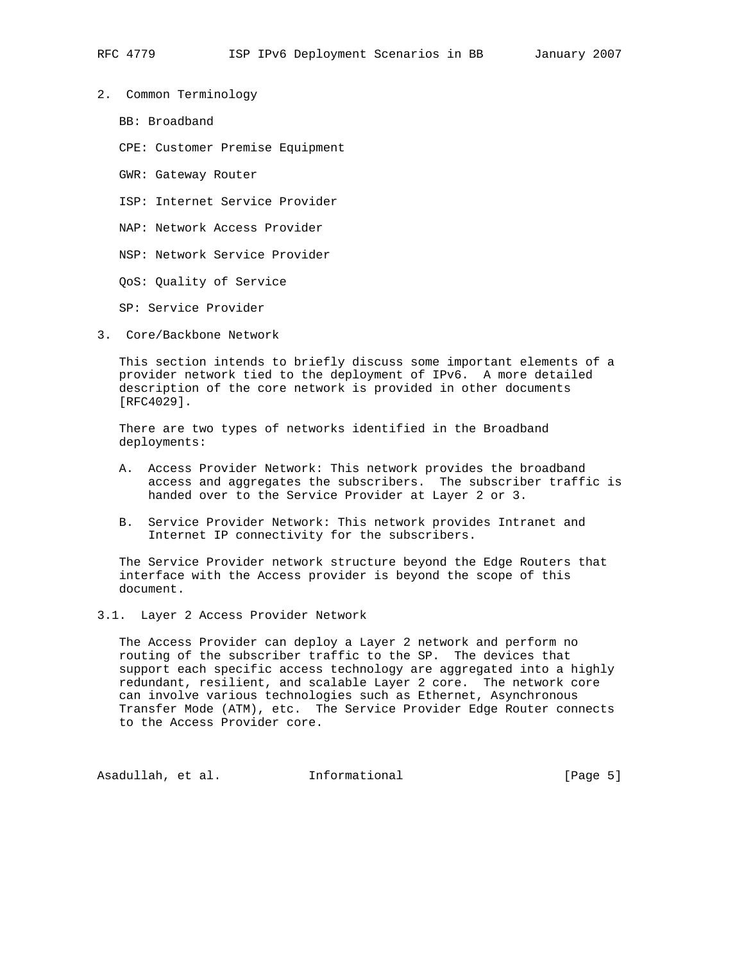- 2. Common Terminology
	- BB: Broadband
	- CPE: Customer Premise Equipment
	- GWR: Gateway Router
	- ISP: Internet Service Provider
	- NAP: Network Access Provider
	- NSP: Network Service Provider
	- QoS: Quality of Service

SP: Service Provider

3. Core/Backbone Network

 This section intends to briefly discuss some important elements of a provider network tied to the deployment of IPv6. A more detailed description of the core network is provided in other documents [RFC4029].

 There are two types of networks identified in the Broadband deployments:

- A. Access Provider Network: This network provides the broadband access and aggregates the subscribers. The subscriber traffic is handed over to the Service Provider at Layer 2 or 3.
- B. Service Provider Network: This network provides Intranet and Internet IP connectivity for the subscribers.

 The Service Provider network structure beyond the Edge Routers that interface with the Access provider is beyond the scope of this document.

### 3.1. Layer 2 Access Provider Network

 The Access Provider can deploy a Layer 2 network and perform no routing of the subscriber traffic to the SP. The devices that support each specific access technology are aggregated into a highly redundant, resilient, and scalable Layer 2 core. The network core can involve various technologies such as Ethernet, Asynchronous Transfer Mode (ATM), etc. The Service Provider Edge Router connects to the Access Provider core.

Asadullah, et al. Informational [Page 5]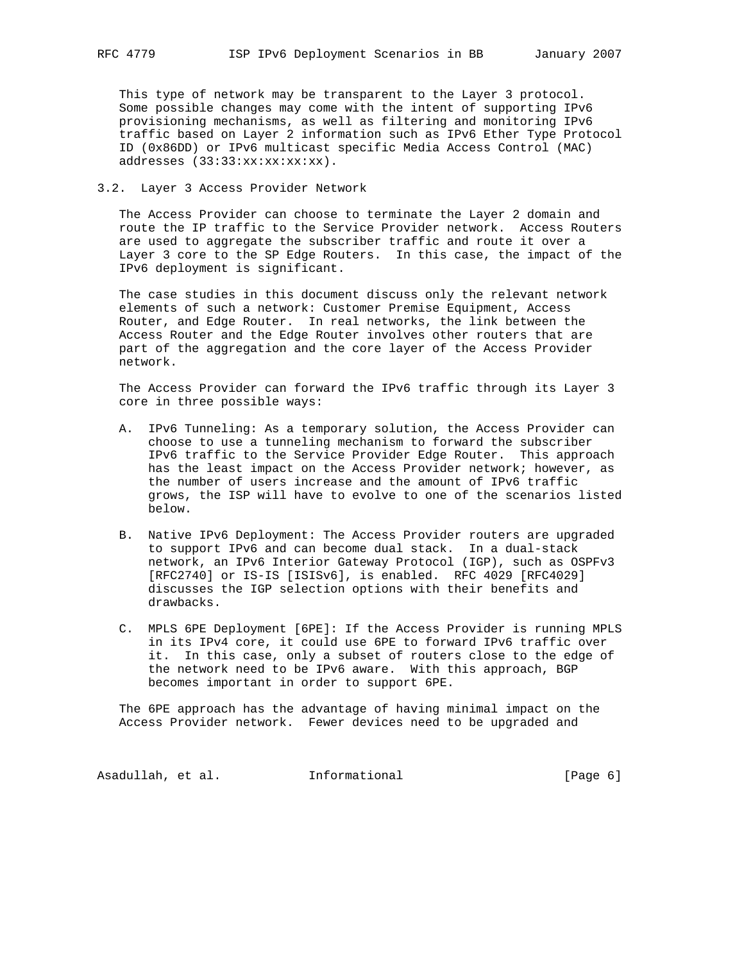This type of network may be transparent to the Layer 3 protocol. Some possible changes may come with the intent of supporting IPv6 provisioning mechanisms, as well as filtering and monitoring IPv6 traffic based on Layer 2 information such as IPv6 Ether Type Protocol ID (0x86DD) or IPv6 multicast specific Media Access Control (MAC) addresses (33:33:xx:xx:xx:xx).

## 3.2. Layer 3 Access Provider Network

 The Access Provider can choose to terminate the Layer 2 domain and route the IP traffic to the Service Provider network. Access Routers are used to aggregate the subscriber traffic and route it over a Layer 3 core to the SP Edge Routers. In this case, the impact of the IPv6 deployment is significant.

 The case studies in this document discuss only the relevant network elements of such a network: Customer Premise Equipment, Access Router, and Edge Router. In real networks, the link between the Access Router and the Edge Router involves other routers that are part of the aggregation and the core layer of the Access Provider network.

 The Access Provider can forward the IPv6 traffic through its Layer 3 core in three possible ways:

- A. IPv6 Tunneling: As a temporary solution, the Access Provider can choose to use a tunneling mechanism to forward the subscriber IPv6 traffic to the Service Provider Edge Router. This approach has the least impact on the Access Provider network; however, as the number of users increase and the amount of IPv6 traffic grows, the ISP will have to evolve to one of the scenarios listed below.
- B. Native IPv6 Deployment: The Access Provider routers are upgraded to support IPv6 and can become dual stack. In a dual-stack network, an IPv6 Interior Gateway Protocol (IGP), such as OSPFv3 [RFC2740] or IS-IS [ISISv6], is enabled. RFC 4029 [RFC4029] discusses the IGP selection options with their benefits and drawbacks.
- C. MPLS 6PE Deployment [6PE]: If the Access Provider is running MPLS in its IPv4 core, it could use 6PE to forward IPv6 traffic over it. In this case, only a subset of routers close to the edge of the network need to be IPv6 aware. With this approach, BGP becomes important in order to support 6PE.

 The 6PE approach has the advantage of having minimal impact on the Access Provider network. Fewer devices need to be upgraded and

Asadullah, et al. 1nformational 1999 [Page 6]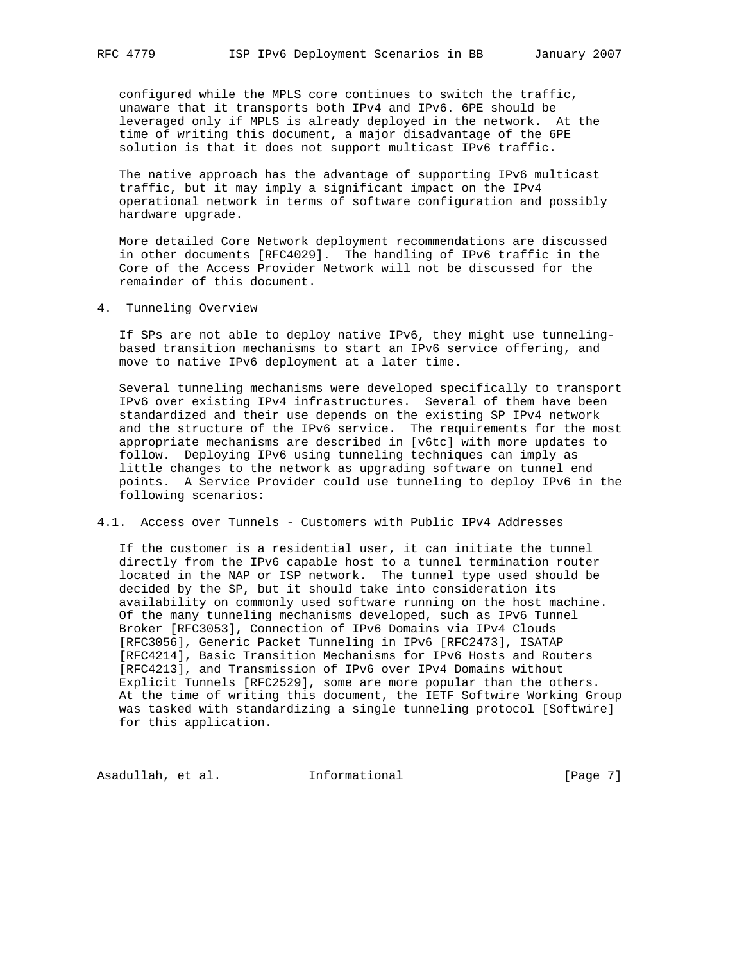configured while the MPLS core continues to switch the traffic, unaware that it transports both IPv4 and IPv6. 6PE should be leveraged only if MPLS is already deployed in the network. At the time of writing this document, a major disadvantage of the 6PE solution is that it does not support multicast IPv6 traffic.

 The native approach has the advantage of supporting IPv6 multicast traffic, but it may imply a significant impact on the IPv4 operational network in terms of software configuration and possibly hardware upgrade.

 More detailed Core Network deployment recommendations are discussed in other documents [RFC4029]. The handling of IPv6 traffic in the Core of the Access Provider Network will not be discussed for the remainder of this document.

4. Tunneling Overview

 If SPs are not able to deploy native IPv6, they might use tunneling based transition mechanisms to start an IPv6 service offering, and move to native IPv6 deployment at a later time.

 Several tunneling mechanisms were developed specifically to transport IPv6 over existing IPv4 infrastructures. Several of them have been standardized and their use depends on the existing SP IPv4 network and the structure of the IPv6 service. The requirements for the most appropriate mechanisms are described in [v6tc] with more updates to follow. Deploying IPv6 using tunneling techniques can imply as little changes to the network as upgrading software on tunnel end points. A Service Provider could use tunneling to deploy IPv6 in the following scenarios:

4.1. Access over Tunnels - Customers with Public IPv4 Addresses

 If the customer is a residential user, it can initiate the tunnel directly from the IPv6 capable host to a tunnel termination router located in the NAP or ISP network. The tunnel type used should be decided by the SP, but it should take into consideration its availability on commonly used software running on the host machine. Of the many tunneling mechanisms developed, such as IPv6 Tunnel Broker [RFC3053], Connection of IPv6 Domains via IPv4 Clouds [RFC3056], Generic Packet Tunneling in IPv6 [RFC2473], ISATAP [RFC4214], Basic Transition Mechanisms for IPv6 Hosts and Routers [RFC4213], and Transmission of IPv6 over IPv4 Domains without Explicit Tunnels [RFC2529], some are more popular than the others. At the time of writing this document, the IETF Softwire Working Group was tasked with standardizing a single tunneling protocol [Softwire] for this application.

Asadullah, et al. 1nformational 1999 [Page 7]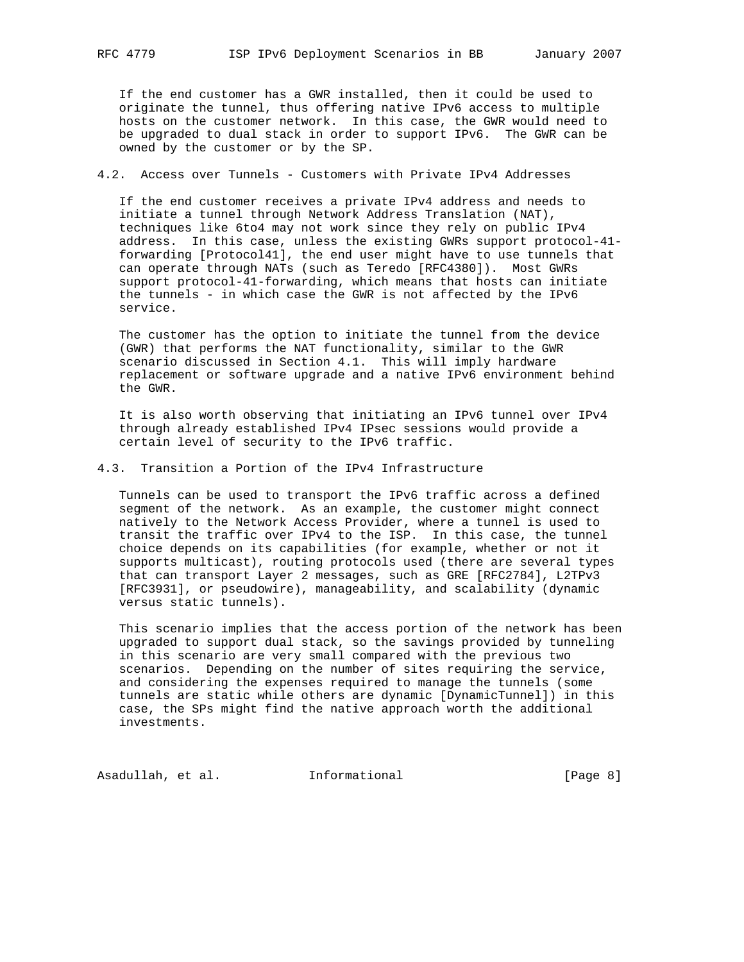If the end customer has a GWR installed, then it could be used to originate the tunnel, thus offering native IPv6 access to multiple hosts on the customer network. In this case, the GWR would need to be upgraded to dual stack in order to support IPv6. The GWR can be owned by the customer or by the SP.

## 4.2. Access over Tunnels - Customers with Private IPv4 Addresses

 If the end customer receives a private IPv4 address and needs to initiate a tunnel through Network Address Translation (NAT), techniques like 6to4 may not work since they rely on public IPv4 address. In this case, unless the existing GWRs support protocol-41 forwarding [Protocol41], the end user might have to use tunnels that can operate through NATs (such as Teredo [RFC4380]). Most GWRs support protocol-41-forwarding, which means that hosts can initiate the tunnels - in which case the GWR is not affected by the IPv6 service.

 The customer has the option to initiate the tunnel from the device (GWR) that performs the NAT functionality, similar to the GWR scenario discussed in Section 4.1. This will imply hardware replacement or software upgrade and a native IPv6 environment behind the GWR.

 It is also worth observing that initiating an IPv6 tunnel over IPv4 through already established IPv4 IPsec sessions would provide a certain level of security to the IPv6 traffic.

## 4.3. Transition a Portion of the IPv4 Infrastructure

 Tunnels can be used to transport the IPv6 traffic across a defined segment of the network. As an example, the customer might connect natively to the Network Access Provider, where a tunnel is used to transit the traffic over IPv4 to the ISP. In this case, the tunnel choice depends on its capabilities (for example, whether or not it supports multicast), routing protocols used (there are several types that can transport Layer 2 messages, such as GRE [RFC2784], L2TPv3 [RFC3931], or pseudowire), manageability, and scalability (dynamic versus static tunnels).

 This scenario implies that the access portion of the network has been upgraded to support dual stack, so the savings provided by tunneling in this scenario are very small compared with the previous two scenarios. Depending on the number of sites requiring the service, and considering the expenses required to manage the tunnels (some tunnels are static while others are dynamic [DynamicTunnel]) in this case, the SPs might find the native approach worth the additional investments.

Asadullah, et al. 1nformational 1999 [Page 8]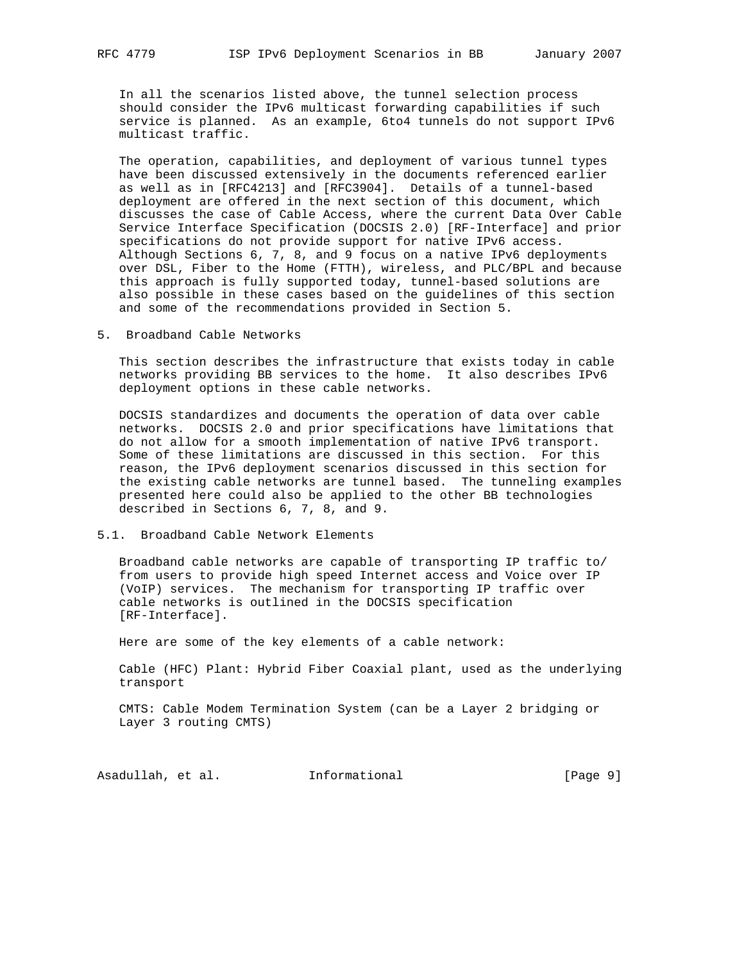In all the scenarios listed above, the tunnel selection process should consider the IPv6 multicast forwarding capabilities if such service is planned. As an example, 6to4 tunnels do not support IPv6 multicast traffic.

 The operation, capabilities, and deployment of various tunnel types have been discussed extensively in the documents referenced earlier as well as in [RFC4213] and [RFC3904]. Details of a tunnel-based deployment are offered in the next section of this document, which discusses the case of Cable Access, where the current Data Over Cable Service Interface Specification (DOCSIS 2.0) [RF-Interface] and prior specifications do not provide support for native IPv6 access. Although Sections 6, 7, 8, and 9 focus on a native IPv6 deployments over DSL, Fiber to the Home (FTTH), wireless, and PLC/BPL and because this approach is fully supported today, tunnel-based solutions are also possible in these cases based on the guidelines of this section and some of the recommendations provided in Section 5.

5. Broadband Cable Networks

 This section describes the infrastructure that exists today in cable networks providing BB services to the home. It also describes IPv6 deployment options in these cable networks.

 DOCSIS standardizes and documents the operation of data over cable networks. DOCSIS 2.0 and prior specifications have limitations that do not allow for a smooth implementation of native IPv6 transport. Some of these limitations are discussed in this section. For this reason, the IPv6 deployment scenarios discussed in this section for the existing cable networks are tunnel based. The tunneling examples presented here could also be applied to the other BB technologies described in Sections 6, 7, 8, and 9.

### 5.1. Broadband Cable Network Elements

 Broadband cable networks are capable of transporting IP traffic to/ from users to provide high speed Internet access and Voice over IP (VoIP) services. The mechanism for transporting IP traffic over cable networks is outlined in the DOCSIS specification [RF-Interface].

Here are some of the key elements of a cable network:

 Cable (HFC) Plant: Hybrid Fiber Coaxial plant, used as the underlying transport

 CMTS: Cable Modem Termination System (can be a Layer 2 bridging or Layer 3 routing CMTS)

Asadullah, et al. Informational [Page 9]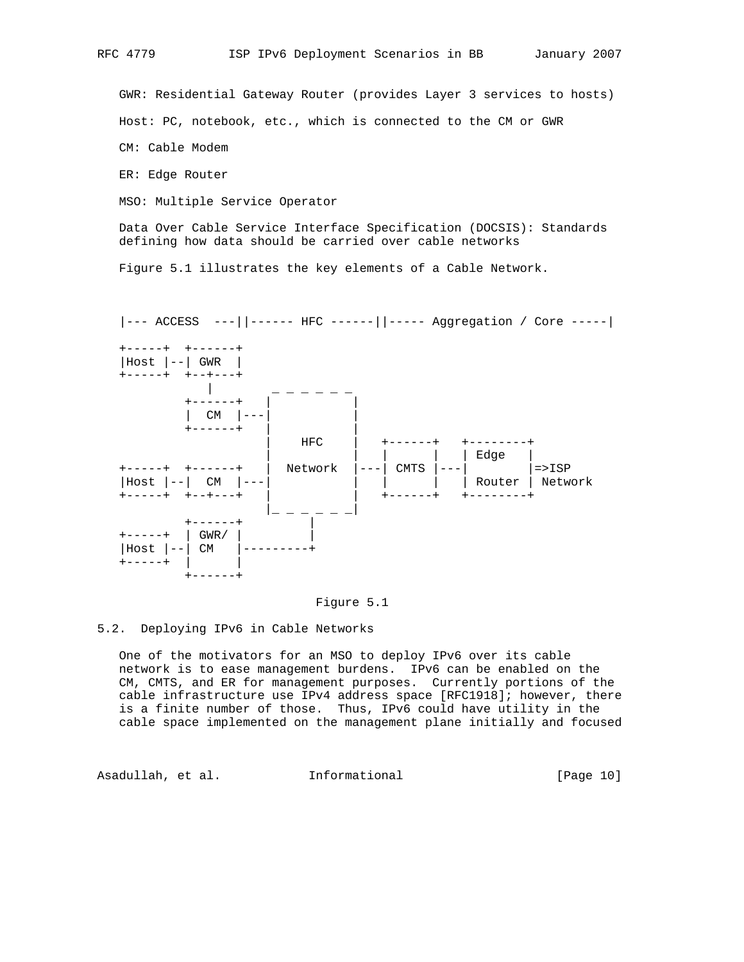GWR: Residential Gateway Router (provides Layer 3 services to hosts)

Host: PC, notebook, etc., which is connected to the CM or GWR

CM: Cable Modem

ER: Edge Router

MSO: Multiple Service Operator

 Data Over Cable Service Interface Specification (DOCSIS): Standards defining how data should be carried over cable networks

Figure 5.1 illustrates the key elements of a Cable Network.





5.2. Deploying IPv6 in Cable Networks

 One of the motivators for an MSO to deploy IPv6 over its cable network is to ease management burdens. IPv6 can be enabled on the CM, CMTS, and ER for management purposes. Currently portions of the cable infrastructure use IPv4 address space [RFC1918]; however, there is a finite number of those. Thus, IPv6 could have utility in the cable space implemented on the management plane initially and focused

Asadullah, et al. Informational [Page 10]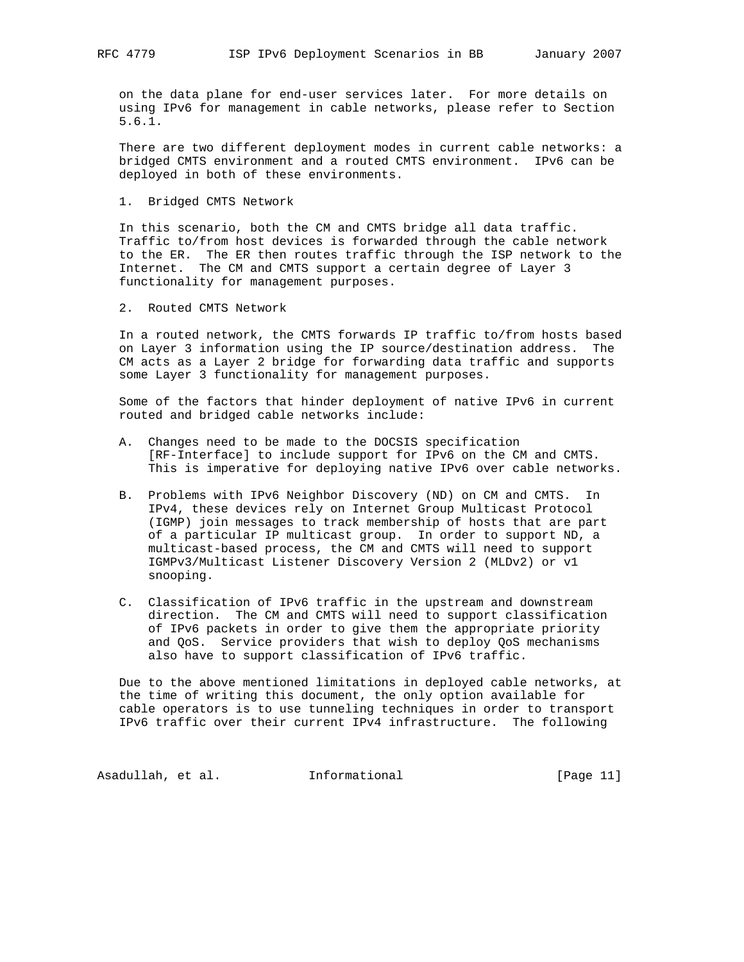on the data plane for end-user services later. For more details on using IPv6 for management in cable networks, please refer to Section 5.6.1.

 There are two different deployment modes in current cable networks: a bridged CMTS environment and a routed CMTS environment. IPv6 can be deployed in both of these environments.

1. Bridged CMTS Network

 In this scenario, both the CM and CMTS bridge all data traffic. Traffic to/from host devices is forwarded through the cable network to the ER. The ER then routes traffic through the ISP network to the Internet. The CM and CMTS support a certain degree of Layer 3 functionality for management purposes.

2. Routed CMTS Network

 In a routed network, the CMTS forwards IP traffic to/from hosts based on Layer 3 information using the IP source/destination address. The CM acts as a Layer 2 bridge for forwarding data traffic and supports some Layer 3 functionality for management purposes.

 Some of the factors that hinder deployment of native IPv6 in current routed and bridged cable networks include:

- A. Changes need to be made to the DOCSIS specification [RF-Interface] to include support for IPv6 on the CM and CMTS. This is imperative for deploying native IPv6 over cable networks.
- B. Problems with IPv6 Neighbor Discovery (ND) on CM and CMTS. In IPv4, these devices rely on Internet Group Multicast Protocol (IGMP) join messages to track membership of hosts that are part of a particular IP multicast group. In order to support ND, a multicast-based process, the CM and CMTS will need to support IGMPv3/Multicast Listener Discovery Version 2 (MLDv2) or v1 snooping.
- C. Classification of IPv6 traffic in the upstream and downstream direction. The CM and CMTS will need to support classification of IPv6 packets in order to give them the appropriate priority and QoS. Service providers that wish to deploy QoS mechanisms also have to support classification of IPv6 traffic.

 Due to the above mentioned limitations in deployed cable networks, at the time of writing this document, the only option available for cable operators is to use tunneling techniques in order to transport IPv6 traffic over their current IPv4 infrastructure. The following

Asadullah, et al. 1nformational 1999 [Page 11]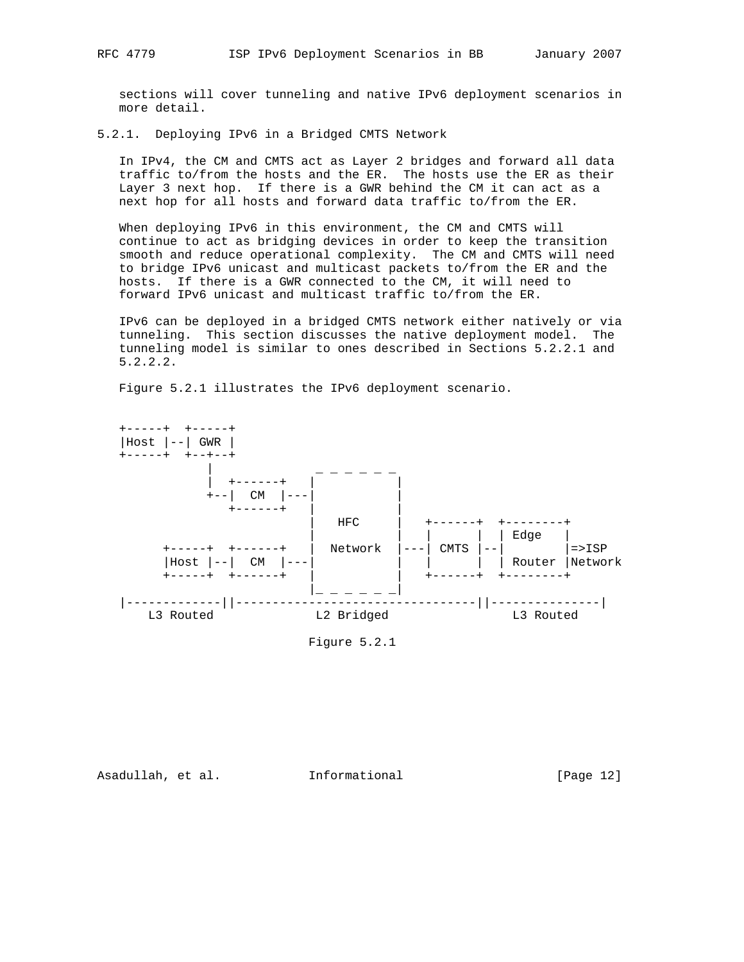sections will cover tunneling and native IPv6 deployment scenarios in more detail.

### 5.2.1. Deploying IPv6 in a Bridged CMTS Network

 In IPv4, the CM and CMTS act as Layer 2 bridges and forward all data traffic to/from the hosts and the ER. The hosts use the ER as their Layer 3 next hop. If there is a GWR behind the CM it can act as a next hop for all hosts and forward data traffic to/from the ER.

 When deploying IPv6 in this environment, the CM and CMTS will continue to act as bridging devices in order to keep the transition smooth and reduce operational complexity. The CM and CMTS will need to bridge IPv6 unicast and multicast packets to/from the ER and the hosts. If there is a GWR connected to the CM, it will need to forward IPv6 unicast and multicast traffic to/from the ER.

 IPv6 can be deployed in a bridged CMTS network either natively or via tunneling. This section discusses the native deployment model. The tunneling model is similar to ones described in Sections 5.2.2.1 and 5.2.2.2.

Figure 5.2.1 illustrates the IPv6 deployment scenario.



Figure 5.2.1

Asadullah, et al. Informational [Page 12]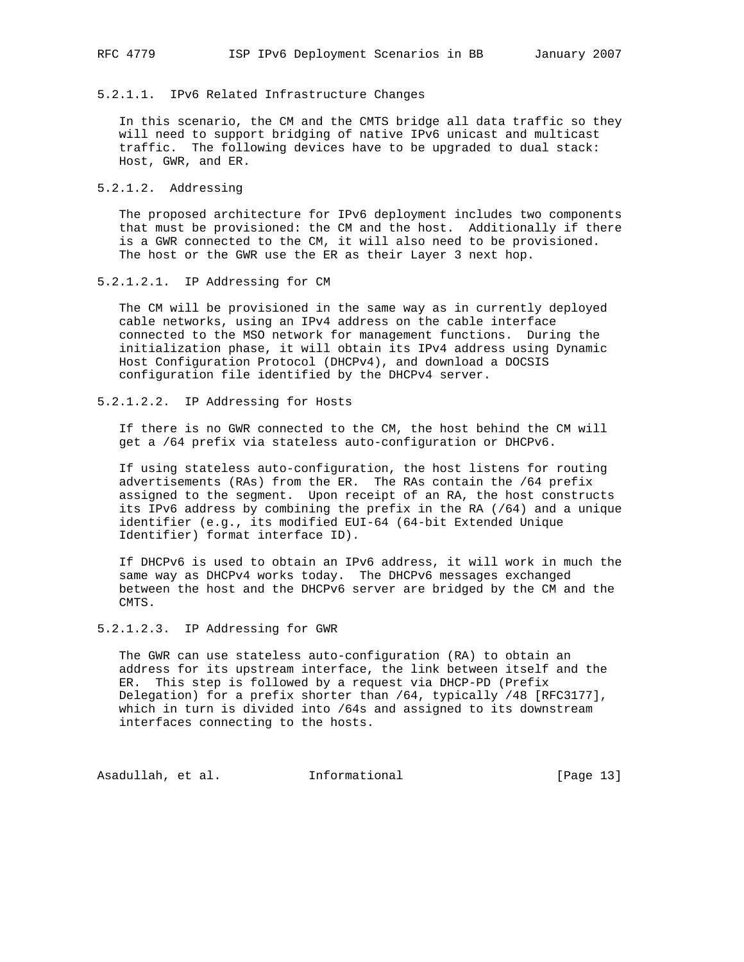## 5.2.1.1. IPv6 Related Infrastructure Changes

 In this scenario, the CM and the CMTS bridge all data traffic so they will need to support bridging of native IPv6 unicast and multicast traffic. The following devices have to be upgraded to dual stack: Host, GWR, and ER.

## 5.2.1.2. Addressing

 The proposed architecture for IPv6 deployment includes two components that must be provisioned: the CM and the host. Additionally if there is a GWR connected to the CM, it will also need to be provisioned. The host or the GWR use the ER as their Layer 3 next hop.

#### 5.2.1.2.1. IP Addressing for CM

 The CM will be provisioned in the same way as in currently deployed cable networks, using an IPv4 address on the cable interface connected to the MSO network for management functions. During the initialization phase, it will obtain its IPv4 address using Dynamic Host Configuration Protocol (DHCPv4), and download a DOCSIS configuration file identified by the DHCPv4 server.

## 5.2.1.2.2. IP Addressing for Hosts

 If there is no GWR connected to the CM, the host behind the CM will get a /64 prefix via stateless auto-configuration or DHCPv6.

 If using stateless auto-configuration, the host listens for routing advertisements (RAs) from the ER. The RAs contain the /64 prefix assigned to the segment. Upon receipt of an RA, the host constructs its IPv6 address by combining the prefix in the RA (/64) and a unique identifier (e.g., its modified EUI-64 (64-bit Extended Unique Identifier) format interface ID).

 If DHCPv6 is used to obtain an IPv6 address, it will work in much the same way as DHCPv4 works today. The DHCPv6 messages exchanged between the host and the DHCPv6 server are bridged by the CM and the CMTS.

#### 5.2.1.2.3. IP Addressing for GWR

 The GWR can use stateless auto-configuration (RA) to obtain an address for its upstream interface, the link between itself and the ER. This step is followed by a request via DHCP-PD (Prefix Delegation) for a prefix shorter than /64, typically /48 [RFC3177], which in turn is divided into /64s and assigned to its downstream interfaces connecting to the hosts.

Asadullah, et al. 1nformational [Page 13]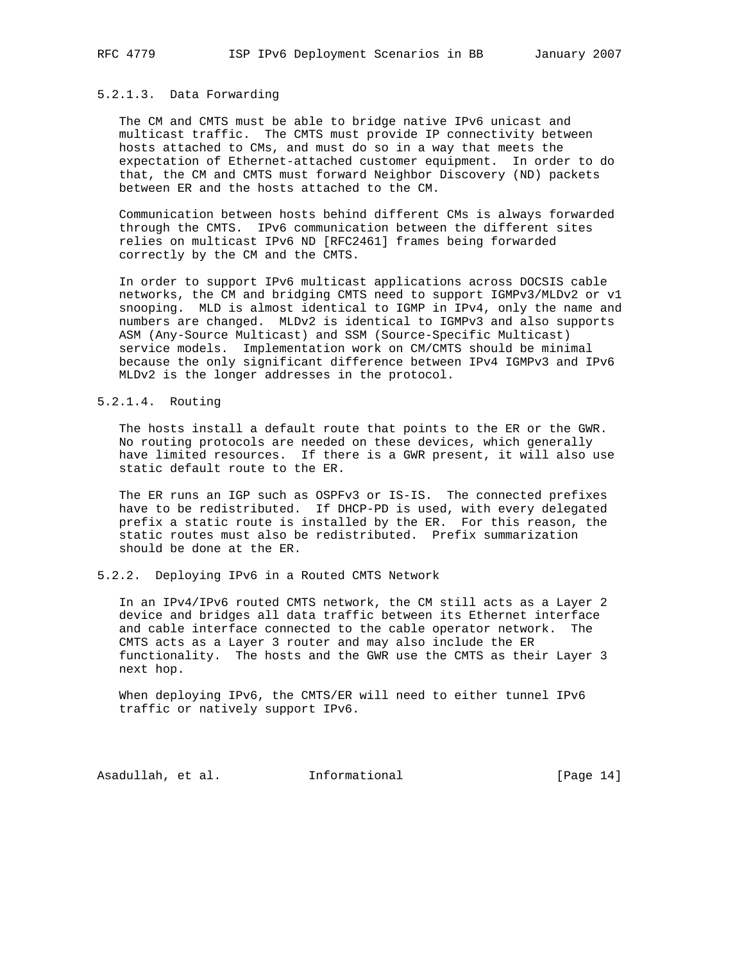## 5.2.1.3. Data Forwarding

 The CM and CMTS must be able to bridge native IPv6 unicast and multicast traffic. The CMTS must provide IP connectivity between hosts attached to CMs, and must do so in a way that meets the expectation of Ethernet-attached customer equipment. In order to do that, the CM and CMTS must forward Neighbor Discovery (ND) packets between ER and the hosts attached to the CM.

 Communication between hosts behind different CMs is always forwarded through the CMTS. IPv6 communication between the different sites relies on multicast IPv6 ND [RFC2461] frames being forwarded correctly by the CM and the CMTS.

 In order to support IPv6 multicast applications across DOCSIS cable networks, the CM and bridging CMTS need to support IGMPv3/MLDv2 or v1 snooping. MLD is almost identical to IGMP in IPv4, only the name and numbers are changed. MLDv2 is identical to IGMPv3 and also supports ASM (Any-Source Multicast) and SSM (Source-Specific Multicast) service models. Implementation work on CM/CMTS should be minimal because the only significant difference between IPv4 IGMPv3 and IPv6 MLDv2 is the longer addresses in the protocol.

## 5.2.1.4. Routing

 The hosts install a default route that points to the ER or the GWR. No routing protocols are needed on these devices, which generally have limited resources. If there is a GWR present, it will also use static default route to the ER.

 The ER runs an IGP such as OSPFv3 or IS-IS. The connected prefixes have to be redistributed. If DHCP-PD is used, with every delegated prefix a static route is installed by the ER. For this reason, the static routes must also be redistributed. Prefix summarization should be done at the ER.

#### 5.2.2. Deploying IPv6 in a Routed CMTS Network

 In an IPv4/IPv6 routed CMTS network, the CM still acts as a Layer 2 device and bridges all data traffic between its Ethernet interface and cable interface connected to the cable operator network. The CMTS acts as a Layer 3 router and may also include the ER functionality. The hosts and the GWR use the CMTS as their Layer 3 next hop.

 When deploying IPv6, the CMTS/ER will need to either tunnel IPv6 traffic or natively support IPv6.

Asadullah, et al. 1nformational [Page 14]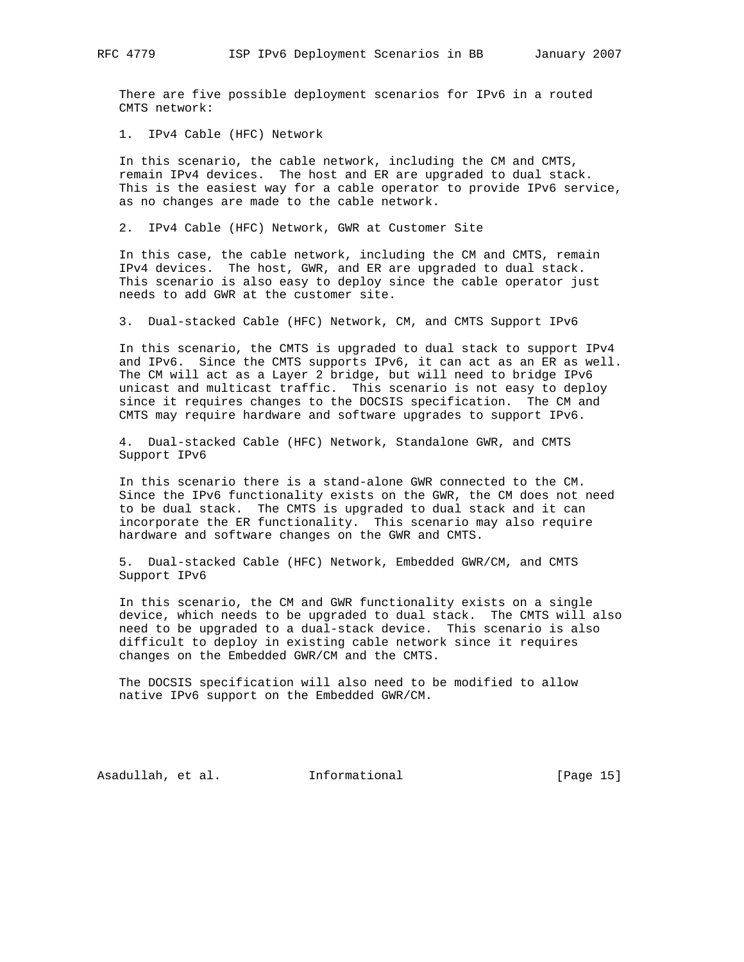There are five possible deployment scenarios for IPv6 in a routed CMTS network:

1. IPv4 Cable (HFC) Network

 In this scenario, the cable network, including the CM and CMTS, remain IPv4 devices. The host and ER are upgraded to dual stack. This is the easiest way for a cable operator to provide IPv6 service, as no changes are made to the cable network.

2. IPv4 Cable (HFC) Network, GWR at Customer Site

 In this case, the cable network, including the CM and CMTS, remain IPv4 devices. The host, GWR, and ER are upgraded to dual stack. This scenario is also easy to deploy since the cable operator just needs to add GWR at the customer site.

3. Dual-stacked Cable (HFC) Network, CM, and CMTS Support IPv6

 In this scenario, the CMTS is upgraded to dual stack to support IPv4 and IPv6. Since the CMTS supports IPv6, it can act as an ER as well. The CM will act as a Layer 2 bridge, but will need to bridge IPv6 unicast and multicast traffic. This scenario is not easy to deploy since it requires changes to the DOCSIS specification. The CM and CMTS may require hardware and software upgrades to support IPv6.

 4. Dual-stacked Cable (HFC) Network, Standalone GWR, and CMTS Support IPv6

 In this scenario there is a stand-alone GWR connected to the CM. Since the IPv6 functionality exists on the GWR, the CM does not need to be dual stack. The CMTS is upgraded to dual stack and it can incorporate the ER functionality. This scenario may also require hardware and software changes on the GWR and CMTS.

 5. Dual-stacked Cable (HFC) Network, Embedded GWR/CM, and CMTS Support IPv6

 In this scenario, the CM and GWR functionality exists on a single device, which needs to be upgraded to dual stack. The CMTS will also need to be upgraded to a dual-stack device. This scenario is also difficult to deploy in existing cable network since it requires changes on the Embedded GWR/CM and the CMTS.

 The DOCSIS specification will also need to be modified to allow native IPv6 support on the Embedded GWR/CM.

Asadullah, et al. Informational [Page 15]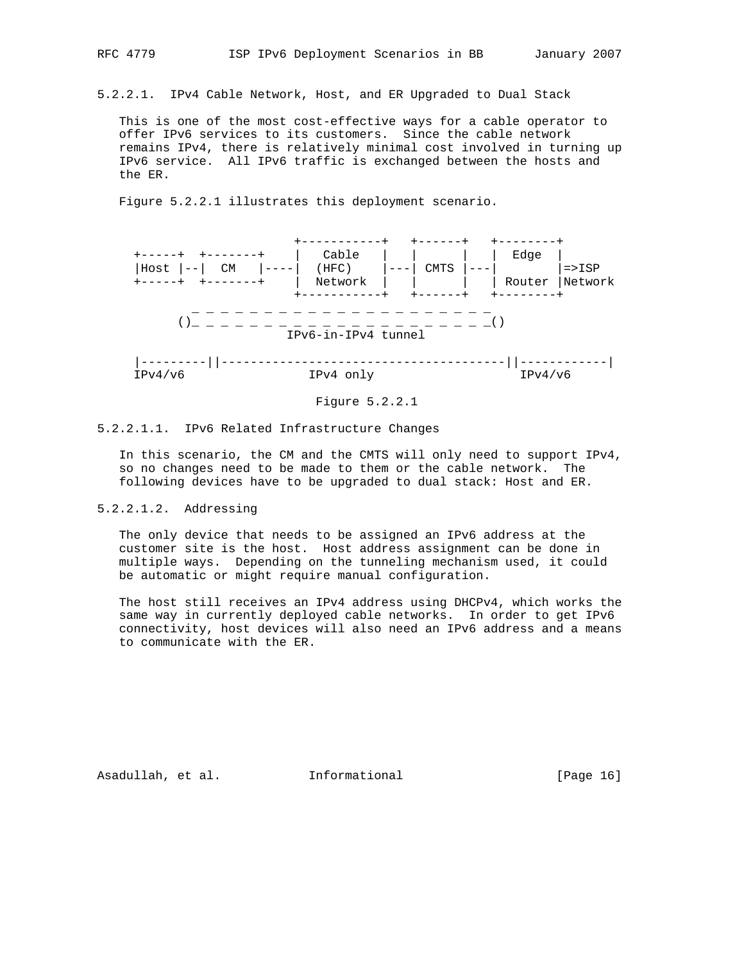5.2.2.1. IPv4 Cable Network, Host, and ER Upgraded to Dual Stack

 This is one of the most cost-effective ways for a cable operator to offer IPv6 services to its customers. Since the cable network remains IPv4, there is relatively minimal cost involved in turning up IPv6 service. All IPv6 traffic is exchanged between the hosts and the ER.

Figure 5.2.2.1 illustrates this deployment scenario.





### 5.2.2.1.1. IPv6 Related Infrastructure Changes

 In this scenario, the CM and the CMTS will only need to support IPv4, so no changes need to be made to them or the cable network. The following devices have to be upgraded to dual stack: Host and ER.

### 5.2.2.1.2. Addressing

 The only device that needs to be assigned an IPv6 address at the customer site is the host. Host address assignment can be done in multiple ways. Depending on the tunneling mechanism used, it could be automatic or might require manual configuration.

 The host still receives an IPv4 address using DHCPv4, which works the same way in currently deployed cable networks. In order to get IPv6 connectivity, host devices will also need an IPv6 address and a means to communicate with the ER.

Asadullah, et al. 1nformational 1999 [Page 16]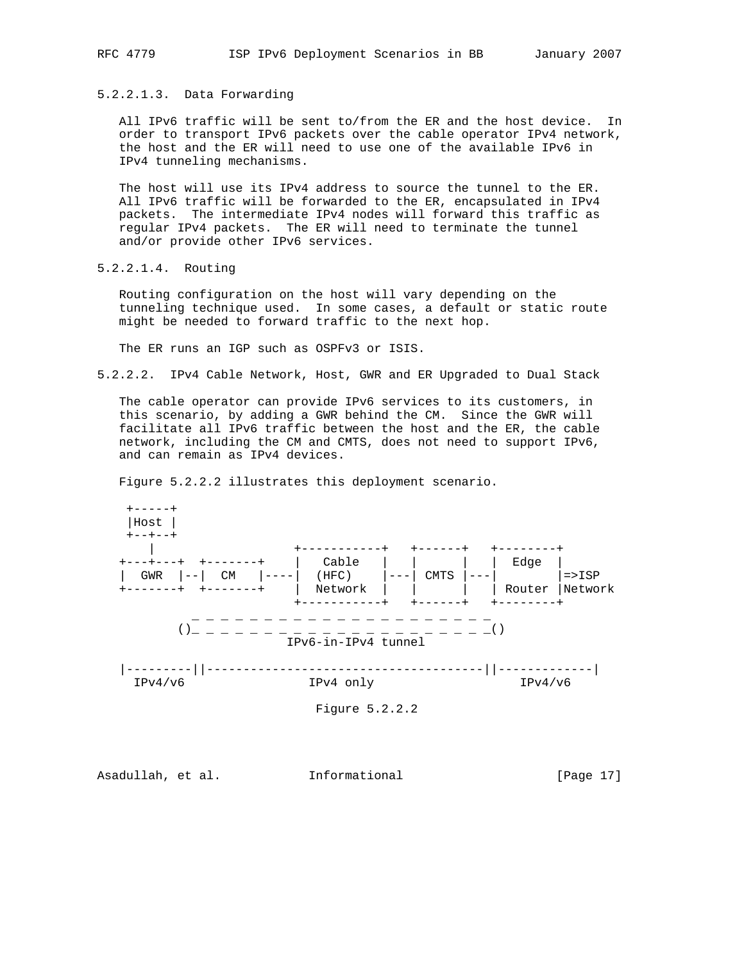5.2.2.1.3. Data Forwarding

 All IPv6 traffic will be sent to/from the ER and the host device. In order to transport IPv6 packets over the cable operator IPv4 network, the host and the ER will need to use one of the available IPv6 in IPv4 tunneling mechanisms.

 The host will use its IPv4 address to source the tunnel to the ER. All IPv6 traffic will be forwarded to the ER, encapsulated in IPv4 packets. The intermediate IPv4 nodes will forward this traffic as regular IPv4 packets. The ER will need to terminate the tunnel and/or provide other IPv6 services.

5.2.2.1.4. Routing

 Routing configuration on the host will vary depending on the tunneling technique used. In some cases, a default or static route might be needed to forward traffic to the next hop.

The ER runs an IGP such as OSPFv3 or ISIS.

5.2.2.2. IPv4 Cable Network, Host, GWR and ER Upgraded to Dual Stack

 The cable operator can provide IPv6 services to its customers, in this scenario, by adding a GWR behind the CM. Since the GWR will facilitate all IPv6 traffic between the host and the ER, the cable network, including the CM and CMTS, does not need to support IPv6, and can remain as IPv4 devices.

Figure 5.2.2.2 illustrates this deployment scenario.



Asadullah, et al. 1nformational 1999 [Page 17]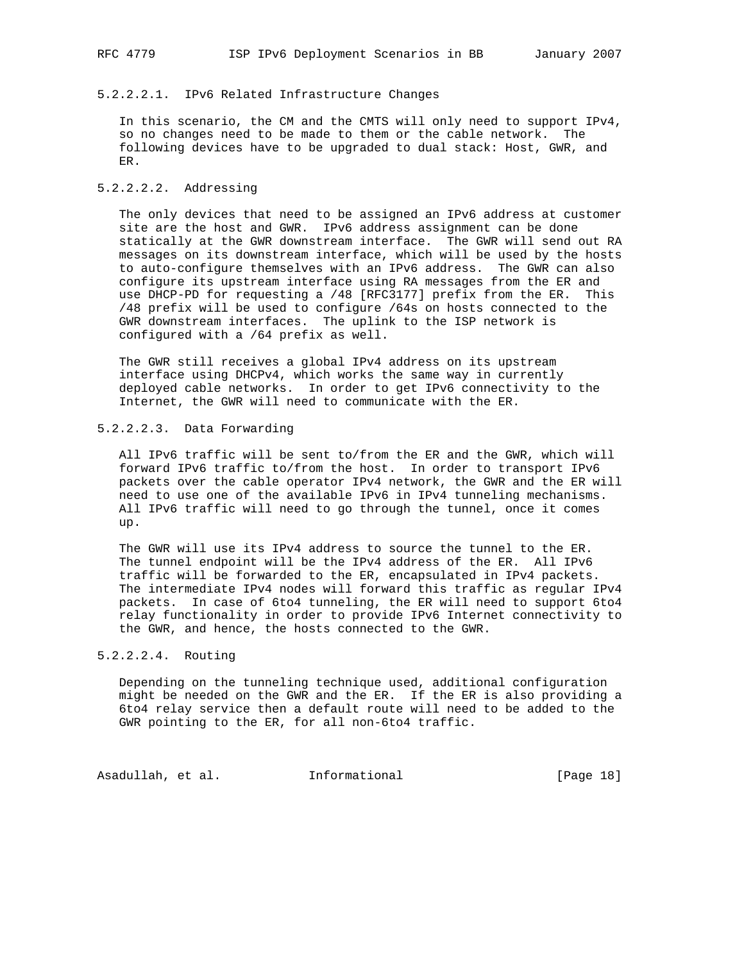## 5.2.2.2.1. IPv6 Related Infrastructure Changes

 In this scenario, the CM and the CMTS will only need to support IPv4, so no changes need to be made to them or the cable network. The following devices have to be upgraded to dual stack: Host, GWR, and ER.

## 5.2.2.2.2. Addressing

 The only devices that need to be assigned an IPv6 address at customer site are the host and GWR. IPv6 address assignment can be done statically at the GWR downstream interface. The GWR will send out RA messages on its downstream interface, which will be used by the hosts to auto-configure themselves with an IPv6 address. The GWR can also configure its upstream interface using RA messages from the ER and use DHCP-PD for requesting a /48 [RFC3177] prefix from the ER. This /48 prefix will be used to configure /64s on hosts connected to the GWR downstream interfaces. The uplink to the ISP network is configured with a /64 prefix as well.

 The GWR still receives a global IPv4 address on its upstream interface using DHCPv4, which works the same way in currently deployed cable networks. In order to get IPv6 connectivity to the Internet, the GWR will need to communicate with the ER.

### 5.2.2.2.3. Data Forwarding

 All IPv6 traffic will be sent to/from the ER and the GWR, which will forward IPv6 traffic to/from the host. In order to transport IPv6 packets over the cable operator IPv4 network, the GWR and the ER will need to use one of the available IPv6 in IPv4 tunneling mechanisms. All IPv6 traffic will need to go through the tunnel, once it comes up.

 The GWR will use its IPv4 address to source the tunnel to the ER. The tunnel endpoint will be the IPv4 address of the ER. All IPv6 traffic will be forwarded to the ER, encapsulated in IPv4 packets. The intermediate IPv4 nodes will forward this traffic as regular IPv4 packets. In case of 6to4 tunneling, the ER will need to support 6to4 relay functionality in order to provide IPv6 Internet connectivity to the GWR, and hence, the hosts connected to the GWR.

## 5.2.2.2.4. Routing

 Depending on the tunneling technique used, additional configuration might be needed on the GWR and the ER. If the ER is also providing a 6to4 relay service then a default route will need to be added to the GWR pointing to the ER, for all non-6to4 traffic.

Asadullah, et al. 1nformational [Page 18]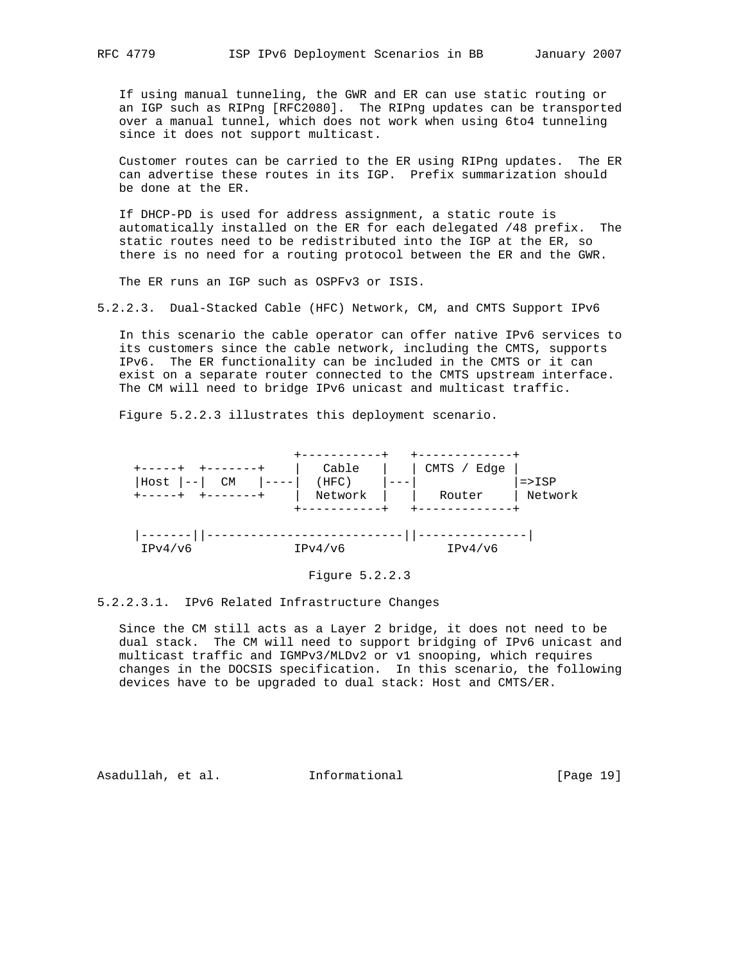If using manual tunneling, the GWR and ER can use static routing or an IGP such as RIPng [RFC2080]. The RIPng updates can be transported over a manual tunnel, which does not work when using 6to4 tunneling since it does not support multicast.

 Customer routes can be carried to the ER using RIPng updates. The ER can advertise these routes in its IGP. Prefix summarization should be done at the ER.

 If DHCP-PD is used for address assignment, a static route is automatically installed on the ER for each delegated /48 prefix. The static routes need to be redistributed into the IGP at the ER, so there is no need for a routing protocol between the ER and the GWR.

The ER runs an IGP such as OSPFv3 or ISIS.

5.2.2.3. Dual-Stacked Cable (HFC) Network, CM, and CMTS Support IPv6

 In this scenario the cable operator can offer native IPv6 services to its customers since the cable network, including the CMTS, supports IPv6. The ER functionality can be included in the CMTS or it can exist on a separate router connected to the CMTS upstream interface. The CM will need to bridge IPv6 unicast and multicast traffic.

Figure 5.2.2.3 illustrates this deployment scenario.



Figure 5.2.2.3

5.2.2.3.1. IPv6 Related Infrastructure Changes

 Since the CM still acts as a Layer 2 bridge, it does not need to be dual stack. The CM will need to support bridging of IPv6 unicast and multicast traffic and IGMPv3/MLDv2 or v1 snooping, which requires changes in the DOCSIS specification. In this scenario, the following devices have to be upgraded to dual stack: Host and CMTS/ER.

Asadullah, et al. 1nformational 1917 [Page 19]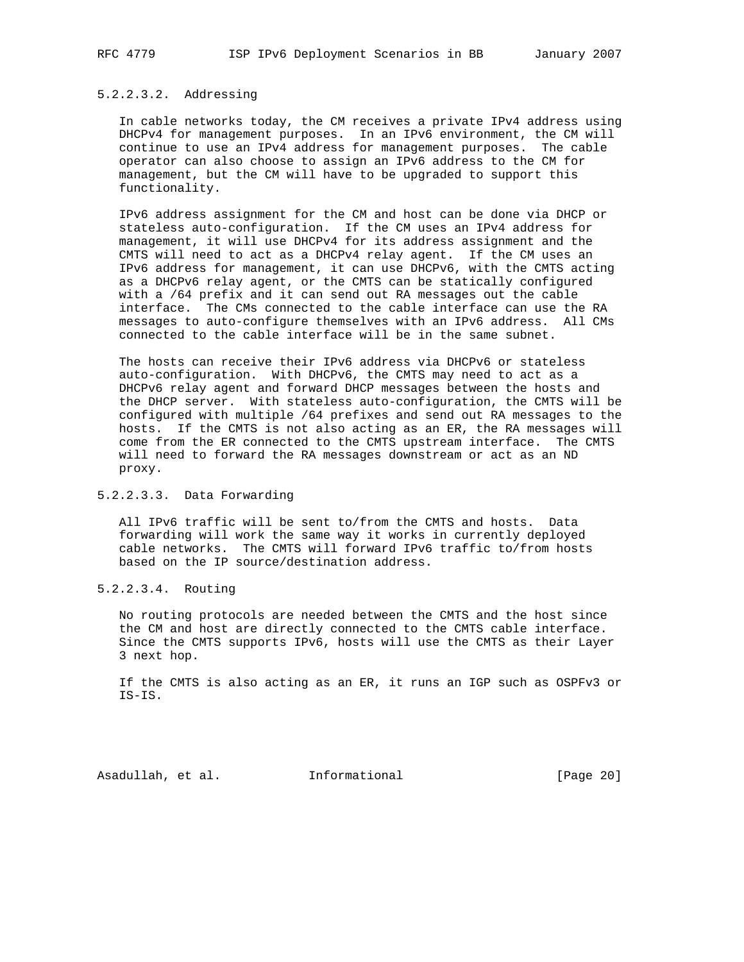## 5.2.2.3.2. Addressing

 In cable networks today, the CM receives a private IPv4 address using DHCPv4 for management purposes. In an IPv6 environment, the CM will continue to use an IPv4 address for management purposes. The cable operator can also choose to assign an IPv6 address to the CM for management, but the CM will have to be upgraded to support this functionality.

 IPv6 address assignment for the CM and host can be done via DHCP or stateless auto-configuration. If the CM uses an IPv4 address for management, it will use DHCPv4 for its address assignment and the CMTS will need to act as a DHCPv4 relay agent. If the CM uses an IPv6 address for management, it can use DHCPv6, with the CMTS acting as a DHCPv6 relay agent, or the CMTS can be statically configured with a /64 prefix and it can send out RA messages out the cable interface. The CMs connected to the cable interface can use the RA messages to auto-configure themselves with an IPv6 address. All CMs connected to the cable interface will be in the same subnet.

 The hosts can receive their IPv6 address via DHCPv6 or stateless auto-configuration. With DHCPv6, the CMTS may need to act as a DHCPv6 relay agent and forward DHCP messages between the hosts and the DHCP server. With stateless auto-configuration, the CMTS will be configured with multiple /64 prefixes and send out RA messages to the hosts. If the CMTS is not also acting as an ER, the RA messages will come from the ER connected to the CMTS upstream interface. The CMTS will need to forward the RA messages downstream or act as an ND proxy.

### 5.2.2.3.3. Data Forwarding

 All IPv6 traffic will be sent to/from the CMTS and hosts. Data forwarding will work the same way it works in currently deployed cable networks. The CMTS will forward IPv6 traffic to/from hosts based on the IP source/destination address.

5.2.2.3.4. Routing

 No routing protocols are needed between the CMTS and the host since the CM and host are directly connected to the CMTS cable interface. Since the CMTS supports IPv6, hosts will use the CMTS as their Layer 3 next hop.

 If the CMTS is also acting as an ER, it runs an IGP such as OSPFv3 or IS-IS.

Asadullah, et al. Informational [Page 20]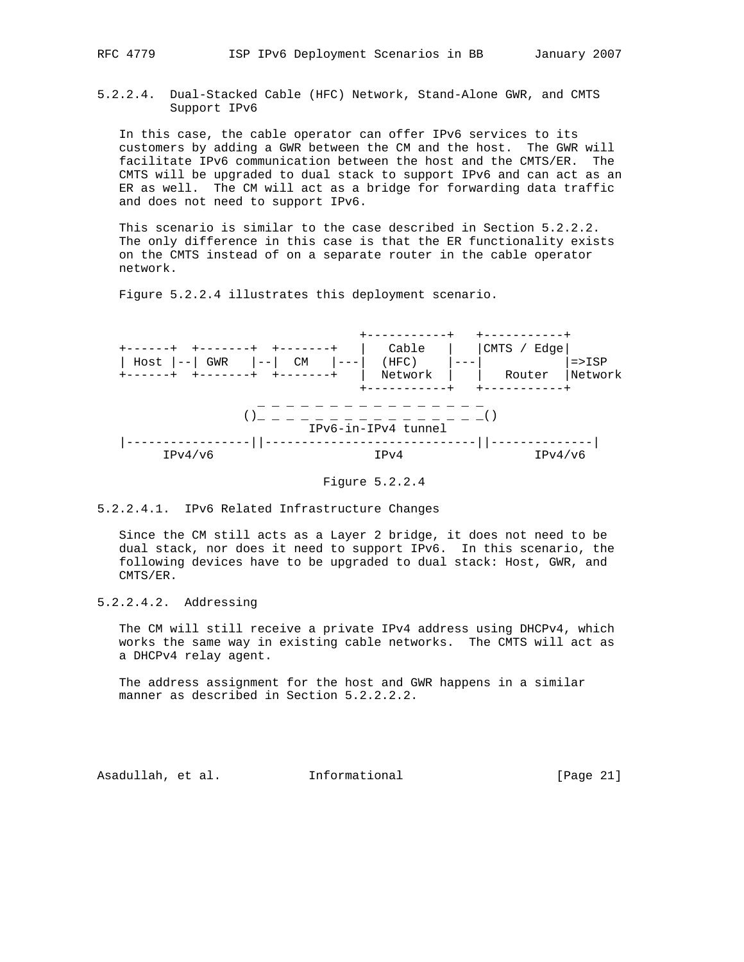5.2.2.4. Dual-Stacked Cable (HFC) Network, Stand-Alone GWR, and CMTS Support IPv6

 In this case, the cable operator can offer IPv6 services to its customers by adding a GWR between the CM and the host. The GWR will facilitate IPv6 communication between the host and the CMTS/ER. The CMTS will be upgraded to dual stack to support IPv6 and can act as an ER as well. The CM will act as a bridge for forwarding data traffic and does not need to support IPv6.

This scenario is similar to the case described in Section 5.2.2.2. The only difference in this case is that the ER functionality exists on the CMTS instead of on a separate router in the cable operator network.

Figure 5.2.2.4 illustrates this deployment scenario.



Figure 5.2.2.4

5.2.2.4.1. IPv6 Related Infrastructure Changes

 Since the CM still acts as a Layer 2 bridge, it does not need to be dual stack, nor does it need to support IPv6. In this scenario, the following devices have to be upgraded to dual stack: Host, GWR, and CMTS/ER.

5.2.2.4.2. Addressing

 The CM will still receive a private IPv4 address using DHCPv4, which works the same way in existing cable networks. The CMTS will act as a DHCPv4 relay agent.

 The address assignment for the host and GWR happens in a similar manner as described in Section 5.2.2.2.2.

Asadullah, et al. Informational [Page 21]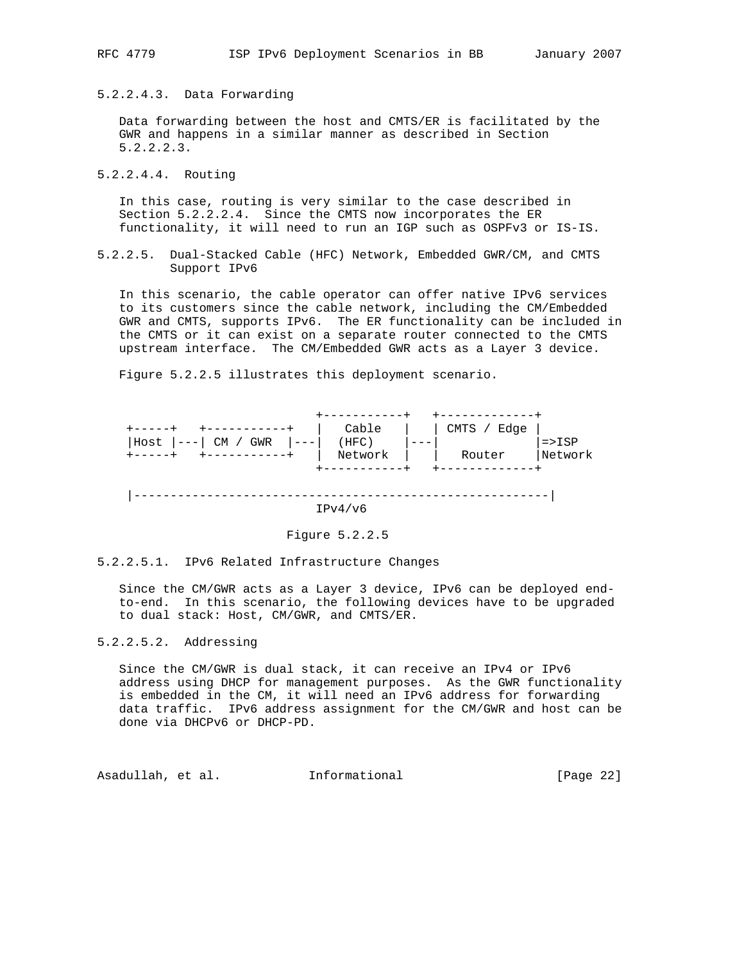5.2.2.4.3. Data Forwarding

 Data forwarding between the host and CMTS/ER is facilitated by the GWR and happens in a similar manner as described in Section 5.2.2.2.3.

5.2.2.4.4. Routing

 In this case, routing is very similar to the case described in Section 5.2.2.2.4. Since the CMTS now incorporates the ER functionality, it will need to run an IGP such as OSPFv3 or IS-IS.

5.2.2.5. Dual-Stacked Cable (HFC) Network, Embedded GWR/CM, and CMTS Support IPv6

 In this scenario, the cable operator can offer native IPv6 services to its customers since the cable network, including the CM/Embedded GWR and CMTS, supports IPv6. The ER functionality can be included in the CMTS or it can exist on a separate router connected to the CMTS upstream interface. The CM/Embedded GWR acts as a Layer 3 device.

 +-----------+ +-------------+ +-----+ +-----------+ | Cable | | CMTS / Edge | |Host |---| CM / GWR |---| (HFC) |---| | |=>ISP +-----+ +-----------+ | Network | | Router |Network

Figure 5.2.2.5 illustrates this deployment scenario.



+-----------+ +-------------+

## Figure 5.2.2.5

#### 5.2.2.5.1. IPv6 Related Infrastructure Changes

 Since the CM/GWR acts as a Layer 3 device, IPv6 can be deployed end to-end. In this scenario, the following devices have to be upgraded to dual stack: Host, CM/GWR, and CMTS/ER.

## 5.2.2.5.2. Addressing

 Since the CM/GWR is dual stack, it can receive an IPv4 or IPv6 address using DHCP for management purposes. As the GWR functionality is embedded in the CM, it will need an IPv6 address for forwarding data traffic. IPv6 address assignment for the CM/GWR and host can be done via DHCPv6 or DHCP-PD.

Asadullah, et al. Informational [Page 22]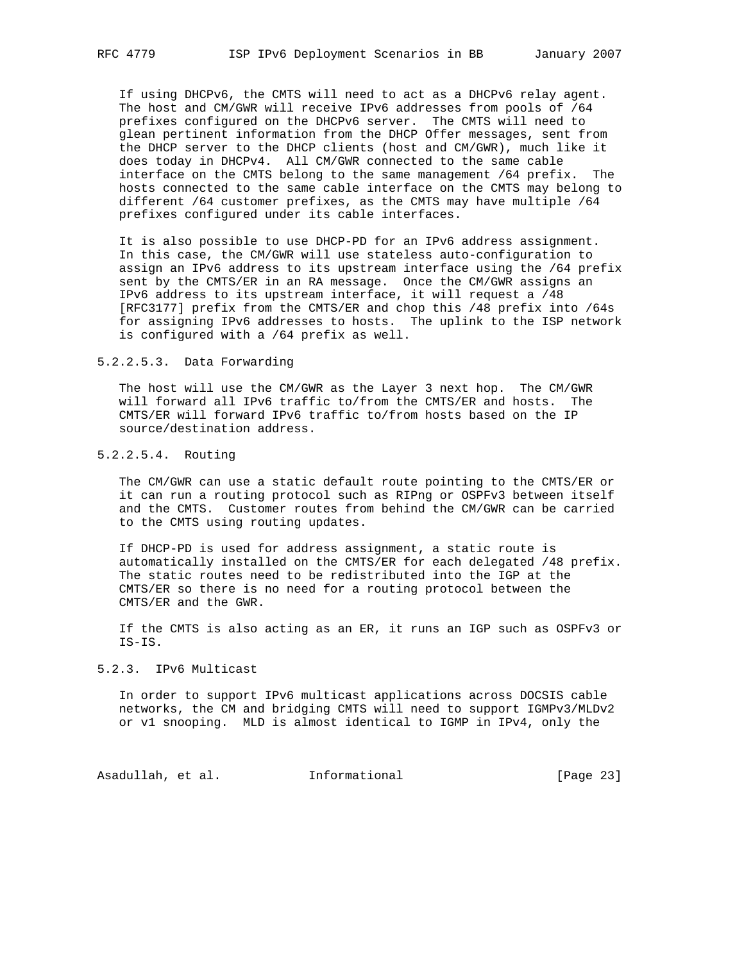If using DHCPv6, the CMTS will need to act as a DHCPv6 relay agent. The host and CM/GWR will receive IPv6 addresses from pools of /64 prefixes configured on the DHCPv6 server. The CMTS will need to glean pertinent information from the DHCP Offer messages, sent from the DHCP server to the DHCP clients (host and CM/GWR), much like it does today in DHCPv4. All CM/GWR connected to the same cable interface on the CMTS belong to the same management /64 prefix. The hosts connected to the same cable interface on the CMTS may belong to different /64 customer prefixes, as the CMTS may have multiple /64 prefixes configured under its cable interfaces.

 It is also possible to use DHCP-PD for an IPv6 address assignment. In this case, the CM/GWR will use stateless auto-configuration to assign an IPv6 address to its upstream interface using the /64 prefix sent by the CMTS/ER in an RA message. Once the CM/GWR assigns an IPv6 address to its upstream interface, it will request a /48 [RFC3177] prefix from the CMTS/ER and chop this /48 prefix into /64s for assigning IPv6 addresses to hosts. The uplink to the ISP network is configured with a /64 prefix as well.

### 5.2.2.5.3. Data Forwarding

 The host will use the CM/GWR as the Layer 3 next hop. The CM/GWR will forward all IPv6 traffic to/from the CMTS/ER and hosts. The CMTS/ER will forward IPv6 traffic to/from hosts based on the IP source/destination address.

## 5.2.2.5.4. Routing

 The CM/GWR can use a static default route pointing to the CMTS/ER or it can run a routing protocol such as RIPng or OSPFv3 between itself and the CMTS. Customer routes from behind the CM/GWR can be carried to the CMTS using routing updates.

 If DHCP-PD is used for address assignment, a static route is automatically installed on the CMTS/ER for each delegated /48 prefix. The static routes need to be redistributed into the IGP at the CMTS/ER so there is no need for a routing protocol between the CMTS/ER and the GWR.

 If the CMTS is also acting as an ER, it runs an IGP such as OSPFv3 or IS-IS.

## 5.2.3. IPv6 Multicast

 In order to support IPv6 multicast applications across DOCSIS cable networks, the CM and bridging CMTS will need to support IGMPv3/MLDv2 or v1 snooping. MLD is almost identical to IGMP in IPv4, only the

Asadullah, et al. 1nformational 1999 [Page 23]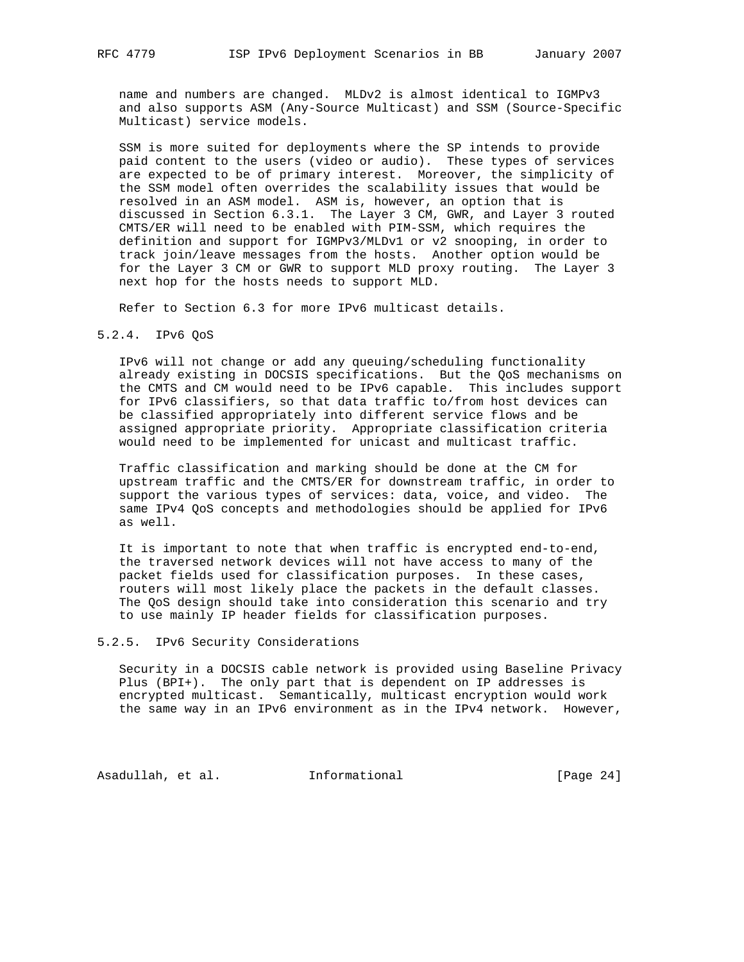name and numbers are changed. MLDv2 is almost identical to IGMPv3 and also supports ASM (Any-Source Multicast) and SSM (Source-Specific Multicast) service models.

 SSM is more suited for deployments where the SP intends to provide paid content to the users (video or audio). These types of services are expected to be of primary interest. Moreover, the simplicity of the SSM model often overrides the scalability issues that would be resolved in an ASM model. ASM is, however, an option that is discussed in Section 6.3.1. The Layer 3 CM, GWR, and Layer 3 routed CMTS/ER will need to be enabled with PIM-SSM, which requires the definition and support for IGMPv3/MLDv1 or v2 snooping, in order to track join/leave messages from the hosts. Another option would be for the Layer 3 CM or GWR to support MLD proxy routing. The Layer 3 next hop for the hosts needs to support MLD.

Refer to Section 6.3 for more IPv6 multicast details.

### 5.2.4. IPv6 QoS

 IPv6 will not change or add any queuing/scheduling functionality already existing in DOCSIS specifications. But the QoS mechanisms on the CMTS and CM would need to be IPv6 capable. This includes support for IPv6 classifiers, so that data traffic to/from host devices can be classified appropriately into different service flows and be assigned appropriate priority. Appropriate classification criteria would need to be implemented for unicast and multicast traffic.

 Traffic classification and marking should be done at the CM for upstream traffic and the CMTS/ER for downstream traffic, in order to support the various types of services: data, voice, and video. The same IPv4 QoS concepts and methodologies should be applied for IPv6 as well.

 It is important to note that when traffic is encrypted end-to-end, the traversed network devices will not have access to many of the packet fields used for classification purposes. In these cases, routers will most likely place the packets in the default classes. The QoS design should take into consideration this scenario and try to use mainly IP header fields for classification purposes.

## 5.2.5. IPv6 Security Considerations

 Security in a DOCSIS cable network is provided using Baseline Privacy Plus (BPI+). The only part that is dependent on IP addresses is encrypted multicast. Semantically, multicast encryption would work the same way in an IPv6 environment as in the IPv4 network. However,

Asadullah, et al. 1nformational 1999 [Page 24]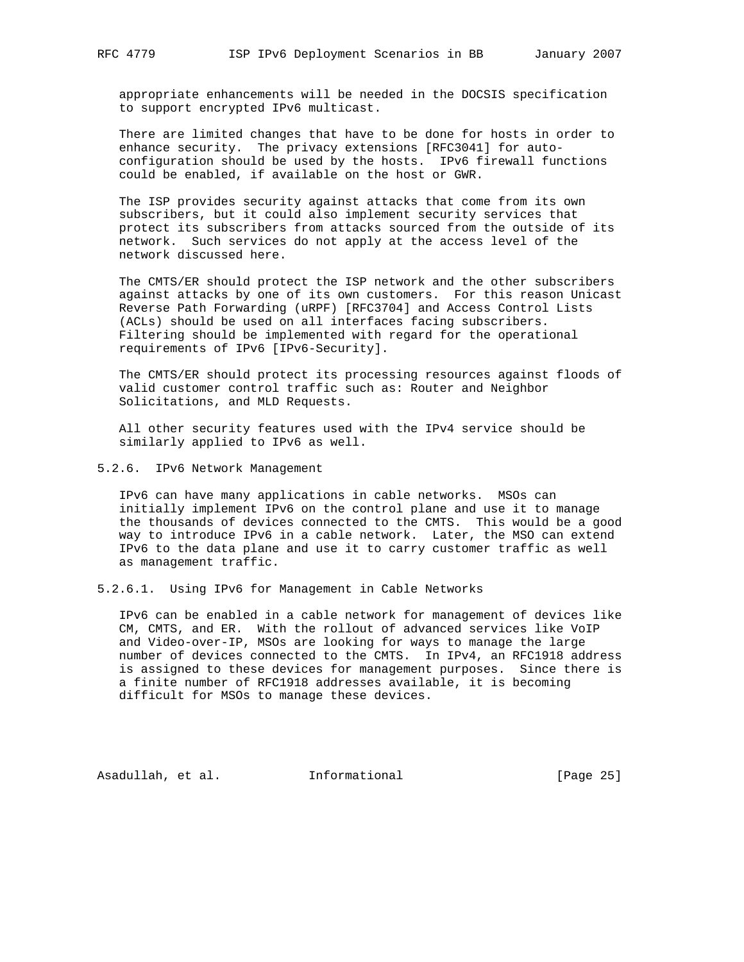appropriate enhancements will be needed in the DOCSIS specification to support encrypted IPv6 multicast.

 There are limited changes that have to be done for hosts in order to enhance security. The privacy extensions [RFC3041] for auto configuration should be used by the hosts. IPv6 firewall functions could be enabled, if available on the host or GWR.

 The ISP provides security against attacks that come from its own subscribers, but it could also implement security services that protect its subscribers from attacks sourced from the outside of its network. Such services do not apply at the access level of the network discussed here.

 The CMTS/ER should protect the ISP network and the other subscribers against attacks by one of its own customers. For this reason Unicast Reverse Path Forwarding (uRPF) [RFC3704] and Access Control Lists (ACLs) should be used on all interfaces facing subscribers. Filtering should be implemented with regard for the operational requirements of IPv6 [IPv6-Security].

 The CMTS/ER should protect its processing resources against floods of valid customer control traffic such as: Router and Neighbor Solicitations, and MLD Requests.

 All other security features used with the IPv4 service should be similarly applied to IPv6 as well.

5.2.6. IPv6 Network Management

 IPv6 can have many applications in cable networks. MSOs can initially implement IPv6 on the control plane and use it to manage the thousands of devices connected to the CMTS. This would be a good way to introduce IPv6 in a cable network. Later, the MSO can extend IPv6 to the data plane and use it to carry customer traffic as well as management traffic.

5.2.6.1. Using IPv6 for Management in Cable Networks

 IPv6 can be enabled in a cable network for management of devices like CM, CMTS, and ER. With the rollout of advanced services like VoIP and Video-over-IP, MSOs are looking for ways to manage the large number of devices connected to the CMTS. In IPv4, an RFC1918 address is assigned to these devices for management purposes. Since there is a finite number of RFC1918 addresses available, it is becoming difficult for MSOs to manage these devices.

Asadullah, et al. Informational [Page 25]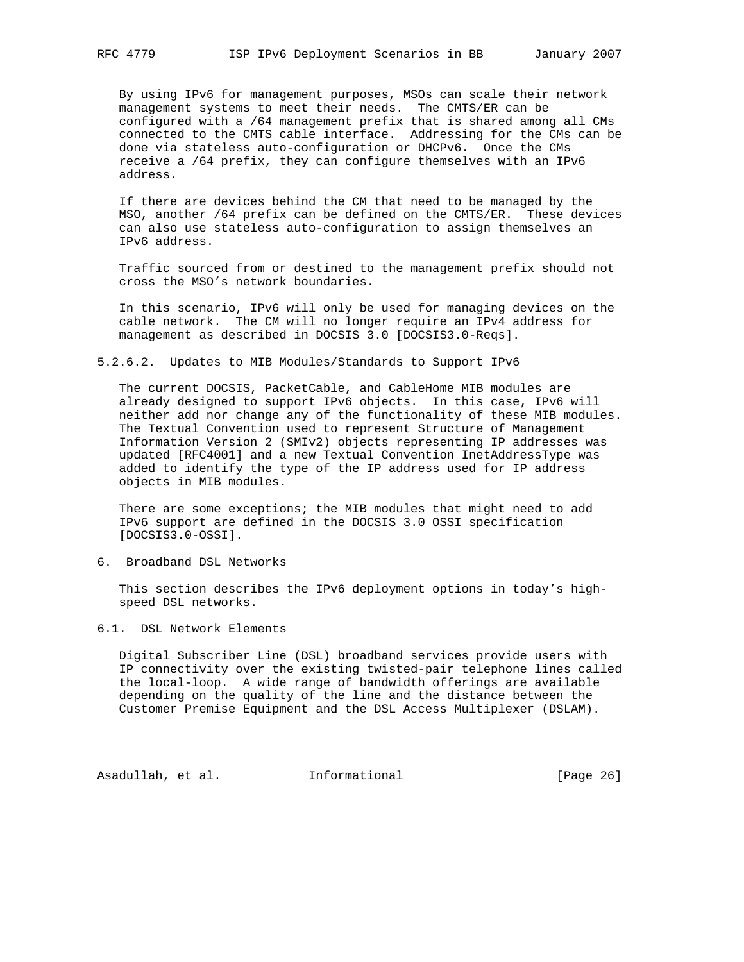By using IPv6 for management purposes, MSOs can scale their network management systems to meet their needs. The CMTS/ER can be configured with a /64 management prefix that is shared among all CMs connected to the CMTS cable interface. Addressing for the CMs can be done via stateless auto-configuration or DHCPv6. Once the CMs receive a /64 prefix, they can configure themselves with an IPv6 address.

 If there are devices behind the CM that need to be managed by the MSO, another /64 prefix can be defined on the CMTS/ER. These devices can also use stateless auto-configuration to assign themselves an IPv6 address.

 Traffic sourced from or destined to the management prefix should not cross the MSO's network boundaries.

 In this scenario, IPv6 will only be used for managing devices on the cable network. The CM will no longer require an IPv4 address for management as described in DOCSIS 3.0 [DOCSIS3.0-Reqs].

5.2.6.2. Updates to MIB Modules/Standards to Support IPv6

 The current DOCSIS, PacketCable, and CableHome MIB modules are already designed to support IPv6 objects. In this case, IPv6 will neither add nor change any of the functionality of these MIB modules. The Textual Convention used to represent Structure of Management Information Version 2 (SMIv2) objects representing IP addresses was updated [RFC4001] and a new Textual Convention InetAddressType was added to identify the type of the IP address used for IP address objects in MIB modules.

 There are some exceptions; the MIB modules that might need to add IPv6 support are defined in the DOCSIS 3.0 OSSI specification [DOCSIS3.0-OSSI].

6. Broadband DSL Networks

 This section describes the IPv6 deployment options in today's high speed DSL networks.

6.1. DSL Network Elements

 Digital Subscriber Line (DSL) broadband services provide users with IP connectivity over the existing twisted-pair telephone lines called the local-loop. A wide range of bandwidth offerings are available depending on the quality of the line and the distance between the Customer Premise Equipment and the DSL Access Multiplexer (DSLAM).

Asadullah, et al. 1nformational 1999 [Page 26]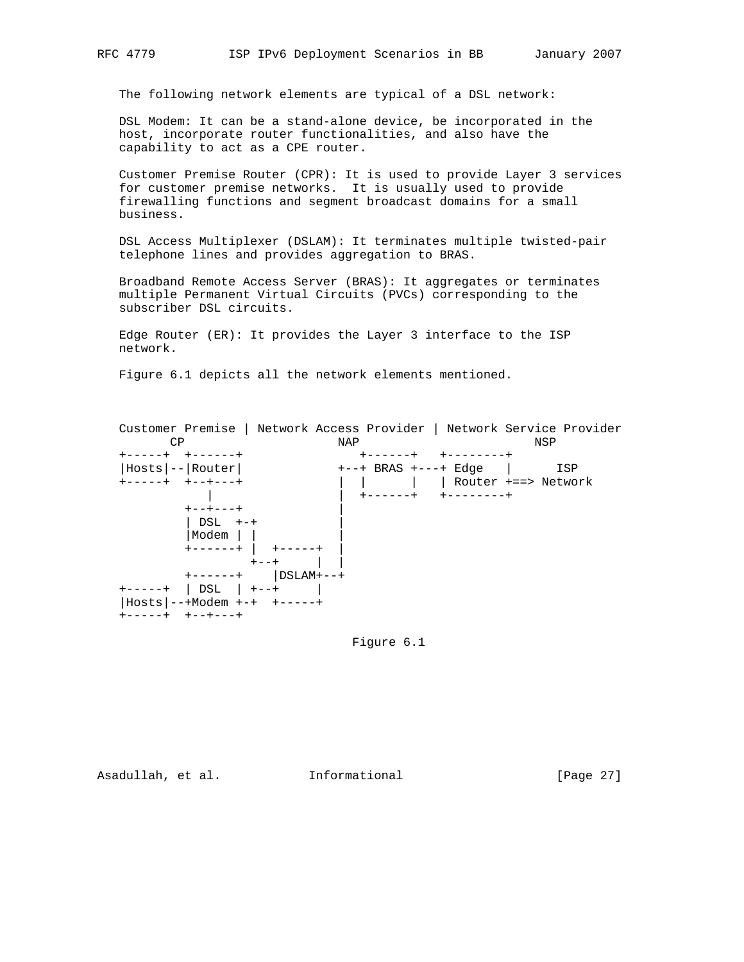The following network elements are typical of a DSL network:

 DSL Modem: It can be a stand-alone device, be incorporated in the host, incorporate router functionalities, and also have the capability to act as a CPE router.

 Customer Premise Router (CPR): It is used to provide Layer 3 services for customer premise networks. It is usually used to provide firewalling functions and segment broadcast domains for a small business.

 DSL Access Multiplexer (DSLAM): It terminates multiple twisted-pair telephone lines and provides aggregation to BRAS.

 Broadband Remote Access Server (BRAS): It aggregates or terminates multiple Permanent Virtual Circuits (PVCs) corresponding to the subscriber DSL circuits.

 Edge Router (ER): It provides the Layer 3 interface to the ISP network.

Figure 6.1 depicts all the network elements mentioned.



Figure 6.1

Asadullah, et al. Informational [Page 27]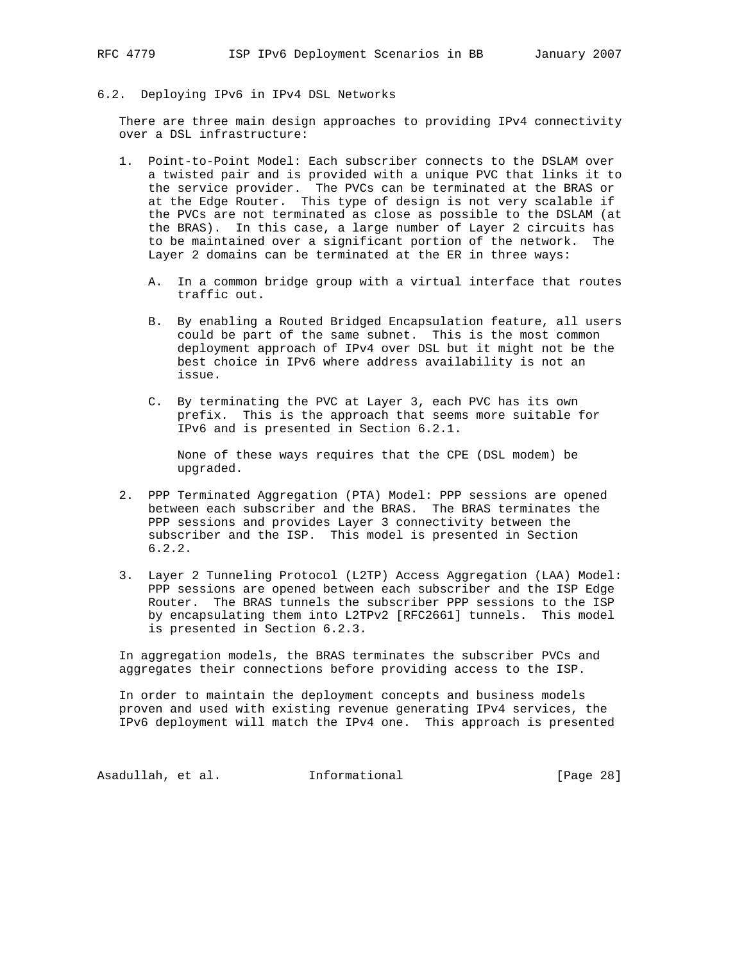6.2. Deploying IPv6 in IPv4 DSL Networks

 There are three main design approaches to providing IPv4 connectivity over a DSL infrastructure:

- 1. Point-to-Point Model: Each subscriber connects to the DSLAM over a twisted pair and is provided with a unique PVC that links it to the service provider. The PVCs can be terminated at the BRAS or at the Edge Router. This type of design is not very scalable if the PVCs are not terminated as close as possible to the DSLAM (at the BRAS). In this case, a large number of Layer 2 circuits has to be maintained over a significant portion of the network. The Layer 2 domains can be terminated at the ER in three ways:
	- A. In a common bridge group with a virtual interface that routes traffic out.
	- B. By enabling a Routed Bridged Encapsulation feature, all users could be part of the same subnet. This is the most common deployment approach of IPv4 over DSL but it might not be the best choice in IPv6 where address availability is not an issue.
	- C. By terminating the PVC at Layer 3, each PVC has its own prefix. This is the approach that seems more suitable for IPv6 and is presented in Section 6.2.1.

 None of these ways requires that the CPE (DSL modem) be upgraded.

- 2. PPP Terminated Aggregation (PTA) Model: PPP sessions are opened between each subscriber and the BRAS. The BRAS terminates the PPP sessions and provides Layer 3 connectivity between the subscriber and the ISP. This model is presented in Section 6.2.2.
- 3. Layer 2 Tunneling Protocol (L2TP) Access Aggregation (LAA) Model: PPP sessions are opened between each subscriber and the ISP Edge Router. The BRAS tunnels the subscriber PPP sessions to the ISP by encapsulating them into L2TPv2 [RFC2661] tunnels. This model is presented in Section 6.2.3.

 In aggregation models, the BRAS terminates the subscriber PVCs and aggregates their connections before providing access to the ISP.

 In order to maintain the deployment concepts and business models proven and used with existing revenue generating IPv4 services, the IPv6 deployment will match the IPv4 one. This approach is presented

Asadullah, et al. 1nformational 1999 [Page 28]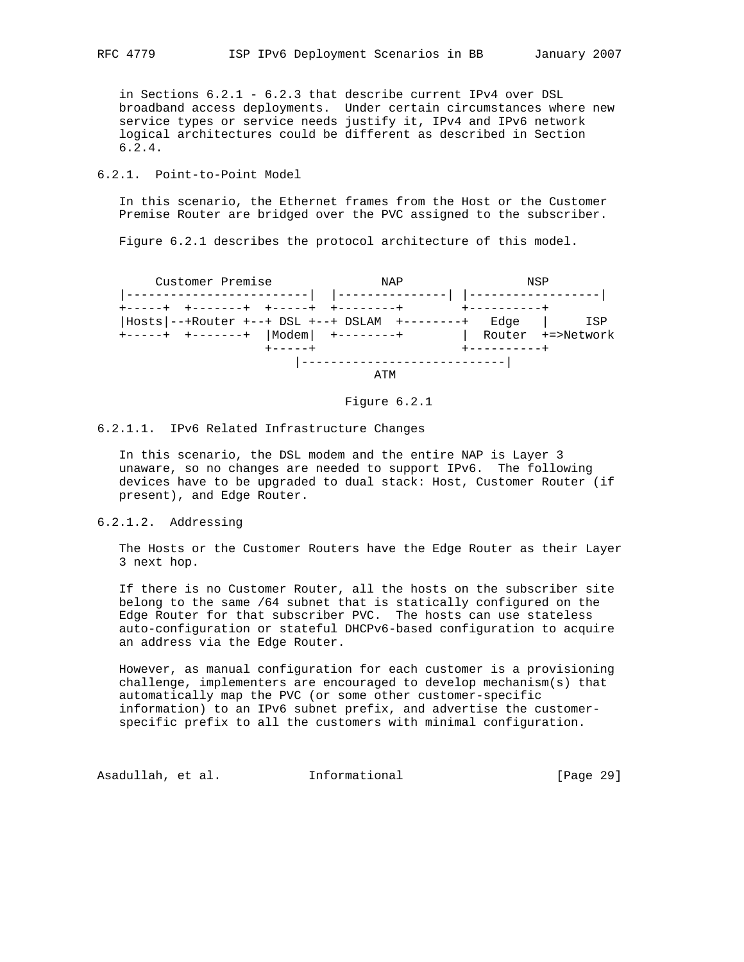in Sections 6.2.1 - 6.2.3 that describe current IPv4 over DSL broadband access deployments. Under certain circumstances where new service types or service needs justify it, IPv4 and IPv6 network logical architectures could be different as described in Section 6.2.4.

## 6.2.1. Point-to-Point Model

 In this scenario, the Ethernet frames from the Host or the Customer Premise Router are bridged over the PVC assigned to the subscriber.

Figure 6.2.1 describes the protocol architecture of this model.

 Customer Premise NAP NSP |-------------------------| |---------------| |------------------| +-----+ +-------+ +-----+ +--------+ +----------+ |Hosts|--+Router +--+ DSL +--+ DSLAM +--------+ Edge | ISP +-----+ +-------+ |Modem| +--------+ | Router +=>Network +-----+ +----------+ |----------------------------| ATM



## 6.2.1.1. IPv6 Related Infrastructure Changes

 In this scenario, the DSL modem and the entire NAP is Layer 3 unaware, so no changes are needed to support IPv6. The following devices have to be upgraded to dual stack: Host, Customer Router (if present), and Edge Router.

## 6.2.1.2. Addressing

 The Hosts or the Customer Routers have the Edge Router as their Layer 3 next hop.

 If there is no Customer Router, all the hosts on the subscriber site belong to the same /64 subnet that is statically configured on the Edge Router for that subscriber PVC. The hosts can use stateless auto-configuration or stateful DHCPv6-based configuration to acquire an address via the Edge Router.

 However, as manual configuration for each customer is a provisioning challenge, implementers are encouraged to develop mechanism(s) that automatically map the PVC (or some other customer-specific information) to an IPv6 subnet prefix, and advertise the customer specific prefix to all the customers with minimal configuration.

Asadullah, et al. 1nformational 1999 [Page 29]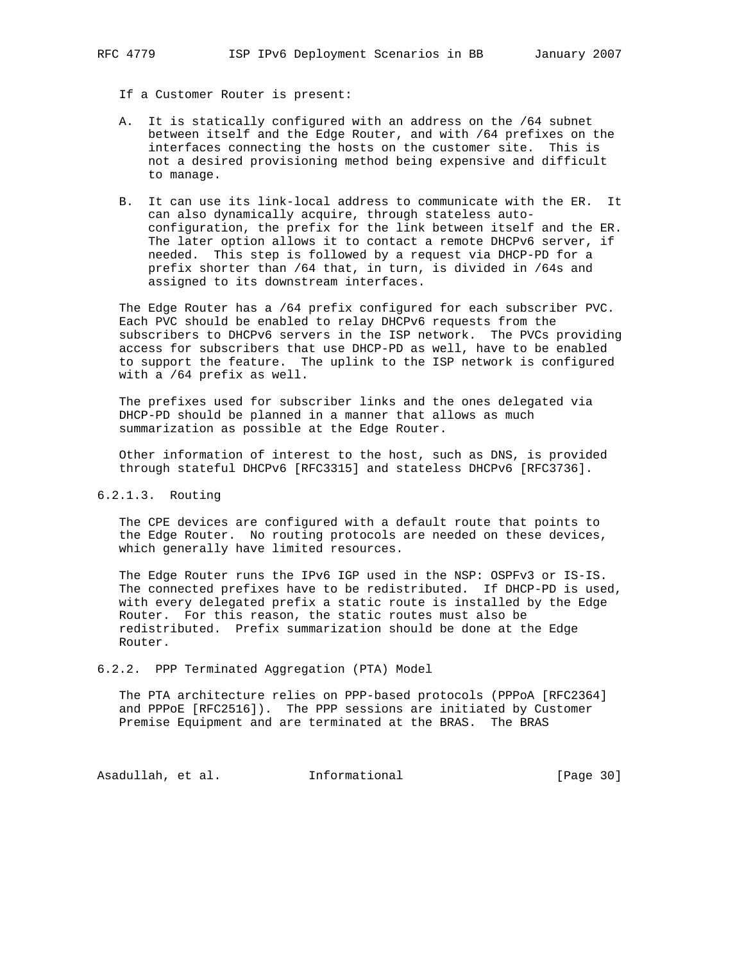- If a Customer Router is present:
- A. It is statically configured with an address on the /64 subnet between itself and the Edge Router, and with /64 prefixes on the interfaces connecting the hosts on the customer site. This is not a desired provisioning method being expensive and difficult to manage.
- B. It can use its link-local address to communicate with the ER. It can also dynamically acquire, through stateless auto configuration, the prefix for the link between itself and the ER. The later option allows it to contact a remote DHCPv6 server, if needed. This step is followed by a request via DHCP-PD for a prefix shorter than /64 that, in turn, is divided in /64s and assigned to its downstream interfaces.

 The Edge Router has a /64 prefix configured for each subscriber PVC. Each PVC should be enabled to relay DHCPv6 requests from the subscribers to DHCPv6 servers in the ISP network. The PVCs providing access for subscribers that use DHCP-PD as well, have to be enabled to support the feature. The uplink to the ISP network is configured with a /64 prefix as well.

 The prefixes used for subscriber links and the ones delegated via DHCP-PD should be planned in a manner that allows as much summarization as possible at the Edge Router.

 Other information of interest to the host, such as DNS, is provided through stateful DHCPv6 [RFC3315] and stateless DHCPv6 [RFC3736].

## 6.2.1.3. Routing

 The CPE devices are configured with a default route that points to the Edge Router. No routing protocols are needed on these devices, which generally have limited resources.

 The Edge Router runs the IPv6 IGP used in the NSP: OSPFv3 or IS-IS. The connected prefixes have to be redistributed. If DHCP-PD is used, with every delegated prefix a static route is installed by the Edge Router. For this reason, the static routes must also be redistributed. Prefix summarization should be done at the Edge Router.

6.2.2. PPP Terminated Aggregation (PTA) Model

 The PTA architecture relies on PPP-based protocols (PPPoA [RFC2364] and PPPoE [RFC2516]). The PPP sessions are initiated by Customer Premise Equipment and are terminated at the BRAS. The BRAS

Asadullah, et al. 1nformational [Page 30]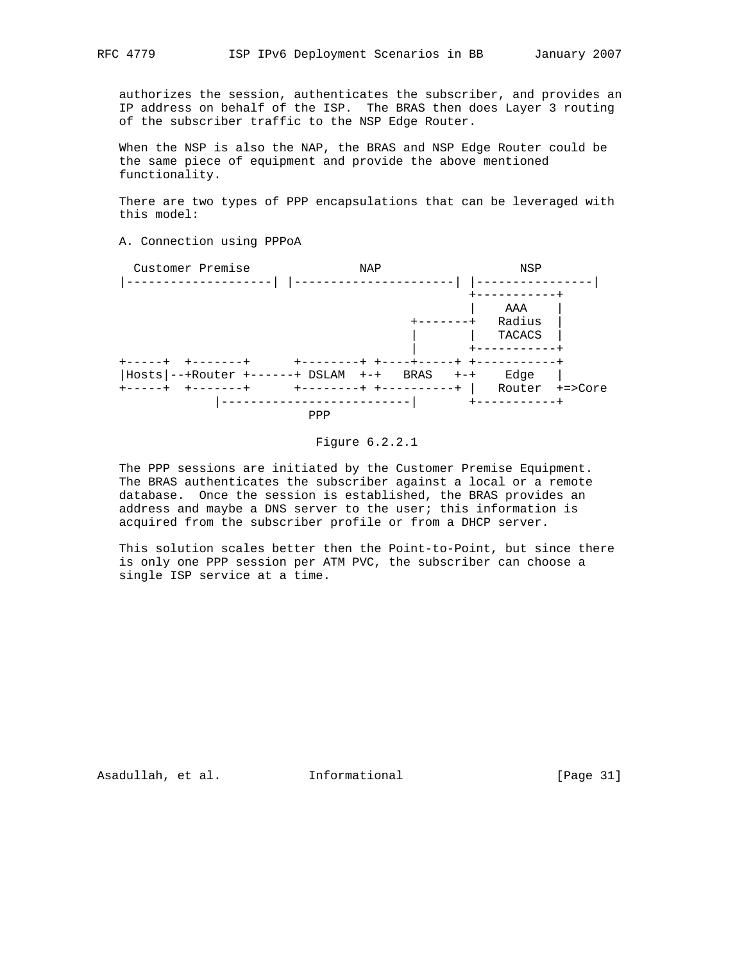authorizes the session, authenticates the subscriber, and provides an IP address on behalf of the ISP. The BRAS then does Layer 3 routing of the subscriber traffic to the NSP Edge Router.

 When the NSP is also the NAP, the BRAS and NSP Edge Router could be the same piece of equipment and provide the above mentioned functionality.

 There are two types of PPP encapsulations that can be leveraged with this model:

A. Connection using PPPoA



Figure 6.2.2.1

 The PPP sessions are initiated by the Customer Premise Equipment. The BRAS authenticates the subscriber against a local or a remote database. Once the session is established, the BRAS provides an address and maybe a DNS server to the user; this information is acquired from the subscriber profile or from a DHCP server.

 This solution scales better then the Point-to-Point, but since there is only one PPP session per ATM PVC, the subscriber can choose a single ISP service at a time.

Asadullah, et al. Informational [Page 31]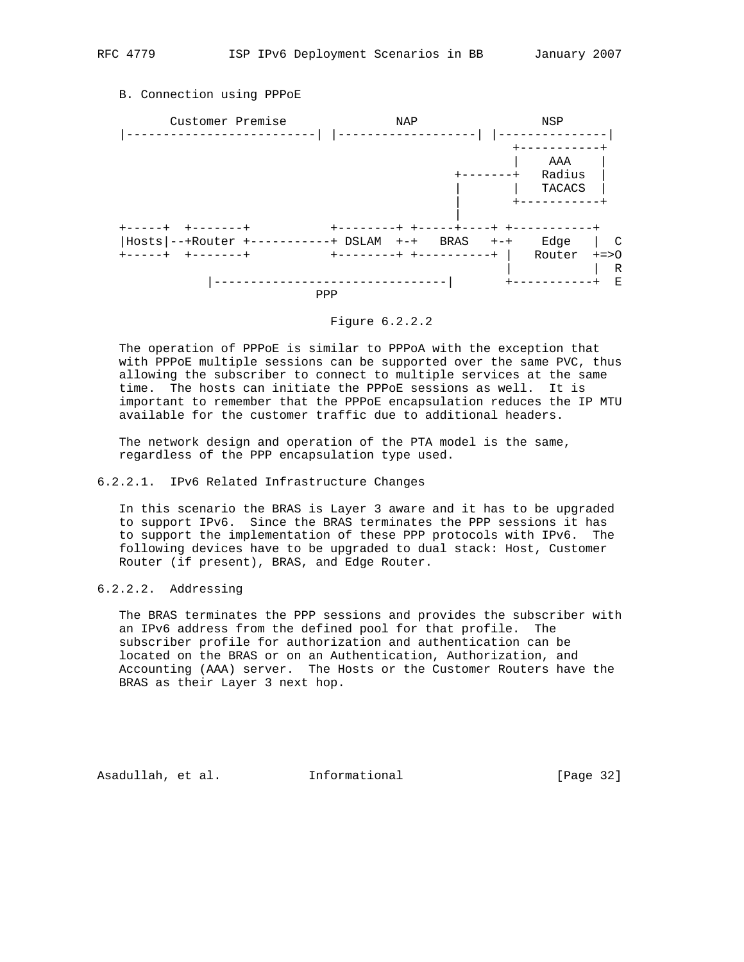## B. Connection using PPPoE



## Figure 6.2.2.2

 The operation of PPPoE is similar to PPPoA with the exception that with PPPoE multiple sessions can be supported over the same PVC, thus allowing the subscriber to connect to multiple services at the same time. The hosts can initiate the PPPoE sessions as well. It is important to remember that the PPPoE encapsulation reduces the IP MTU available for the customer traffic due to additional headers.

 The network design and operation of the PTA model is the same, regardless of the PPP encapsulation type used.

### 6.2.2.1. IPv6 Related Infrastructure Changes

 In this scenario the BRAS is Layer 3 aware and it has to be upgraded to support IPv6. Since the BRAS terminates the PPP sessions it has to support the implementation of these PPP protocols with IPv6. The following devices have to be upgraded to dual stack: Host, Customer Router (if present), BRAS, and Edge Router.

## 6.2.2.2. Addressing

 The BRAS terminates the PPP sessions and provides the subscriber with an IPv6 address from the defined pool for that profile. The subscriber profile for authorization and authentication can be located on the BRAS or on an Authentication, Authorization, and Accounting (AAA) server. The Hosts or the Customer Routers have the BRAS as their Layer 3 next hop.

Asadullah, et al. Informational [Page 32]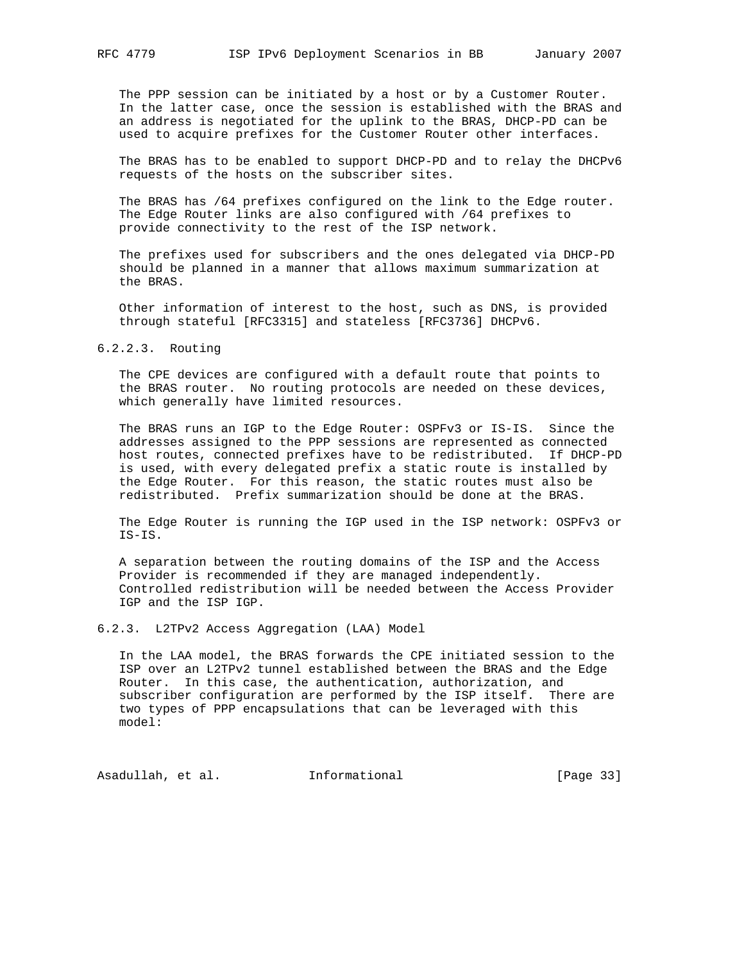The PPP session can be initiated by a host or by a Customer Router. In the latter case, once the session is established with the BRAS and an address is negotiated for the uplink to the BRAS, DHCP-PD can be used to acquire prefixes for the Customer Router other interfaces.

 The BRAS has to be enabled to support DHCP-PD and to relay the DHCPv6 requests of the hosts on the subscriber sites.

 The BRAS has /64 prefixes configured on the link to the Edge router. The Edge Router links are also configured with /64 prefixes to provide connectivity to the rest of the ISP network.

 The prefixes used for subscribers and the ones delegated via DHCP-PD should be planned in a manner that allows maximum summarization at the BRAS.

 Other information of interest to the host, such as DNS, is provided through stateful [RFC3315] and stateless [RFC3736] DHCPv6.

#### 6.2.2.3. Routing

 The CPE devices are configured with a default route that points to the BRAS router. No routing protocols are needed on these devices, which generally have limited resources.

 The BRAS runs an IGP to the Edge Router: OSPFv3 or IS-IS. Since the addresses assigned to the PPP sessions are represented as connected host routes, connected prefixes have to be redistributed. If DHCP-PD is used, with every delegated prefix a static route is installed by the Edge Router. For this reason, the static routes must also be redistributed. Prefix summarization should be done at the BRAS.

 The Edge Router is running the IGP used in the ISP network: OSPFv3 or IS-IS.

 A separation between the routing domains of the ISP and the Access Provider is recommended if they are managed independently. Controlled redistribution will be needed between the Access Provider IGP and the ISP IGP.

6.2.3. L2TPv2 Access Aggregation (LAA) Model

 In the LAA model, the BRAS forwards the CPE initiated session to the ISP over an L2TPv2 tunnel established between the BRAS and the Edge Router. In this case, the authentication, authorization, and subscriber configuration are performed by the ISP itself. There are two types of PPP encapsulations that can be leveraged with this model:

Asadullah, et al. 1nformational [Page 33]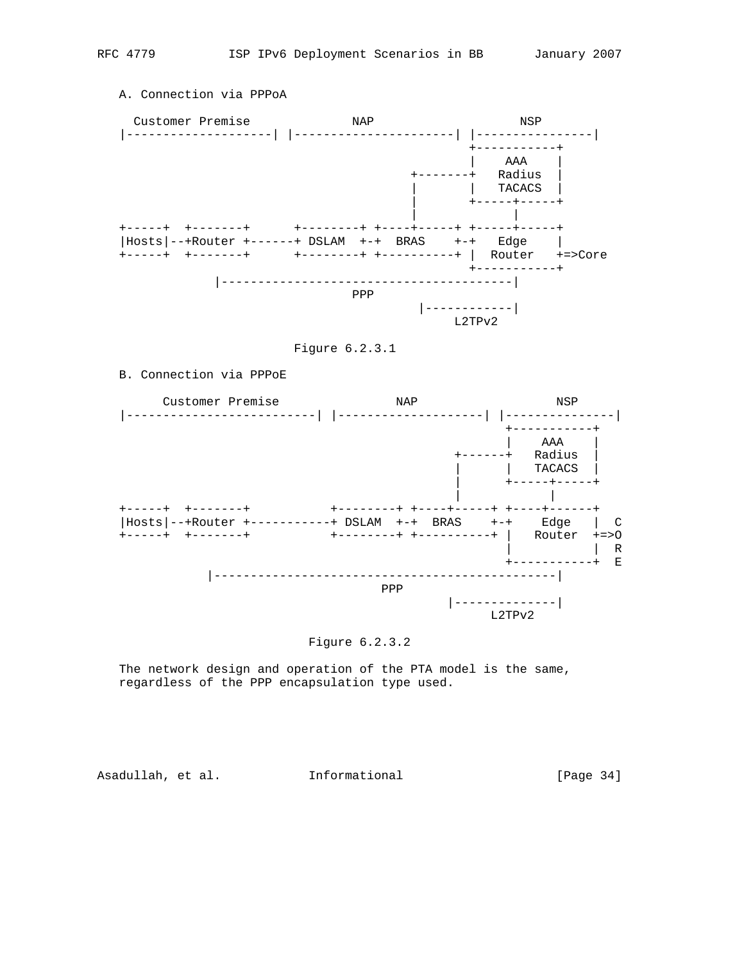

## A. Connection via PPPoA



Figure 6.2.3.1

## B. Connection via PPPoE



## Figure 6.2.3.2

 The network design and operation of the PTA model is the same, regardless of the PPP encapsulation type used.

Asadullah, et al. 1nformational [Page 34]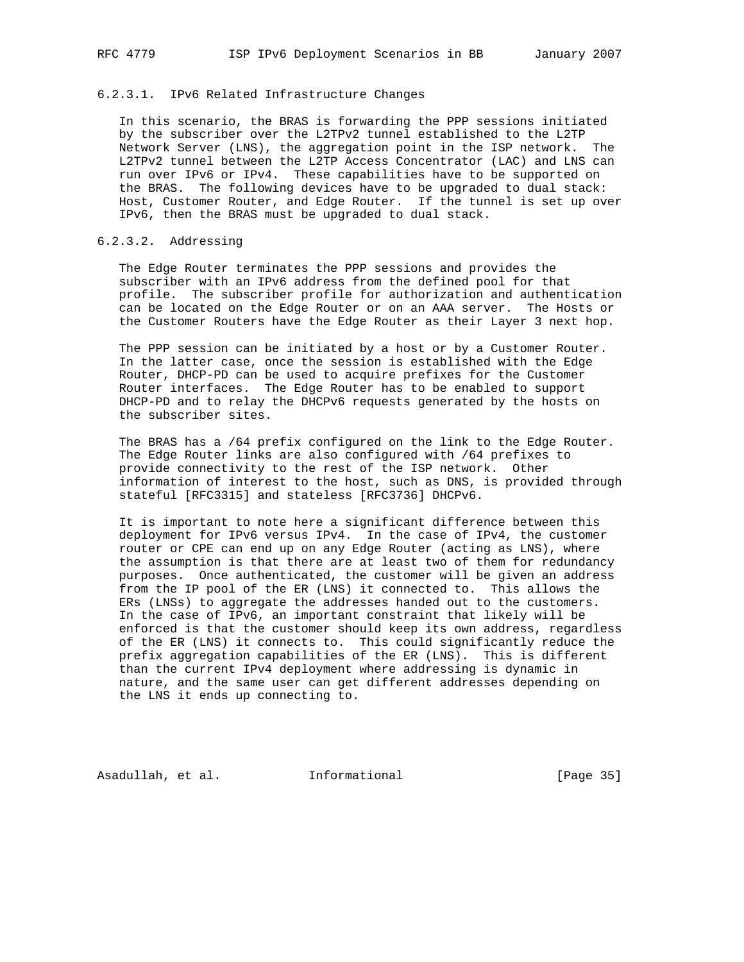## 6.2.3.1. IPv6 Related Infrastructure Changes

 In this scenario, the BRAS is forwarding the PPP sessions initiated by the subscriber over the L2TPv2 tunnel established to the L2TP Network Server (LNS), the aggregation point in the ISP network. The L2TPv2 tunnel between the L2TP Access Concentrator (LAC) and LNS can run over IPv6 or IPv4. These capabilities have to be supported on the BRAS. The following devices have to be upgraded to dual stack: Host, Customer Router, and Edge Router. If the tunnel is set up over IPv6, then the BRAS must be upgraded to dual stack.

## 6.2.3.2. Addressing

 The Edge Router terminates the PPP sessions and provides the subscriber with an IPv6 address from the defined pool for that profile. The subscriber profile for authorization and authentication can be located on the Edge Router or on an AAA server. The Hosts or the Customer Routers have the Edge Router as their Layer 3 next hop.

 The PPP session can be initiated by a host or by a Customer Router. In the latter case, once the session is established with the Edge Router, DHCP-PD can be used to acquire prefixes for the Customer Router interfaces. The Edge Router has to be enabled to support DHCP-PD and to relay the DHCPv6 requests generated by the hosts on the subscriber sites.

 The BRAS has a /64 prefix configured on the link to the Edge Router. The Edge Router links are also configured with /64 prefixes to provide connectivity to the rest of the ISP network. Other information of interest to the host, such as DNS, is provided through stateful [RFC3315] and stateless [RFC3736] DHCPv6.

 It is important to note here a significant difference between this deployment for IPv6 versus IPv4. In the case of IPv4, the customer router or CPE can end up on any Edge Router (acting as LNS), where the assumption is that there are at least two of them for redundancy purposes. Once authenticated, the customer will be given an address from the IP pool of the ER (LNS) it connected to. This allows the ERs (LNSs) to aggregate the addresses handed out to the customers. In the case of IPv6, an important constraint that likely will be enforced is that the customer should keep its own address, regardless of the ER (LNS) it connects to. This could significantly reduce the prefix aggregation capabilities of the ER (LNS). This is different than the current IPv4 deployment where addressing is dynamic in nature, and the same user can get different addresses depending on the LNS it ends up connecting to.

Asadullah, et al. Informational [Page 35]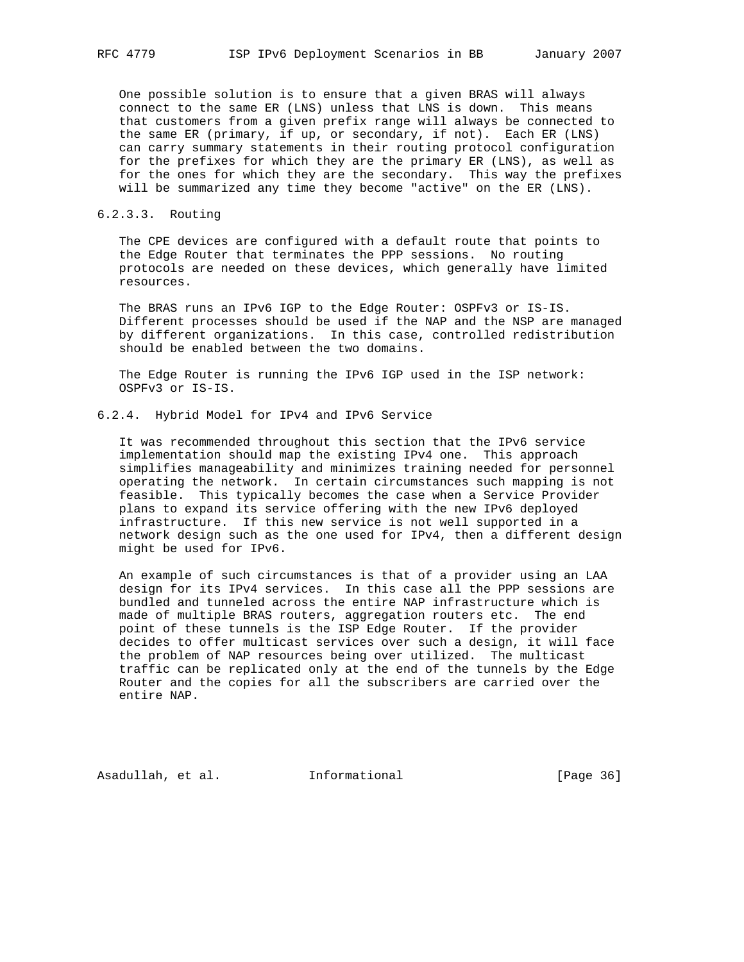One possible solution is to ensure that a given BRAS will always connect to the same ER (LNS) unless that LNS is down. This means that customers from a given prefix range will always be connected to the same ER (primary, if up, or secondary, if not). Each ER (LNS) can carry summary statements in their routing protocol configuration for the prefixes for which they are the primary ER (LNS), as well as for the ones for which they are the secondary. This way the prefixes will be summarized any time they become "active" on the ER (LNS).

### 6.2.3.3. Routing

 The CPE devices are configured with a default route that points to the Edge Router that terminates the PPP sessions. No routing protocols are needed on these devices, which generally have limited resources.

 The BRAS runs an IPv6 IGP to the Edge Router: OSPFv3 or IS-IS. Different processes should be used if the NAP and the NSP are managed by different organizations. In this case, controlled redistribution should be enabled between the two domains.

 The Edge Router is running the IPv6 IGP used in the ISP network: OSPFv3 or IS-IS.

### 6.2.4. Hybrid Model for IPv4 and IPv6 Service

 It was recommended throughout this section that the IPv6 service implementation should map the existing IPv4 one. This approach simplifies manageability and minimizes training needed for personnel operating the network. In certain circumstances such mapping is not feasible. This typically becomes the case when a Service Provider plans to expand its service offering with the new IPv6 deployed infrastructure. If this new service is not well supported in a network design such as the one used for IPv4, then a different design might be used for IPv6.

 An example of such circumstances is that of a provider using an LAA design for its IPv4 services. In this case all the PPP sessions are bundled and tunneled across the entire NAP infrastructure which is made of multiple BRAS routers, aggregation routers etc. The end point of these tunnels is the ISP Edge Router. If the provider decides to offer multicast services over such a design, it will face the problem of NAP resources being over utilized. The multicast traffic can be replicated only at the end of the tunnels by the Edge Router and the copies for all the subscribers are carried over the entire NAP.

Asadullah, et al. Informational [Page 36]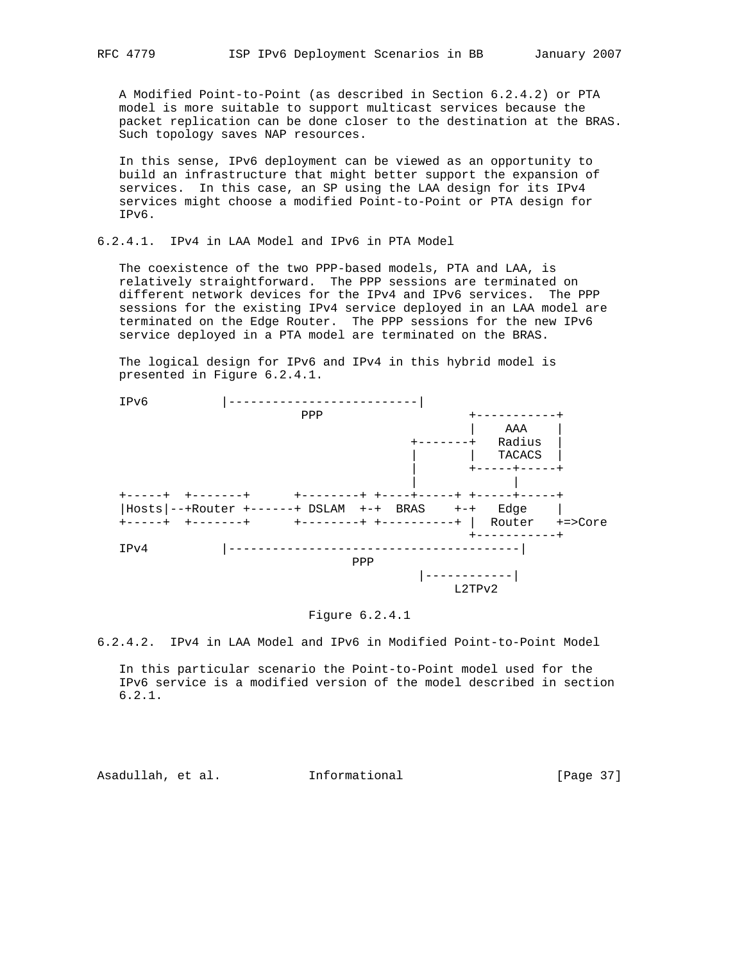A Modified Point-to-Point (as described in Section 6.2.4.2) or PTA model is more suitable to support multicast services because the packet replication can be done closer to the destination at the BRAS. Such topology saves NAP resources.

 In this sense, IPv6 deployment can be viewed as an opportunity to build an infrastructure that might better support the expansion of services. In this case, an SP using the LAA design for its IPv4 services might choose a modified Point-to-Point or PTA design for IPv6.

## 6.2.4.1. IPv4 in LAA Model and IPv6 in PTA Model

 The coexistence of the two PPP-based models, PTA and LAA, is relatively straightforward. The PPP sessions are terminated on different network devices for the IPv4 and IPv6 services. The PPP sessions for the existing IPv4 service deployed in an LAA model are terminated on the Edge Router. The PPP sessions for the new IPv6 service deployed in a PTA model are terminated on the BRAS.

 The logical design for IPv6 and IPv4 in this hybrid model is presented in Figure 6.2.4.1.



#### Figure 6.2.4.1

6.2.4.2. IPv4 in LAA Model and IPv6 in Modified Point-to-Point Model

 In this particular scenario the Point-to-Point model used for the IPv6 service is a modified version of the model described in section 6.2.1.

Asadullah, et al. Informational [Page 37]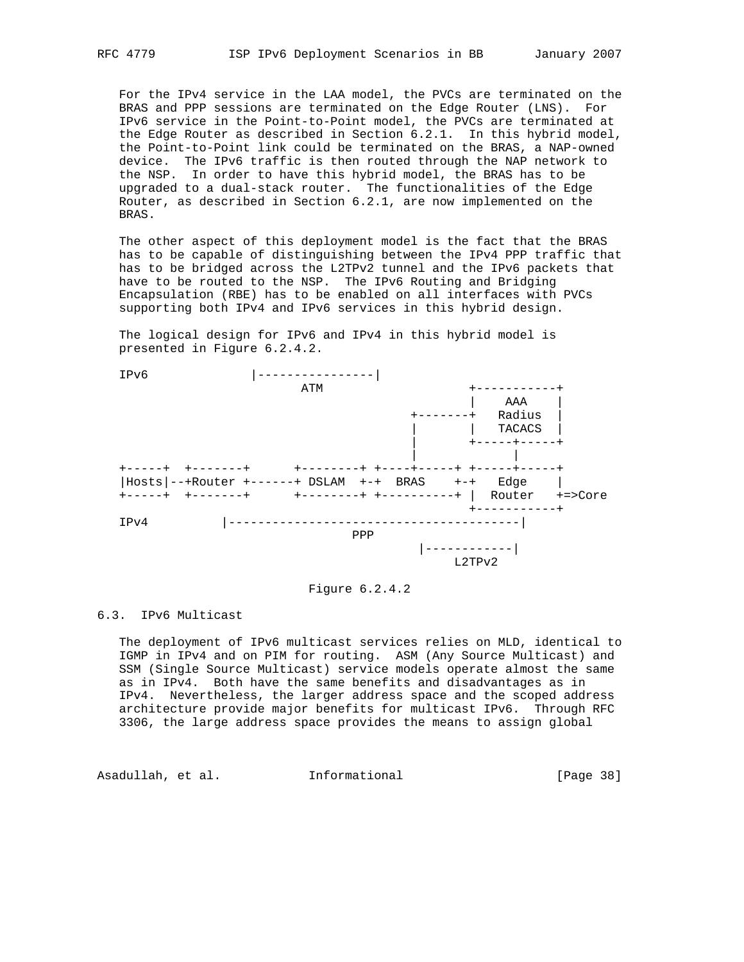For the IPv4 service in the LAA model, the PVCs are terminated on the BRAS and PPP sessions are terminated on the Edge Router (LNS). For IPv6 service in the Point-to-Point model, the PVCs are terminated at the Edge Router as described in Section 6.2.1. In this hybrid model, the Point-to-Point link could be terminated on the BRAS, a NAP-owned device. The IPv6 traffic is then routed through the NAP network to the NSP. In order to have this hybrid model, the BRAS has to be upgraded to a dual-stack router. The functionalities of the Edge Router, as described in Section 6.2.1, are now implemented on the BRAS.

 The other aspect of this deployment model is the fact that the BRAS has to be capable of distinguishing between the IPv4 PPP traffic that has to be bridged across the L2TPv2 tunnel and the IPv6 packets that have to be routed to the NSP. The IPv6 Routing and Bridging Encapsulation (RBE) has to be enabled on all interfaces with PVCs supporting both IPv4 and IPv6 services in this hybrid design.

 The logical design for IPv6 and IPv4 in this hybrid model is presented in Figure 6.2.4.2.



Figure 6.2.4.2

#### 6.3. IPv6 Multicast

 The deployment of IPv6 multicast services relies on MLD, identical to IGMP in IPv4 and on PIM for routing. ASM (Any Source Multicast) and SSM (Single Source Multicast) service models operate almost the same as in IPv4. Both have the same benefits and disadvantages as in IPv4. Nevertheless, the larger address space and the scoped address architecture provide major benefits for multicast IPv6. Through RFC 3306, the large address space provides the means to assign global

Asadullah, et al. 1nformational 1999 [Page 38]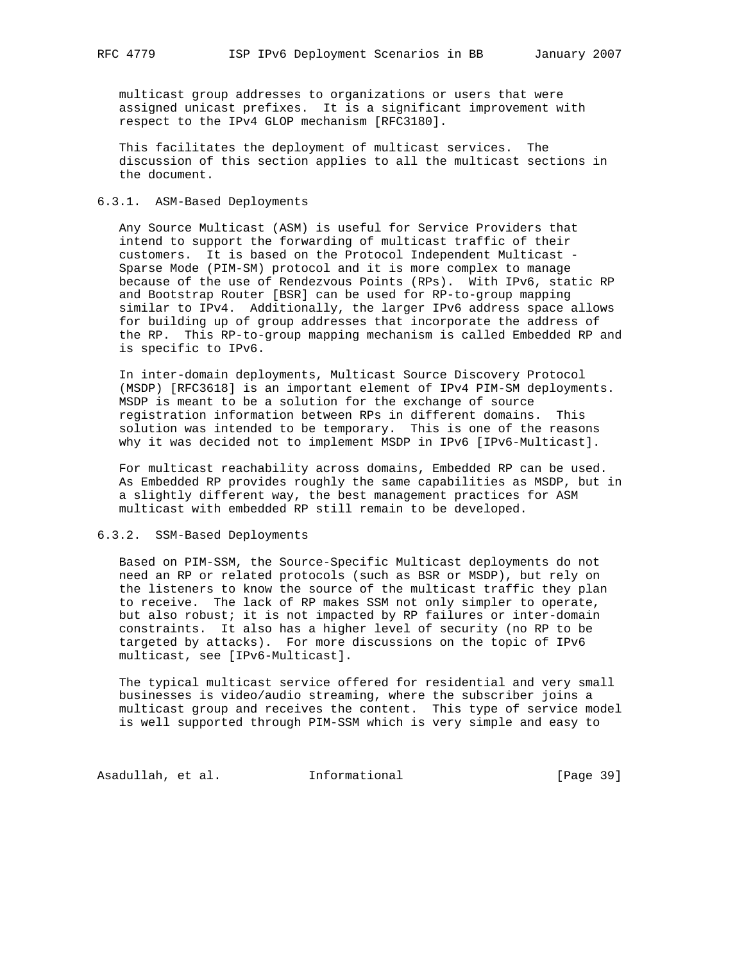multicast group addresses to organizations or users that were assigned unicast prefixes. It is a significant improvement with respect to the IPv4 GLOP mechanism [RFC3180].

 This facilitates the deployment of multicast services. The discussion of this section applies to all the multicast sections in the document.

### 6.3.1. ASM-Based Deployments

 Any Source Multicast (ASM) is useful for Service Providers that intend to support the forwarding of multicast traffic of their customers. It is based on the Protocol Independent Multicast - Sparse Mode (PIM-SM) protocol and it is more complex to manage because of the use of Rendezvous Points (RPs). With IPv6, static RP and Bootstrap Router [BSR] can be used for RP-to-group mapping similar to IPv4. Additionally, the larger IPv6 address space allows for building up of group addresses that incorporate the address of the RP. This RP-to-group mapping mechanism is called Embedded RP and is specific to IPv6.

 In inter-domain deployments, Multicast Source Discovery Protocol (MSDP) [RFC3618] is an important element of IPv4 PIM-SM deployments. MSDP is meant to be a solution for the exchange of source registration information between RPs in different domains. This solution was intended to be temporary. This is one of the reasons why it was decided not to implement MSDP in IPv6 [IPv6-Multicast].

 For multicast reachability across domains, Embedded RP can be used. As Embedded RP provides roughly the same capabilities as MSDP, but in a slightly different way, the best management practices for ASM multicast with embedded RP still remain to be developed.

### 6.3.2. SSM-Based Deployments

 Based on PIM-SSM, the Source-Specific Multicast deployments do not need an RP or related protocols (such as BSR or MSDP), but rely on the listeners to know the source of the multicast traffic they plan to receive. The lack of RP makes SSM not only simpler to operate, but also robust; it is not impacted by RP failures or inter-domain constraints. It also has a higher level of security (no RP to be targeted by attacks). For more discussions on the topic of IPv6 multicast, see [IPv6-Multicast].

 The typical multicast service offered for residential and very small businesses is video/audio streaming, where the subscriber joins a multicast group and receives the content. This type of service model is well supported through PIM-SSM which is very simple and easy to

Asadullah, et al. 1nformational 1999 [Page 39]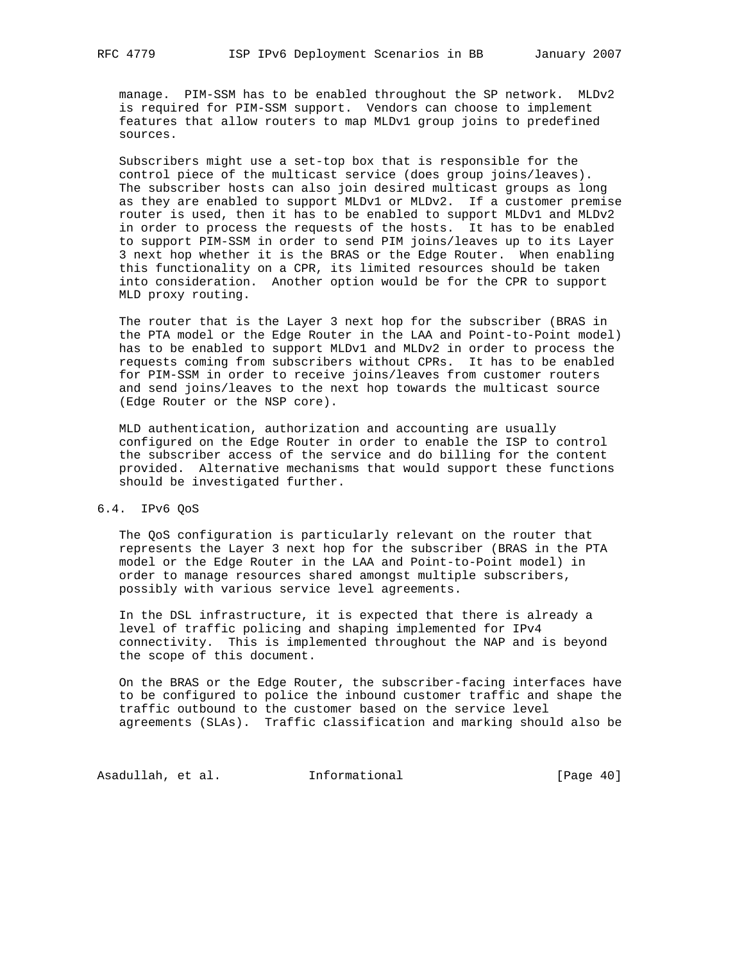manage. PIM-SSM has to be enabled throughout the SP network. MLDv2 is required for PIM-SSM support. Vendors can choose to implement features that allow routers to map MLDv1 group joins to predefined sources.

 Subscribers might use a set-top box that is responsible for the control piece of the multicast service (does group joins/leaves). The subscriber hosts can also join desired multicast groups as long as they are enabled to support MLDv1 or MLDv2. If a customer premise router is used, then it has to be enabled to support MLDv1 and MLDv2 in order to process the requests of the hosts. It has to be enabled to support PIM-SSM in order to send PIM joins/leaves up to its Layer 3 next hop whether it is the BRAS or the Edge Router. When enabling this functionality on a CPR, its limited resources should be taken into consideration. Another option would be for the CPR to support MLD proxy routing.

 The router that is the Layer 3 next hop for the subscriber (BRAS in the PTA model or the Edge Router in the LAA and Point-to-Point model) has to be enabled to support MLDv1 and MLDv2 in order to process the requests coming from subscribers without CPRs. It has to be enabled for PIM-SSM in order to receive joins/leaves from customer routers and send joins/leaves to the next hop towards the multicast source (Edge Router or the NSP core).

 MLD authentication, authorization and accounting are usually configured on the Edge Router in order to enable the ISP to control the subscriber access of the service and do billing for the content provided. Alternative mechanisms that would support these functions should be investigated further.

### 6.4. IPv6 QoS

 The QoS configuration is particularly relevant on the router that represents the Layer 3 next hop for the subscriber (BRAS in the PTA model or the Edge Router in the LAA and Point-to-Point model) in order to manage resources shared amongst multiple subscribers, possibly with various service level agreements.

 In the DSL infrastructure, it is expected that there is already a level of traffic policing and shaping implemented for IPv4 connectivity. This is implemented throughout the NAP and is beyond the scope of this document.

 On the BRAS or the Edge Router, the subscriber-facing interfaces have to be configured to police the inbound customer traffic and shape the traffic outbound to the customer based on the service level agreements (SLAs). Traffic classification and marking should also be

Asadullah, et al. 1nformational 1999 [Page 40]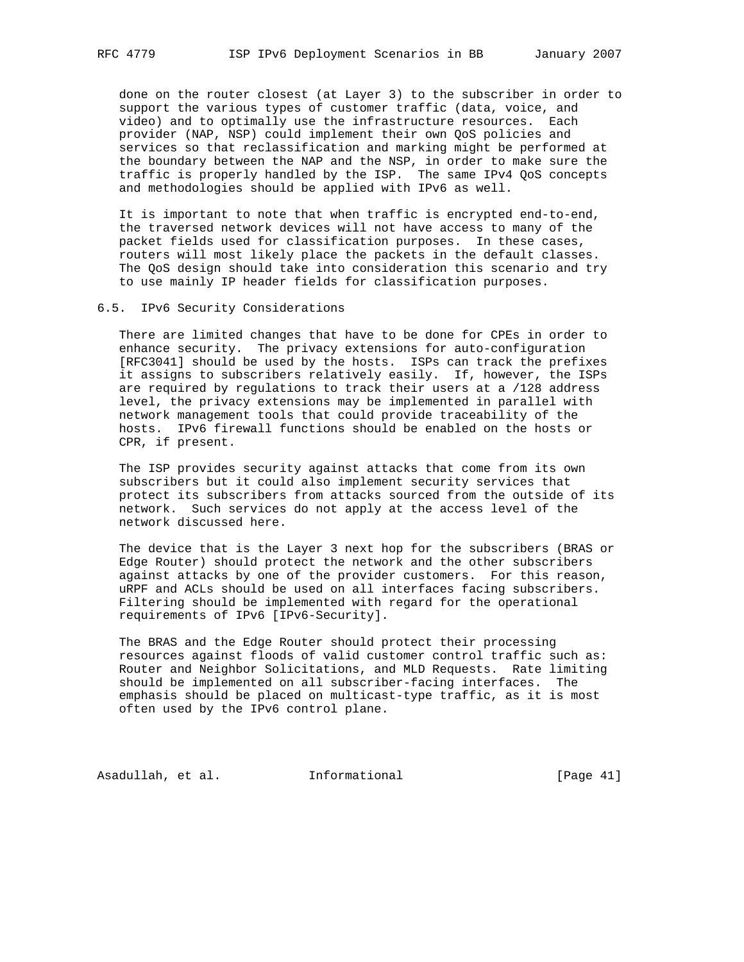done on the router closest (at Layer 3) to the subscriber in order to support the various types of customer traffic (data, voice, and video) and to optimally use the infrastructure resources. Each provider (NAP, NSP) could implement their own QoS policies and services so that reclassification and marking might be performed at the boundary between the NAP and the NSP, in order to make sure the traffic is properly handled by the ISP. The same IPv4 QoS concepts and methodologies should be applied with IPv6 as well.

 It is important to note that when traffic is encrypted end-to-end, the traversed network devices will not have access to many of the packet fields used for classification purposes. In these cases, routers will most likely place the packets in the default classes. The QoS design should take into consideration this scenario and try to use mainly IP header fields for classification purposes.

#### 6.5. IPv6 Security Considerations

 There are limited changes that have to be done for CPEs in order to enhance security. The privacy extensions for auto-configuration [RFC3041] should be used by the hosts. ISPs can track the prefixes it assigns to subscribers relatively easily. If, however, the ISPs are required by regulations to track their users at a /128 address level, the privacy extensions may be implemented in parallel with network management tools that could provide traceability of the hosts. IPv6 firewall functions should be enabled on the hosts or CPR, if present.

 The ISP provides security against attacks that come from its own subscribers but it could also implement security services that protect its subscribers from attacks sourced from the outside of its network. Such services do not apply at the access level of the network discussed here.

 The device that is the Layer 3 next hop for the subscribers (BRAS or Edge Router) should protect the network and the other subscribers against attacks by one of the provider customers. For this reason, uRPF and ACLs should be used on all interfaces facing subscribers. Filtering should be implemented with regard for the operational requirements of IPv6 [IPv6-Security].

 The BRAS and the Edge Router should protect their processing resources against floods of valid customer control traffic such as: Router and Neighbor Solicitations, and MLD Requests. Rate limiting should be implemented on all subscriber-facing interfaces. The emphasis should be placed on multicast-type traffic, as it is most often used by the IPv6 control plane.

Asadullah, et al. 1nformational 1999 [Page 41]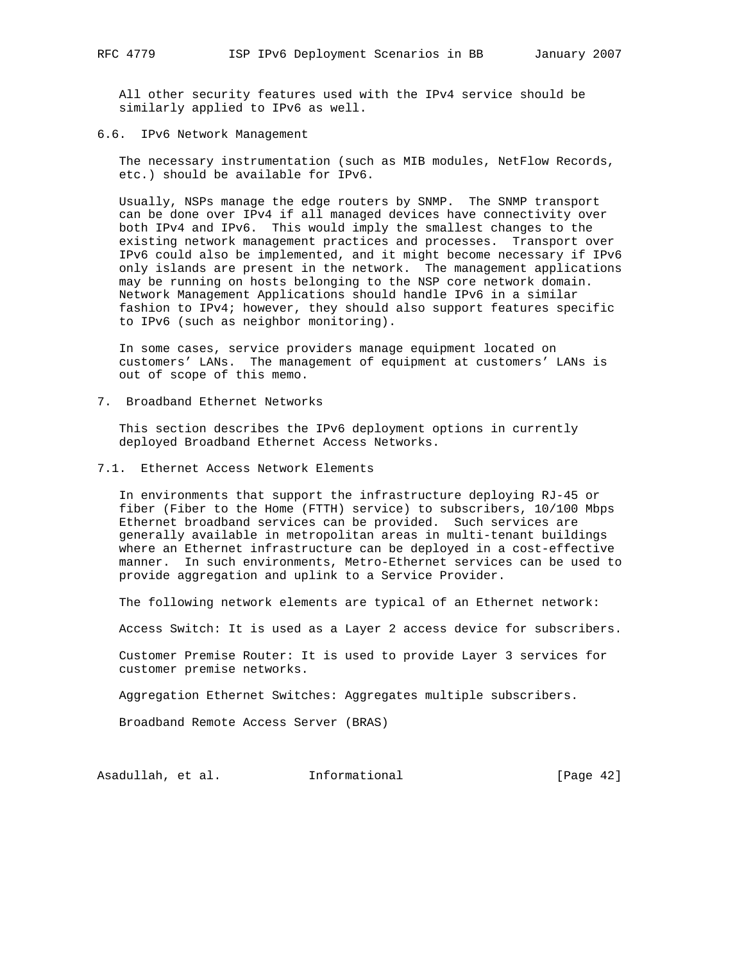All other security features used with the IPv4 service should be similarly applied to IPv6 as well.

6.6. IPv6 Network Management

 The necessary instrumentation (such as MIB modules, NetFlow Records, etc.) should be available for IPv6.

 Usually, NSPs manage the edge routers by SNMP. The SNMP transport can be done over IPv4 if all managed devices have connectivity over both IPv4 and IPv6. This would imply the smallest changes to the existing network management practices and processes. Transport over IPv6 could also be implemented, and it might become necessary if IPv6 only islands are present in the network. The management applications may be running on hosts belonging to the NSP core network domain. Network Management Applications should handle IPv6 in a similar fashion to IPv4; however, they should also support features specific to IPv6 (such as neighbor monitoring).

 In some cases, service providers manage equipment located on customers' LANs. The management of equipment at customers' LANs is out of scope of this memo.

7. Broadband Ethernet Networks

 This section describes the IPv6 deployment options in currently deployed Broadband Ethernet Access Networks.

7.1. Ethernet Access Network Elements

 In environments that support the infrastructure deploying RJ-45 or fiber (Fiber to the Home (FTTH) service) to subscribers, 10/100 Mbps Ethernet broadband services can be provided. Such services are generally available in metropolitan areas in multi-tenant buildings where an Ethernet infrastructure can be deployed in a cost-effective manner. In such environments, Metro-Ethernet services can be used to provide aggregation and uplink to a Service Provider.

The following network elements are typical of an Ethernet network:

Access Switch: It is used as a Layer 2 access device for subscribers.

 Customer Premise Router: It is used to provide Layer 3 services for customer premise networks.

Aggregation Ethernet Switches: Aggregates multiple subscribers.

Broadband Remote Access Server (BRAS)

Asadullah, et al. 1nformational [Page 42]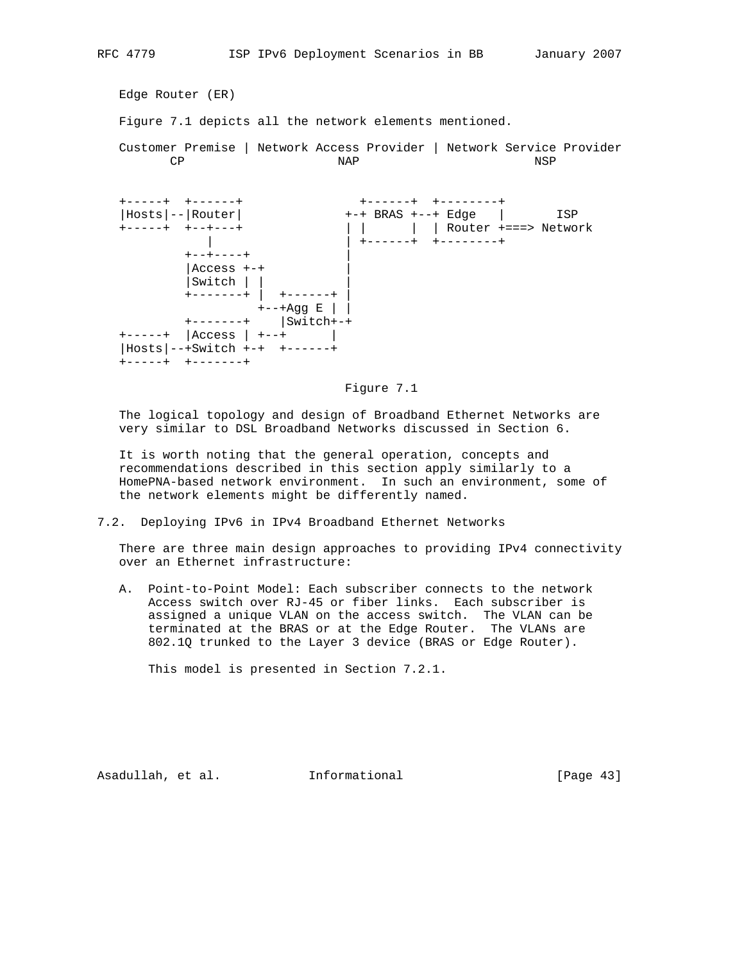Edge Router (ER) Figure 7.1 depicts all the network elements mentioned. Customer Premise | Network Access Provider | Network Service Provider CP NAP NSP +-----+ +------+ +------+ +--------+ |Hosts|--|Router| +-+ BRAS +--+ Edge | ISP +-----+ +--+---+ | | | | Router +===> Network | +-------+ +--------+  $+ - + - - - - +$  |  $|$ Access  $++$ |Switch | | |

 The logical topology and design of Broadband Ethernet Networks are very similar to DSL Broadband Networks discussed in Section 6. It is worth noting that the general operation, concepts and

Figure 7.1

 recommendations described in this section apply similarly to a HomePNA-based network environment. In such an environment, some of the network elements might be differently named.

7.2. Deploying IPv6 in IPv4 Broadband Ethernet Networks

 +-------+ | +------+ |  $+--+{\rm Agg}$  E  $\|$   $\|$  +-------+ |Switch+-+ +-----+ |Access | +--+ | |Hosts|--+Switch +-+ +------+

+-----+ +-------+

 There are three main design approaches to providing IPv4 connectivity over an Ethernet infrastructure:

 A. Point-to-Point Model: Each subscriber connects to the network Access switch over RJ-45 or fiber links. Each subscriber is assigned a unique VLAN on the access switch. The VLAN can be terminated at the BRAS or at the Edge Router. The VLANs are 802.1Q trunked to the Layer 3 device (BRAS or Edge Router).

This model is presented in Section 7.2.1.

Asadullah, et al. 1nformational [Page 43]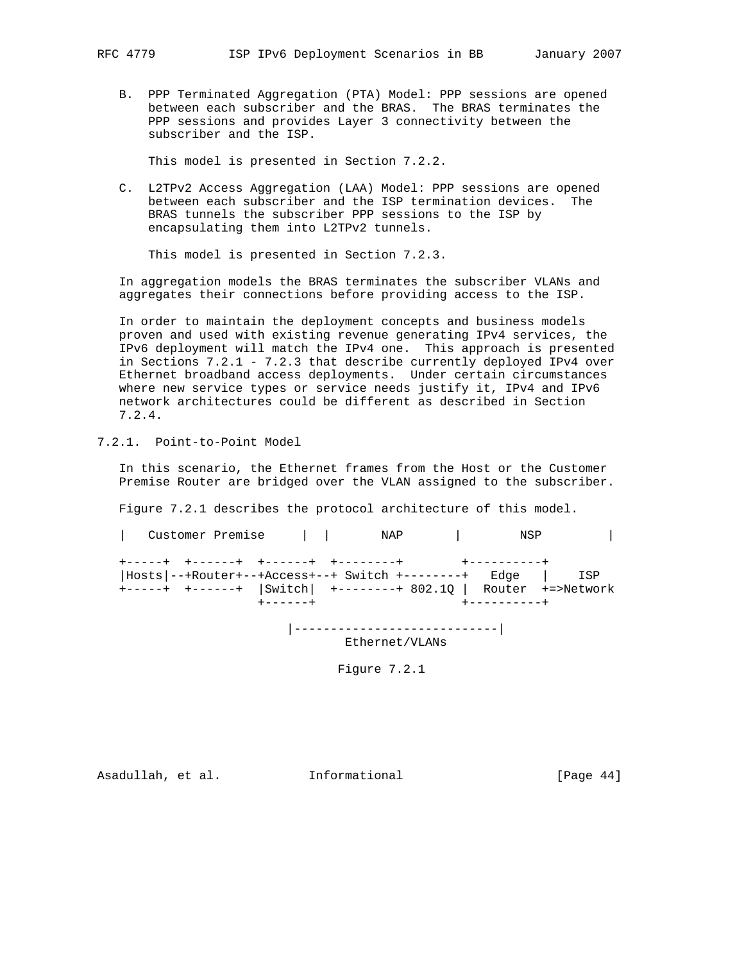B. PPP Terminated Aggregation (PTA) Model: PPP sessions are opened between each subscriber and the BRAS. The BRAS terminates the PPP sessions and provides Layer 3 connectivity between the subscriber and the ISP.

This model is presented in Section 7.2.2.

 C. L2TPv2 Access Aggregation (LAA) Model: PPP sessions are opened between each subscriber and the ISP termination devices. The BRAS tunnels the subscriber PPP sessions to the ISP by encapsulating them into L2TPv2 tunnels.

This model is presented in Section 7.2.3.

 In aggregation models the BRAS terminates the subscriber VLANs and aggregates their connections before providing access to the ISP.

 In order to maintain the deployment concepts and business models proven and used with existing revenue generating IPv4 services, the IPv6 deployment will match the IPv4 one. This approach is presented in Sections 7.2.1 - 7.2.3 that describe currently deployed IPv4 over Ethernet broadband access deployments. Under certain circumstances where new service types or service needs justify it, IPv4 and IPv6 network architectures could be different as described in Section 7.2.4.

7.2.1. Point-to-Point Model

 In this scenario, the Ethernet frames from the Host or the Customer Premise Router are bridged over the VLAN assigned to the subscriber.

Figure 7.2.1 describes the protocol architecture of this model.

| Customer Premise                                                                                                                                                         |                 | NAP                        | <b>Contract Contract State</b> | NSP          |  |
|--------------------------------------------------------------------------------------------------------------------------------------------------------------------------|-----------------|----------------------------|--------------------------------|--------------|--|
| +------+ +------+ +------+ +--------+<br>$Hosts$ --+Router+--+Access+--+ Switch +--------+ Edge   ISP<br>+-----+ +------+  Switch  +--------+ 802.10   Router +=>Network |                 |                            | +----------+                   |              |  |
|                                                                                                                                                                          | $+ - - - - - +$ |                            |                                | +----------+ |  |
|                                                                                                                                                                          |                 | -------------------------- |                                |              |  |

Ethernet/VLANs

Figure 7.2.1

Asadullah, et al. Informational [Page 44]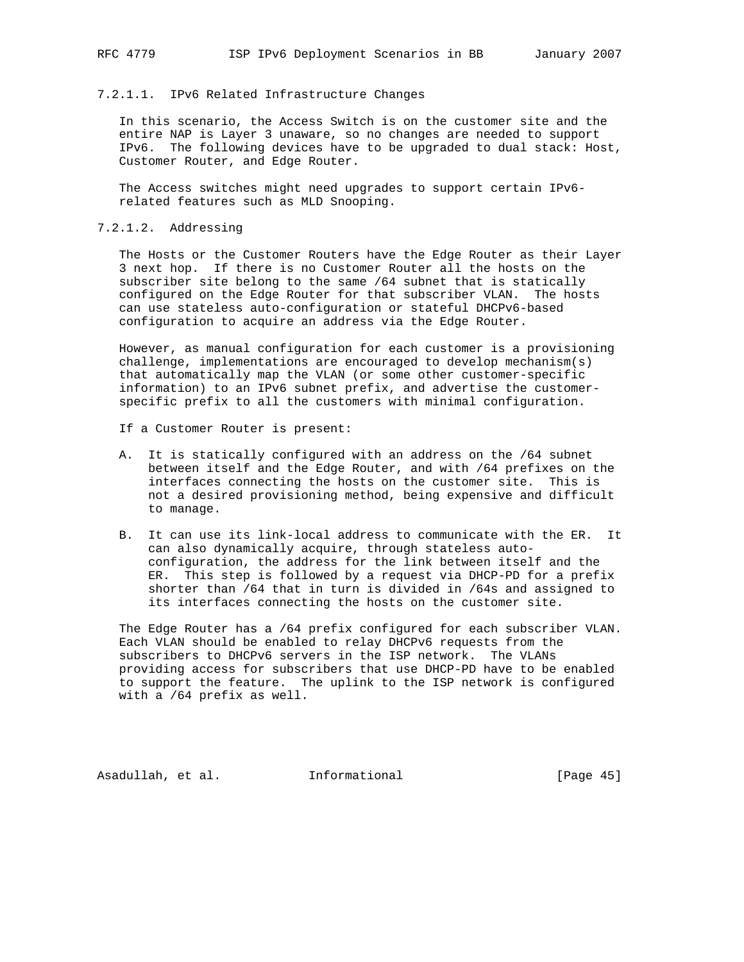### 7.2.1.1. IPv6 Related Infrastructure Changes

 In this scenario, the Access Switch is on the customer site and the entire NAP is Layer 3 unaware, so no changes are needed to support IPv6. The following devices have to be upgraded to dual stack: Host, Customer Router, and Edge Router.

 The Access switches might need upgrades to support certain IPv6 related features such as MLD Snooping.

### 7.2.1.2. Addressing

 The Hosts or the Customer Routers have the Edge Router as their Layer 3 next hop. If there is no Customer Router all the hosts on the subscriber site belong to the same /64 subnet that is statically configured on the Edge Router for that subscriber VLAN. The hosts can use stateless auto-configuration or stateful DHCPv6-based configuration to acquire an address via the Edge Router.

 However, as manual configuration for each customer is a provisioning challenge, implementations are encouraged to develop mechanism(s) that automatically map the VLAN (or some other customer-specific information) to an IPv6 subnet prefix, and advertise the customer specific prefix to all the customers with minimal configuration.

- If a Customer Router is present:
- A. It is statically configured with an address on the /64 subnet between itself and the Edge Router, and with /64 prefixes on the interfaces connecting the hosts on the customer site. This is not a desired provisioning method, being expensive and difficult to manage.
- B. It can use its link-local address to communicate with the ER. It can also dynamically acquire, through stateless auto configuration, the address for the link between itself and the ER. This step is followed by a request via DHCP-PD for a prefix shorter than /64 that in turn is divided in /64s and assigned to its interfaces connecting the hosts on the customer site.

 The Edge Router has a /64 prefix configured for each subscriber VLAN. Each VLAN should be enabled to relay DHCPv6 requests from the subscribers to DHCPv6 servers in the ISP network. The VLANs providing access for subscribers that use DHCP-PD have to be enabled to support the feature. The uplink to the ISP network is configured with a /64 prefix as well.

Asadullah, et al. Informational [Page 45]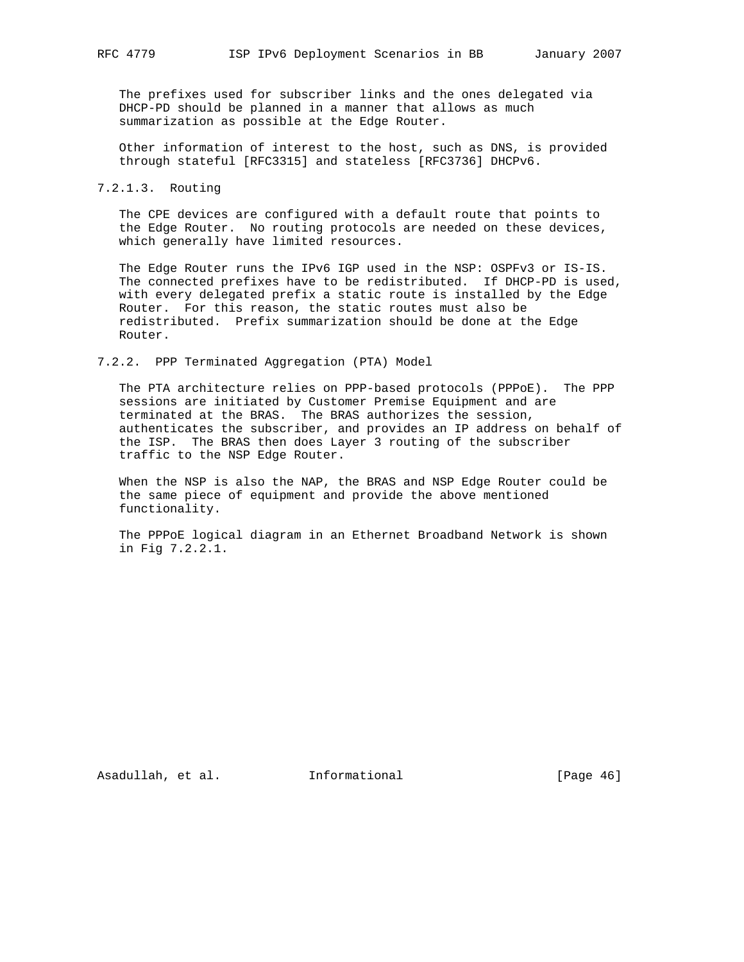The prefixes used for subscriber links and the ones delegated via DHCP-PD should be planned in a manner that allows as much summarization as possible at the Edge Router.

 Other information of interest to the host, such as DNS, is provided through stateful [RFC3315] and stateless [RFC3736] DHCPv6.

### 7.2.1.3. Routing

 The CPE devices are configured with a default route that points to the Edge Router. No routing protocols are needed on these devices, which generally have limited resources.

 The Edge Router runs the IPv6 IGP used in the NSP: OSPFv3 or IS-IS. The connected prefixes have to be redistributed. If DHCP-PD is used, with every delegated prefix a static route is installed by the Edge Router. For this reason, the static routes must also be redistributed. Prefix summarization should be done at the Edge Router.

7.2.2. PPP Terminated Aggregation (PTA) Model

 The PTA architecture relies on PPP-based protocols (PPPoE). The PPP sessions are initiated by Customer Premise Equipment and are terminated at the BRAS. The BRAS authorizes the session, authenticates the subscriber, and provides an IP address on behalf of the ISP. The BRAS then does Layer 3 routing of the subscriber traffic to the NSP Edge Router.

 When the NSP is also the NAP, the BRAS and NSP Edge Router could be the same piece of equipment and provide the above mentioned functionality.

 The PPPoE logical diagram in an Ethernet Broadband Network is shown in Fig 7.2.2.1.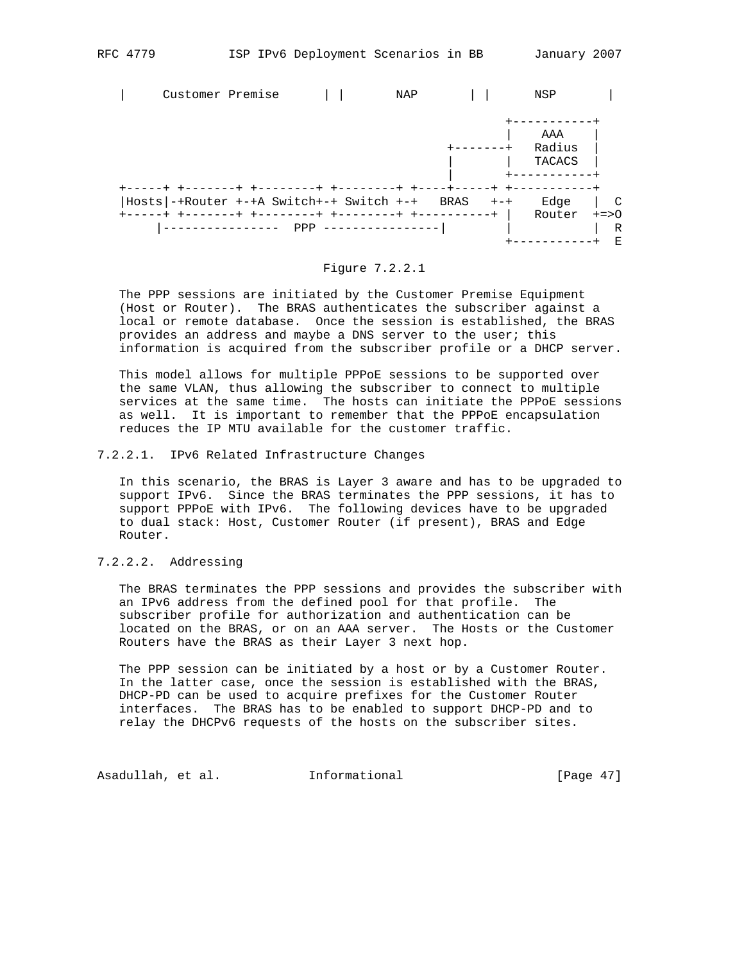+-----------+ E



Figure 7.2.2.1

|---------------- PPP ----------------| | | R

 The PPP sessions are initiated by the Customer Premise Equipment (Host or Router). The BRAS authenticates the subscriber against a local or remote database. Once the session is established, the BRAS provides an address and maybe a DNS server to the user; this information is acquired from the subscriber profile or a DHCP server.

 This model allows for multiple PPPoE sessions to be supported over the same VLAN, thus allowing the subscriber to connect to multiple services at the same time. The hosts can initiate the PPPoE sessions as well. It is important to remember that the PPPoE encapsulation reduces the IP MTU available for the customer traffic.

#### 7.2.2.1. IPv6 Related Infrastructure Changes

 In this scenario, the BRAS is Layer 3 aware and has to be upgraded to support IPv6. Since the BRAS terminates the PPP sessions, it has to support PPPoE with IPv6. The following devices have to be upgraded to dual stack: Host, Customer Router (if present), BRAS and Edge Router.

## 7.2.2.2. Addressing

 The BRAS terminates the PPP sessions and provides the subscriber with an IPv6 address from the defined pool for that profile. The subscriber profile for authorization and authentication can be located on the BRAS, or on an AAA server. The Hosts or the Customer Routers have the BRAS as their Layer 3 next hop.

 The PPP session can be initiated by a host or by a Customer Router. In the latter case, once the session is established with the BRAS, DHCP-PD can be used to acquire prefixes for the Customer Router interfaces. The BRAS has to be enabled to support DHCP-PD and to relay the DHCPv6 requests of the hosts on the subscriber sites.

Asadullah, et al. 1nformational [Page 47]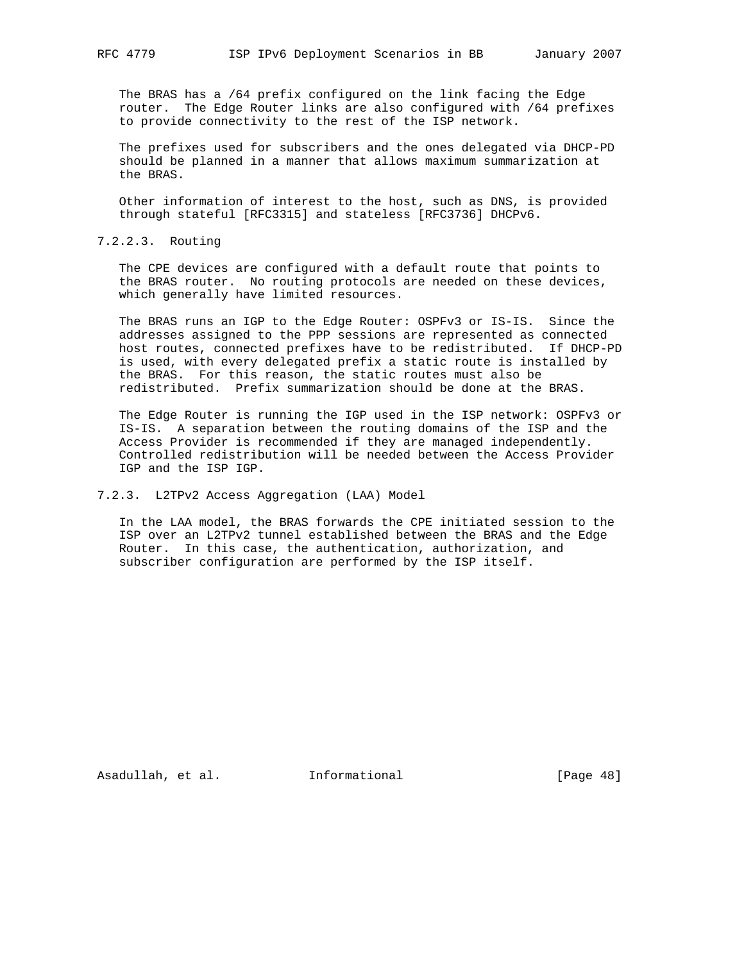The BRAS has a /64 prefix configured on the link facing the Edge router. The Edge Router links are also configured with /64 prefixes to provide connectivity to the rest of the ISP network.

 The prefixes used for subscribers and the ones delegated via DHCP-PD should be planned in a manner that allows maximum summarization at the BRAS.

 Other information of interest to the host, such as DNS, is provided through stateful [RFC3315] and stateless [RFC3736] DHCPv6.

7.2.2.3. Routing

 The CPE devices are configured with a default route that points to the BRAS router. No routing protocols are needed on these devices, which generally have limited resources.

 The BRAS runs an IGP to the Edge Router: OSPFv3 or IS-IS. Since the addresses assigned to the PPP sessions are represented as connected host routes, connected prefixes have to be redistributed. If DHCP-PD is used, with every delegated prefix a static route is installed by the BRAS. For this reason, the static routes must also be redistributed. Prefix summarization should be done at the BRAS.

 The Edge Router is running the IGP used in the ISP network: OSPFv3 or IS-IS. A separation between the routing domains of the ISP and the Access Provider is recommended if they are managed independently. Controlled redistribution will be needed between the Access Provider IGP and the ISP IGP.

7.2.3. L2TPv2 Access Aggregation (LAA) Model

 In the LAA model, the BRAS forwards the CPE initiated session to the ISP over an L2TPv2 tunnel established between the BRAS and the Edge Router. In this case, the authentication, authorization, and subscriber configuration are performed by the ISP itself.

Asadullah, et al. Informational [Page 48]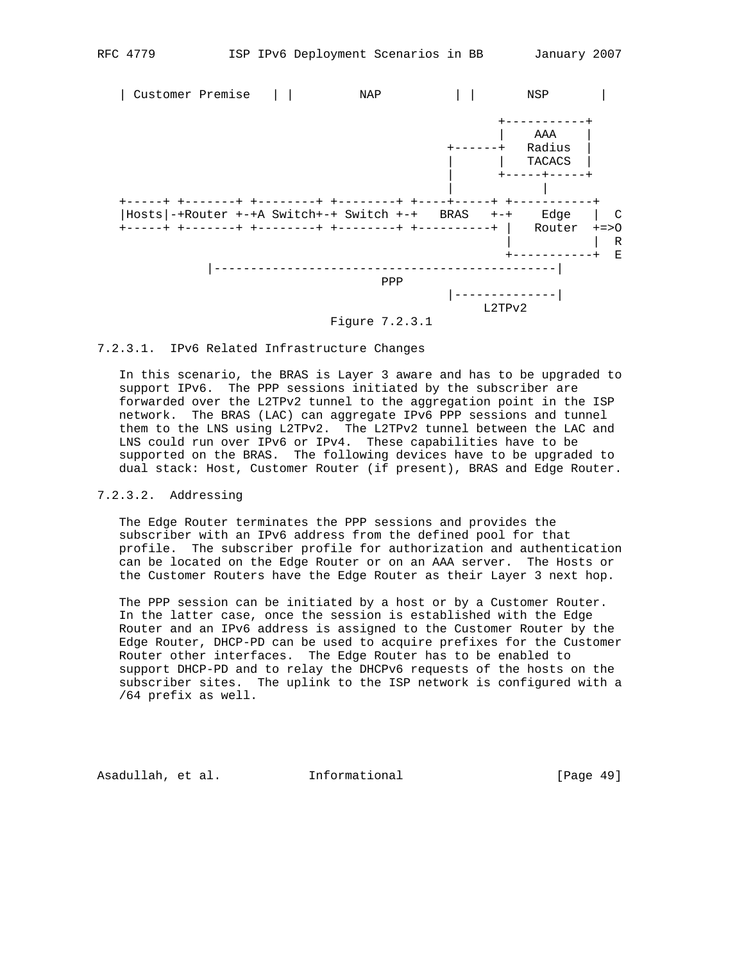

# 7.2.3.1. IPv6 Related Infrastructure Changes

 In this scenario, the BRAS is Layer 3 aware and has to be upgraded to support IPv6. The PPP sessions initiated by the subscriber are forwarded over the L2TPv2 tunnel to the aggregation point in the ISP network. The BRAS (LAC) can aggregate IPv6 PPP sessions and tunnel them to the LNS using L2TPv2. The L2TPv2 tunnel between the LAC and LNS could run over IPv6 or IPv4. These capabilities have to be supported on the BRAS. The following devices have to be upgraded to dual stack: Host, Customer Router (if present), BRAS and Edge Router.

## 7.2.3.2. Addressing

 The Edge Router terminates the PPP sessions and provides the subscriber with an IPv6 address from the defined pool for that profile. The subscriber profile for authorization and authentication can be located on the Edge Router or on an AAA server. The Hosts or the Customer Routers have the Edge Router as their Layer 3 next hop.

 The PPP session can be initiated by a host or by a Customer Router. In the latter case, once the session is established with the Edge Router and an IPv6 address is assigned to the Customer Router by the Edge Router, DHCP-PD can be used to acquire prefixes for the Customer Router other interfaces. The Edge Router has to be enabled to support DHCP-PD and to relay the DHCPv6 requests of the hosts on the subscriber sites. The uplink to the ISP network is configured with a /64 prefix as well.

Asadullah, et al. Informational [Page 49]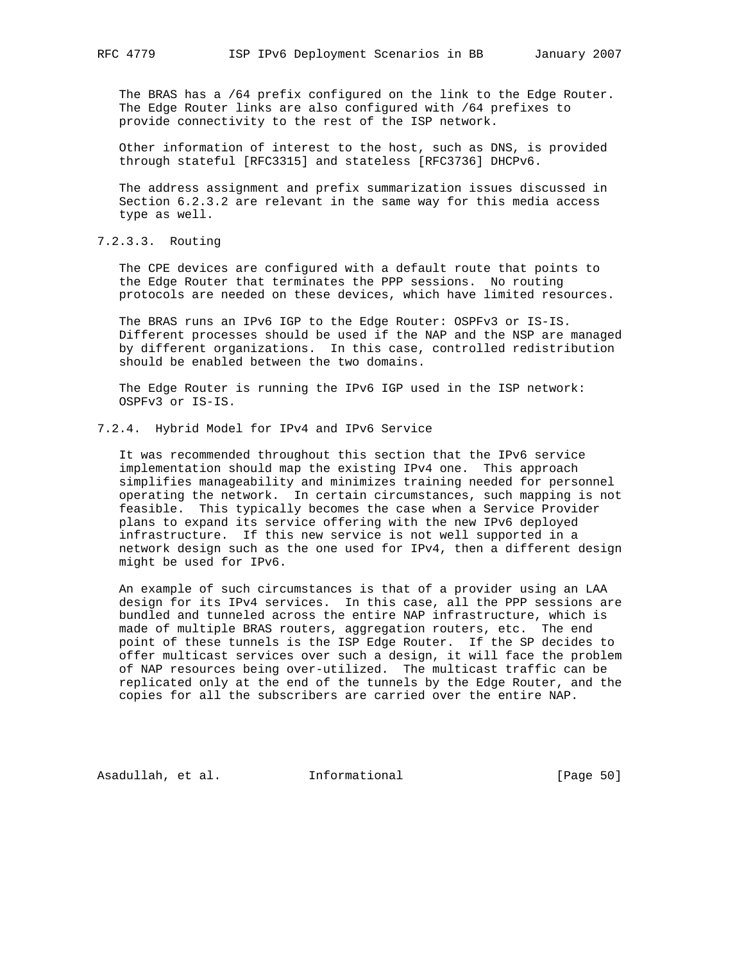The BRAS has a /64 prefix configured on the link to the Edge Router. The Edge Router links are also configured with /64 prefixes to provide connectivity to the rest of the ISP network.

 Other information of interest to the host, such as DNS, is provided through stateful [RFC3315] and stateless [RFC3736] DHCPv6.

 The address assignment and prefix summarization issues discussed in Section 6.2.3.2 are relevant in the same way for this media access type as well.

7.2.3.3. Routing

 The CPE devices are configured with a default route that points to the Edge Router that terminates the PPP sessions. No routing protocols are needed on these devices, which have limited resources.

 The BRAS runs an IPv6 IGP to the Edge Router: OSPFv3 or IS-IS. Different processes should be used if the NAP and the NSP are managed by different organizations. In this case, controlled redistribution should be enabled between the two domains.

 The Edge Router is running the IPv6 IGP used in the ISP network: OSPFv3 or IS-IS.

7.2.4. Hybrid Model for IPv4 and IPv6 Service

 It was recommended throughout this section that the IPv6 service implementation should map the existing IPv4 one. This approach simplifies manageability and minimizes training needed for personnel operating the network. In certain circumstances, such mapping is not feasible. This typically becomes the case when a Service Provider plans to expand its service offering with the new IPv6 deployed infrastructure. If this new service is not well supported in a network design such as the one used for IPv4, then a different design might be used for IPv6.

 An example of such circumstances is that of a provider using an LAA design for its IPv4 services. In this case, all the PPP sessions are bundled and tunneled across the entire NAP infrastructure, which is made of multiple BRAS routers, aggregation routers, etc. The end point of these tunnels is the ISP Edge Router. If the SP decides to offer multicast services over such a design, it will face the problem of NAP resources being over-utilized. The multicast traffic can be replicated only at the end of the tunnels by the Edge Router, and the copies for all the subscribers are carried over the entire NAP.

Asadullah, et al. Informational [Page 50]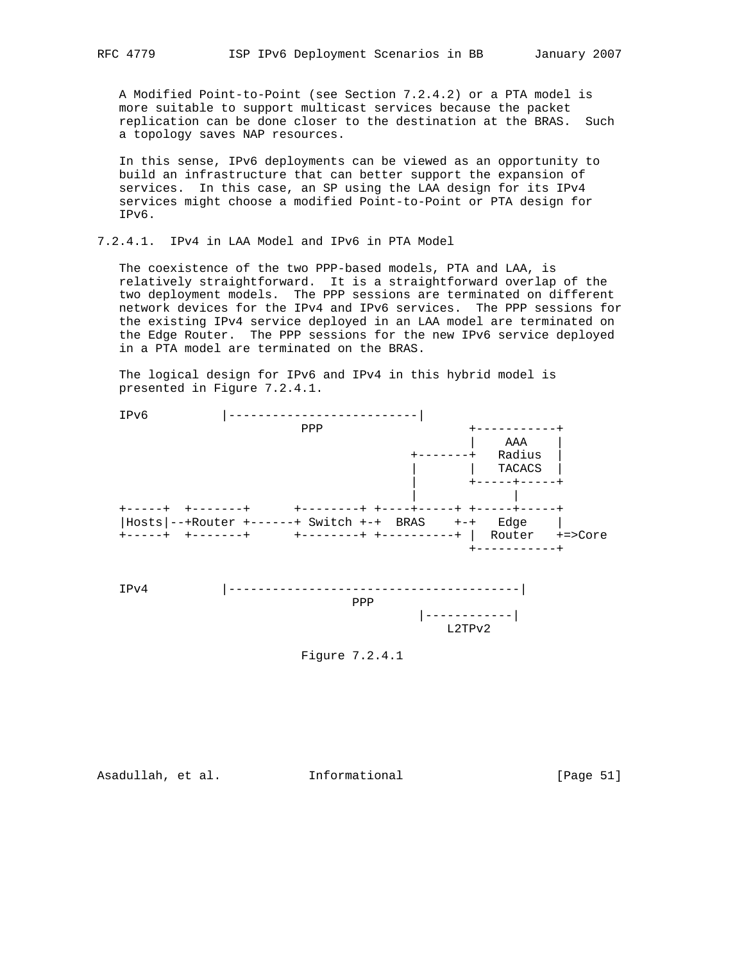A Modified Point-to-Point (see Section 7.2.4.2) or a PTA model is more suitable to support multicast services because the packet replication can be done closer to the destination at the BRAS. Such a topology saves NAP resources.

 In this sense, IPv6 deployments can be viewed as an opportunity to build an infrastructure that can better support the expansion of services. In this case, an SP using the LAA design for its IPv4 services might choose a modified Point-to-Point or PTA design for IPv6.

7.2.4.1. IPv4 in LAA Model and IPv6 in PTA Model

 The coexistence of the two PPP-based models, PTA and LAA, is relatively straightforward. It is a straightforward overlap of the two deployment models. The PPP sessions are terminated on different network devices for the IPv4 and IPv6 services. The PPP sessions for the existing IPv4 service deployed in an LAA model are terminated on the Edge Router. The PPP sessions for the new IPv6 service deployed in a PTA model are terminated on the BRAS.

 The logical design for IPv6 and IPv4 in this hybrid model is presented in Figure 7.2.4.1.



Figure 7.2.4.1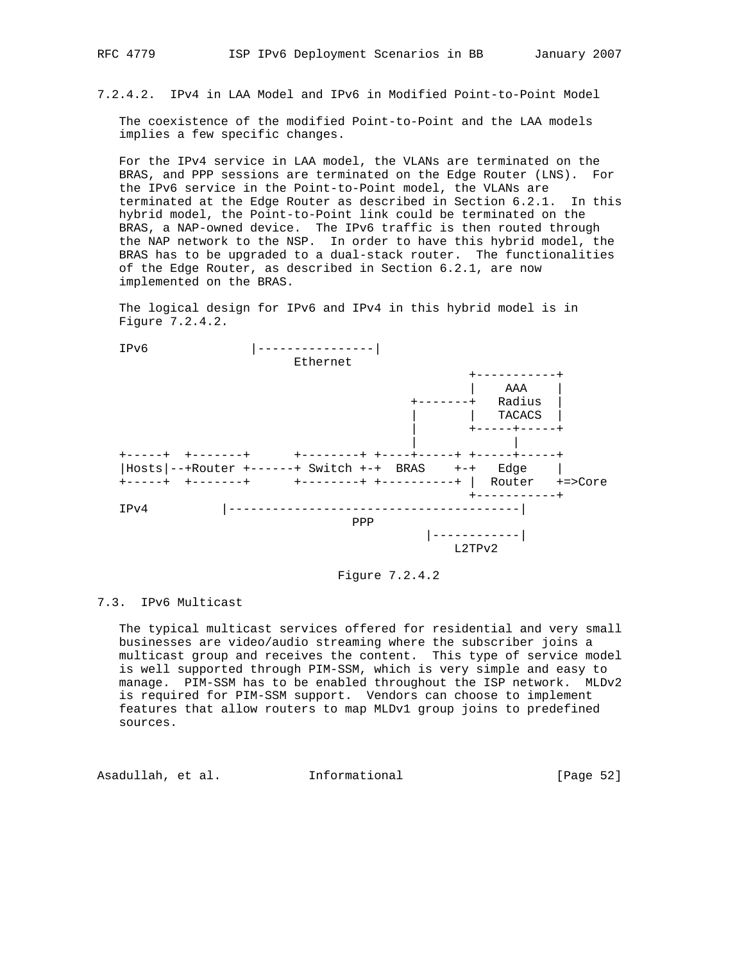7.2.4.2. IPv4 in LAA Model and IPv6 in Modified Point-to-Point Model

 The coexistence of the modified Point-to-Point and the LAA models implies a few specific changes.

 For the IPv4 service in LAA model, the VLANs are terminated on the BRAS, and PPP sessions are terminated on the Edge Router (LNS). For the IPv6 service in the Point-to-Point model, the VLANs are terminated at the Edge Router as described in Section 6.2.1. In this hybrid model, the Point-to-Point link could be terminated on the BRAS, a NAP-owned device. The IPv6 traffic is then routed through the NAP network to the NSP. In order to have this hybrid model, the BRAS has to be upgraded to a dual-stack router. The functionalities of the Edge Router, as described in Section 6.2.1, are now implemented on the BRAS.

 The logical design for IPv6 and IPv4 in this hybrid model is in Figure 7.2.4.2.



Figure 7.2.4.2

### 7.3. IPv6 Multicast

 The typical multicast services offered for residential and very small businesses are video/audio streaming where the subscriber joins a multicast group and receives the content. This type of service model is well supported through PIM-SSM, which is very simple and easy to manage. PIM-SSM has to be enabled throughout the ISP network. MLDv2 is required for PIM-SSM support. Vendors can choose to implement features that allow routers to map MLDv1 group joins to predefined sources.

Asadullah, et al. Informational [Page 52]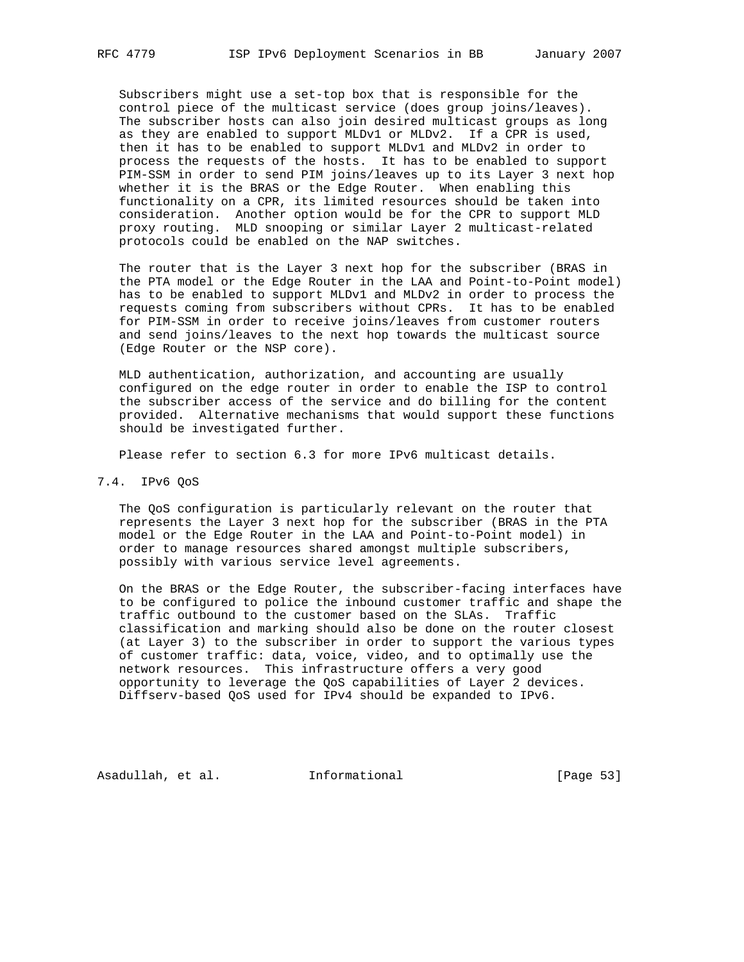Subscribers might use a set-top box that is responsible for the control piece of the multicast service (does group joins/leaves). The subscriber hosts can also join desired multicast groups as long as they are enabled to support MLDv1 or MLDv2. If a CPR is used, then it has to be enabled to support MLDv1 and MLDv2 in order to process the requests of the hosts. It has to be enabled to support PIM-SSM in order to send PIM joins/leaves up to its Layer 3 next hop whether it is the BRAS or the Edge Router. When enabling this functionality on a CPR, its limited resources should be taken into consideration. Another option would be for the CPR to support MLD proxy routing. MLD snooping or similar Layer 2 multicast-related protocols could be enabled on the NAP switches.

 The router that is the Layer 3 next hop for the subscriber (BRAS in the PTA model or the Edge Router in the LAA and Point-to-Point model) has to be enabled to support MLDv1 and MLDv2 in order to process the requests coming from subscribers without CPRs. It has to be enabled for PIM-SSM in order to receive joins/leaves from customer routers and send joins/leaves to the next hop towards the multicast source (Edge Router or the NSP core).

 MLD authentication, authorization, and accounting are usually configured on the edge router in order to enable the ISP to control the subscriber access of the service and do billing for the content provided. Alternative mechanisms that would support these functions should be investigated further.

Please refer to section 6.3 for more IPv6 multicast details.

## 7.4. IPv6 QoS

 The QoS configuration is particularly relevant on the router that represents the Layer 3 next hop for the subscriber (BRAS in the PTA model or the Edge Router in the LAA and Point-to-Point model) in order to manage resources shared amongst multiple subscribers, possibly with various service level agreements.

 On the BRAS or the Edge Router, the subscriber-facing interfaces have to be configured to police the inbound customer traffic and shape the traffic outbound to the customer based on the SLAs. Traffic classification and marking should also be done on the router closest (at Layer 3) to the subscriber in order to support the various types of customer traffic: data, voice, video, and to optimally use the network resources. This infrastructure offers a very good opportunity to leverage the QoS capabilities of Layer 2 devices. Diffserv-based QoS used for IPv4 should be expanded to IPv6.

Asadullah, et al. Informational [Page 53]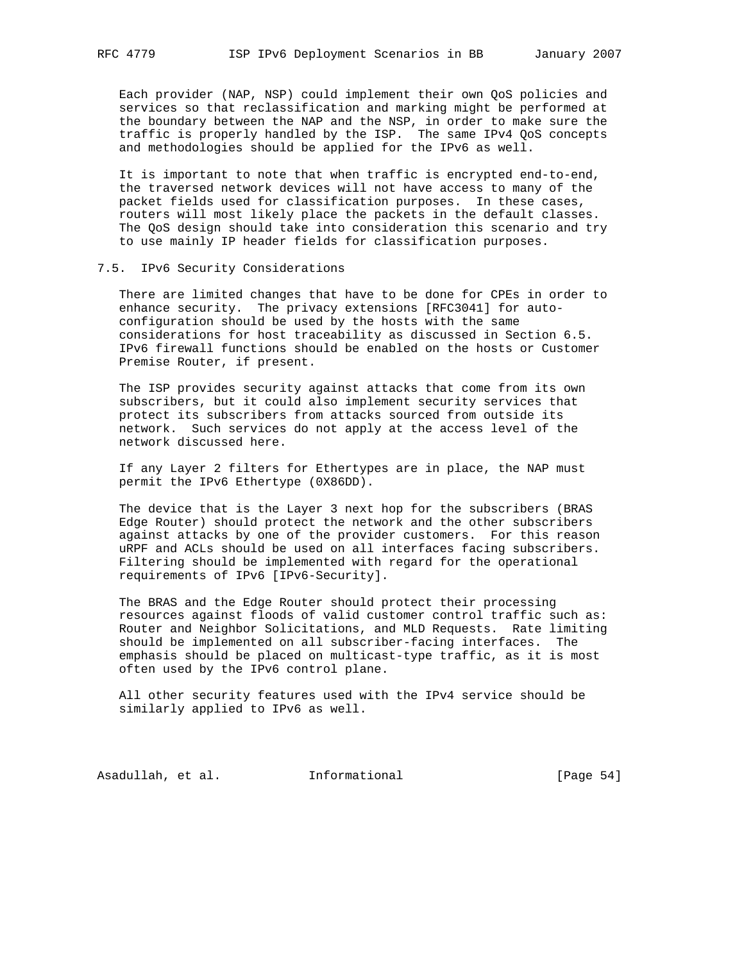Each provider (NAP, NSP) could implement their own QoS policies and services so that reclassification and marking might be performed at the boundary between the NAP and the NSP, in order to make sure the traffic is properly handled by the ISP. The same IPv4 QoS concepts and methodologies should be applied for the IPv6 as well.

 It is important to note that when traffic is encrypted end-to-end, the traversed network devices will not have access to many of the packet fields used for classification purposes. In these cases, routers will most likely place the packets in the default classes. The QoS design should take into consideration this scenario and try to use mainly IP header fields for classification purposes.

#### 7.5. IPv6 Security Considerations

 There are limited changes that have to be done for CPEs in order to enhance security. The privacy extensions [RFC3041] for auto configuration should be used by the hosts with the same considerations for host traceability as discussed in Section 6.5. IPv6 firewall functions should be enabled on the hosts or Customer Premise Router, if present.

 The ISP provides security against attacks that come from its own subscribers, but it could also implement security services that protect its subscribers from attacks sourced from outside its network. Such services do not apply at the access level of the network discussed here.

 If any Layer 2 filters for Ethertypes are in place, the NAP must permit the IPv6 Ethertype (0X86DD).

 The device that is the Layer 3 next hop for the subscribers (BRAS Edge Router) should protect the network and the other subscribers against attacks by one of the provider customers. For this reason uRPF and ACLs should be used on all interfaces facing subscribers. Filtering should be implemented with regard for the operational requirements of IPv6 [IPv6-Security].

 The BRAS and the Edge Router should protect their processing resources against floods of valid customer control traffic such as: Router and Neighbor Solicitations, and MLD Requests. Rate limiting should be implemented on all subscriber-facing interfaces. The emphasis should be placed on multicast-type traffic, as it is most often used by the IPv6 control plane.

 All other security features used with the IPv4 service should be similarly applied to IPv6 as well.

Asadullah, et al. 1nformational [Page 54]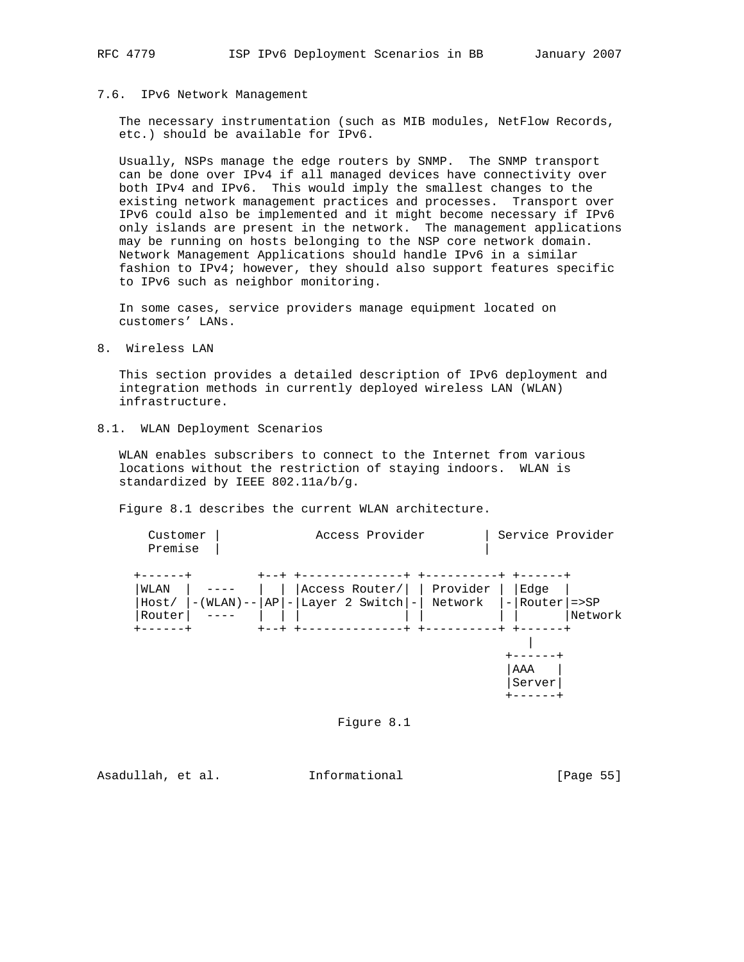### 7.6. IPv6 Network Management

 The necessary instrumentation (such as MIB modules, NetFlow Records, etc.) should be available for IPv6.

 Usually, NSPs manage the edge routers by SNMP. The SNMP transport can be done over IPv4 if all managed devices have connectivity over both IPv4 and IPv6. This would imply the smallest changes to the existing network management practices and processes. Transport over IPv6 could also be implemented and it might become necessary if IPv6 only islands are present in the network. The management applications may be running on hosts belonging to the NSP core network domain. Network Management Applications should handle IPv6 in a similar fashion to IPv4; however, they should also support features specific to IPv6 such as neighbor monitoring.

 In some cases, service providers manage equipment located on customers' LANs.

8. Wireless LAN

 This section provides a detailed description of IPv6 deployment and integration methods in currently deployed wireless LAN (WLAN) infrastructure.

8.1. WLAN Deployment Scenarios

 WLAN enables subscribers to connect to the Internet from various locations without the restriction of staying indoors. WLAN is standardized by IEEE 802.11a/b/g.

Figure 8.1 describes the current WLAN architecture.



Figure 8.1

Asadullah, et al. Informational [Page 55]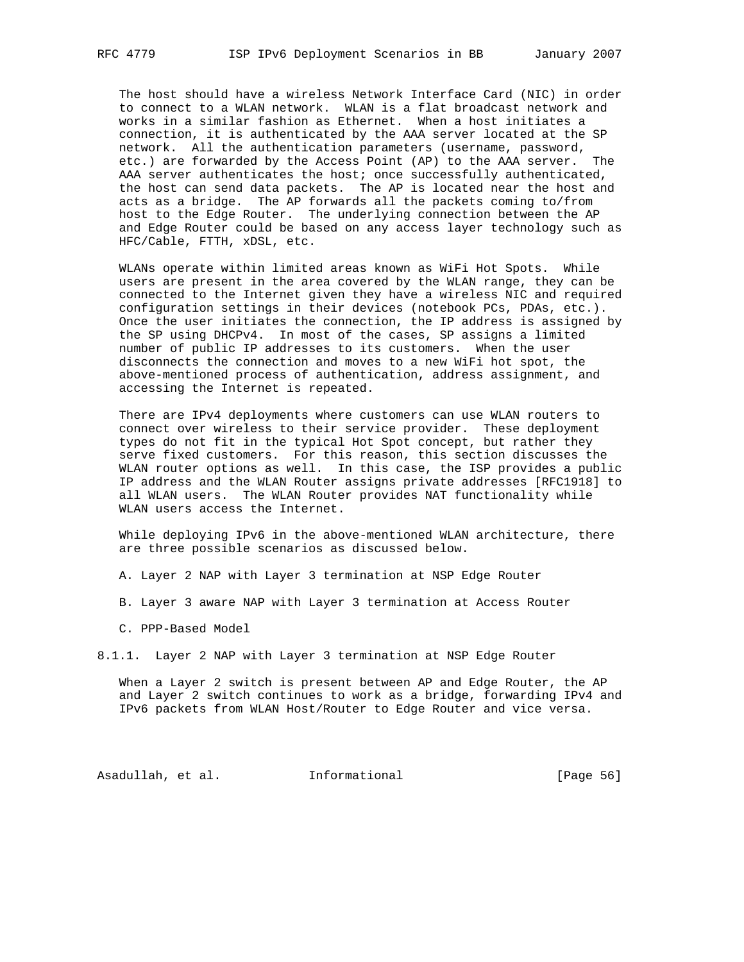The host should have a wireless Network Interface Card (NIC) in order to connect to a WLAN network. WLAN is a flat broadcast network and works in a similar fashion as Ethernet. When a host initiates a connection, it is authenticated by the AAA server located at the SP network. All the authentication parameters (username, password, etc.) are forwarded by the Access Point (AP) to the AAA server. The AAA server authenticates the host; once successfully authenticated, the host can send data packets. The AP is located near the host and acts as a bridge. The AP forwards all the packets coming to/from host to the Edge Router. The underlying connection between the AP and Edge Router could be based on any access layer technology such as HFC/Cable, FTTH, xDSL, etc.

 WLANs operate within limited areas known as WiFi Hot Spots. While users are present in the area covered by the WLAN range, they can be connected to the Internet given they have a wireless NIC and required configuration settings in their devices (notebook PCs, PDAs, etc.). Once the user initiates the connection, the IP address is assigned by the SP using DHCPv4. In most of the cases, SP assigns a limited number of public IP addresses to its customers. When the user disconnects the connection and moves to a new WiFi hot spot, the above-mentioned process of authentication, address assignment, and accessing the Internet is repeated.

 There are IPv4 deployments where customers can use WLAN routers to connect over wireless to their service provider. These deployment types do not fit in the typical Hot Spot concept, but rather they serve fixed customers. For this reason, this section discusses the WLAN router options as well. In this case, the ISP provides a public IP address and the WLAN Router assigns private addresses [RFC1918] to all WLAN users. The WLAN Router provides NAT functionality while WLAN users access the Internet.

 While deploying IPv6 in the above-mentioned WLAN architecture, there are three possible scenarios as discussed below.

A. Layer 2 NAP with Layer 3 termination at NSP Edge Router

- B. Layer 3 aware NAP with Layer 3 termination at Access Router
- C. PPP-Based Model
- 8.1.1. Layer 2 NAP with Layer 3 termination at NSP Edge Router

 When a Layer 2 switch is present between AP and Edge Router, the AP and Layer 2 switch continues to work as a bridge, forwarding IPv4 and IPv6 packets from WLAN Host/Router to Edge Router and vice versa.

Asadullah, et al. 1nformational [Page 56]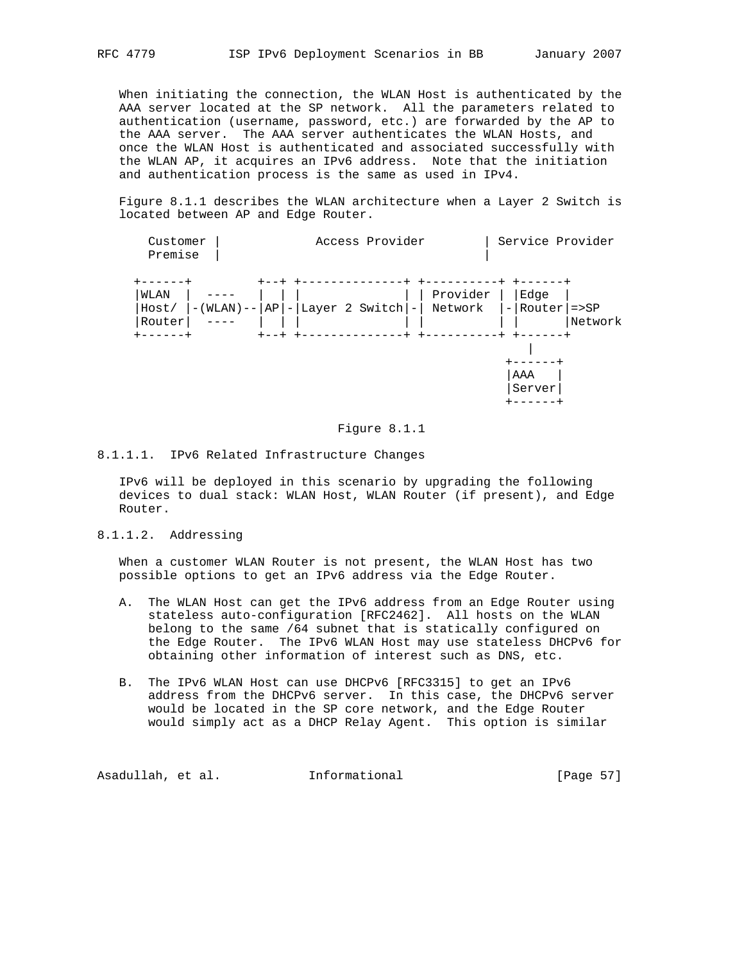When initiating the connection, the WLAN Host is authenticated by the AAA server located at the SP network. All the parameters related to authentication (username, password, etc.) are forwarded by the AP to the AAA server. The AAA server authenticates the WLAN Hosts, and once the WLAN Host is authenticated and associated successfully with the WLAN AP, it acquires an IPv6 address. Note that the initiation and authentication process is the same as used in IPv4.

 Figure 8.1.1 describes the WLAN architecture when a Layer 2 Switch is located between AP and Edge Router.



#### Figure 8.1.1

#### 8.1.1.1. IPv6 Related Infrastructure Changes

 IPv6 will be deployed in this scenario by upgrading the following devices to dual stack: WLAN Host, WLAN Router (if present), and Edge Router.

### 8.1.1.2. Addressing

 When a customer WLAN Router is not present, the WLAN Host has two possible options to get an IPv6 address via the Edge Router.

- A. The WLAN Host can get the IPv6 address from an Edge Router using stateless auto-configuration [RFC2462]. All hosts on the WLAN belong to the same /64 subnet that is statically configured on the Edge Router. The IPv6 WLAN Host may use stateless DHCPv6 for obtaining other information of interest such as DNS, etc.
- B. The IPv6 WLAN Host can use DHCPv6 [RFC3315] to get an IPv6 address from the DHCPv6 server. In this case, the DHCPv6 server would be located in the SP core network, and the Edge Router would simply act as a DHCP Relay Agent. This option is similar

Asadullah, et al. 1nformational 1999 [Page 57]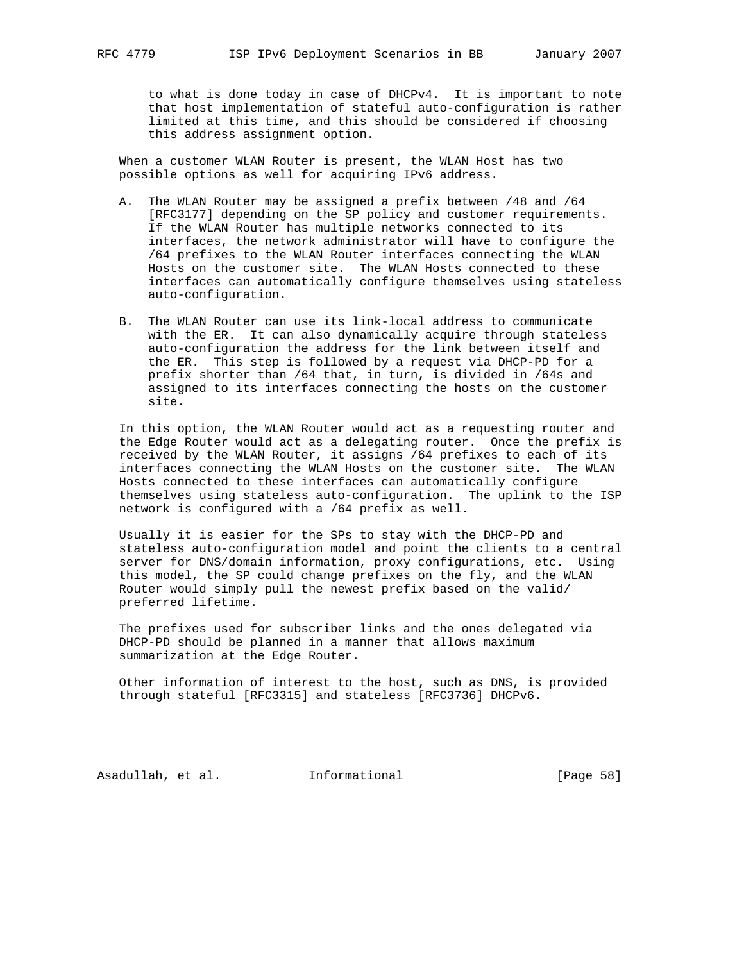to what is done today in case of DHCPv4. It is important to note that host implementation of stateful auto-configuration is rather limited at this time, and this should be considered if choosing this address assignment option.

 When a customer WLAN Router is present, the WLAN Host has two possible options as well for acquiring IPv6 address.

- A. The WLAN Router may be assigned a prefix between /48 and /64 [RFC3177] depending on the SP policy and customer requirements. If the WLAN Router has multiple networks connected to its interfaces, the network administrator will have to configure the /64 prefixes to the WLAN Router interfaces connecting the WLAN Hosts on the customer site. The WLAN Hosts connected to these interfaces can automatically configure themselves using stateless auto-configuration.
- B. The WLAN Router can use its link-local address to communicate with the ER. It can also dynamically acquire through stateless auto-configuration the address for the link between itself and the ER. This step is followed by a request via DHCP-PD for a prefix shorter than /64 that, in turn, is divided in /64s and assigned to its interfaces connecting the hosts on the customer site.

 In this option, the WLAN Router would act as a requesting router and the Edge Router would act as a delegating router. Once the prefix is received by the WLAN Router, it assigns /64 prefixes to each of its interfaces connecting the WLAN Hosts on the customer site. The WLAN Hosts connected to these interfaces can automatically configure themselves using stateless auto-configuration. The uplink to the ISP network is configured with a /64 prefix as well.

 Usually it is easier for the SPs to stay with the DHCP-PD and stateless auto-configuration model and point the clients to a central server for DNS/domain information, proxy configurations, etc. Using this model, the SP could change prefixes on the fly, and the WLAN Router would simply pull the newest prefix based on the valid/ preferred lifetime.

 The prefixes used for subscriber links and the ones delegated via DHCP-PD should be planned in a manner that allows maximum summarization at the Edge Router.

 Other information of interest to the host, such as DNS, is provided through stateful [RFC3315] and stateless [RFC3736] DHCPv6.

Asadullah, et al. Informational [Page 58]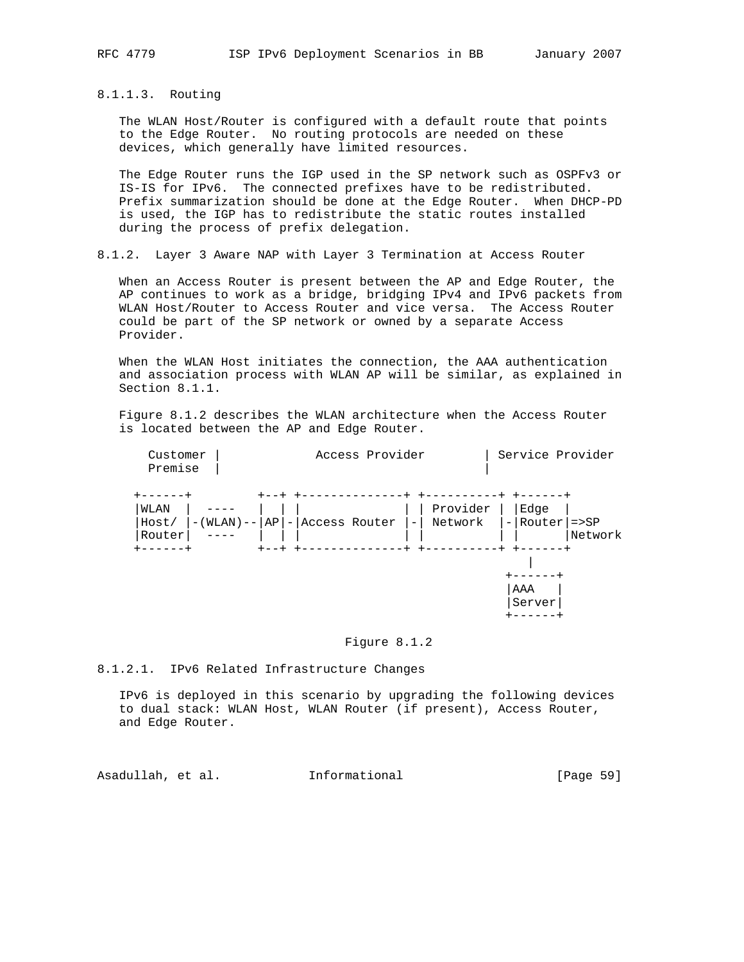8.1.1.3. Routing

 The WLAN Host/Router is configured with a default route that points to the Edge Router. No routing protocols are needed on these devices, which generally have limited resources.

 The Edge Router runs the IGP used in the SP network such as OSPFv3 or IS-IS for IPv6. The connected prefixes have to be redistributed. Prefix summarization should be done at the Edge Router. When DHCP-PD is used, the IGP has to redistribute the static routes installed during the process of prefix delegation.

8.1.2. Layer 3 Aware NAP with Layer 3 Termination at Access Router

 When an Access Router is present between the AP and Edge Router, the AP continues to work as a bridge, bridging IPv4 and IPv6 packets from WLAN Host/Router to Access Router and vice versa. The Access Router could be part of the SP network or owned by a separate Access Provider.

 When the WLAN Host initiates the connection, the AAA authentication and association process with WLAN AP will be similar, as explained in Section 8.1.1.

 Figure 8.1.2 describes the WLAN architecture when the Access Router is located between the AP and Edge Router.

| Customer<br>Premise     |                                       | Access Provider          |                     | Service Provider            |         |
|-------------------------|---------------------------------------|--------------------------|---------------------|-----------------------------|---------|
| WLAN<br>Host/<br>Router | $-(WLAN)$ -- $AP$ - $ $ Access Router | $\overline{\phantom{0}}$ | Provider<br>Network | Edge<br>$-$ Router $ $ =>SP | Network |
|                         |                                       |                          |                     | AAA<br>Server               |         |

### Figure 8.1.2

8.1.2.1. IPv6 Related Infrastructure Changes

 IPv6 is deployed in this scenario by upgrading the following devices to dual stack: WLAN Host, WLAN Router (if present), Access Router, and Edge Router.

Asadullah, et al. Informational [Page 59]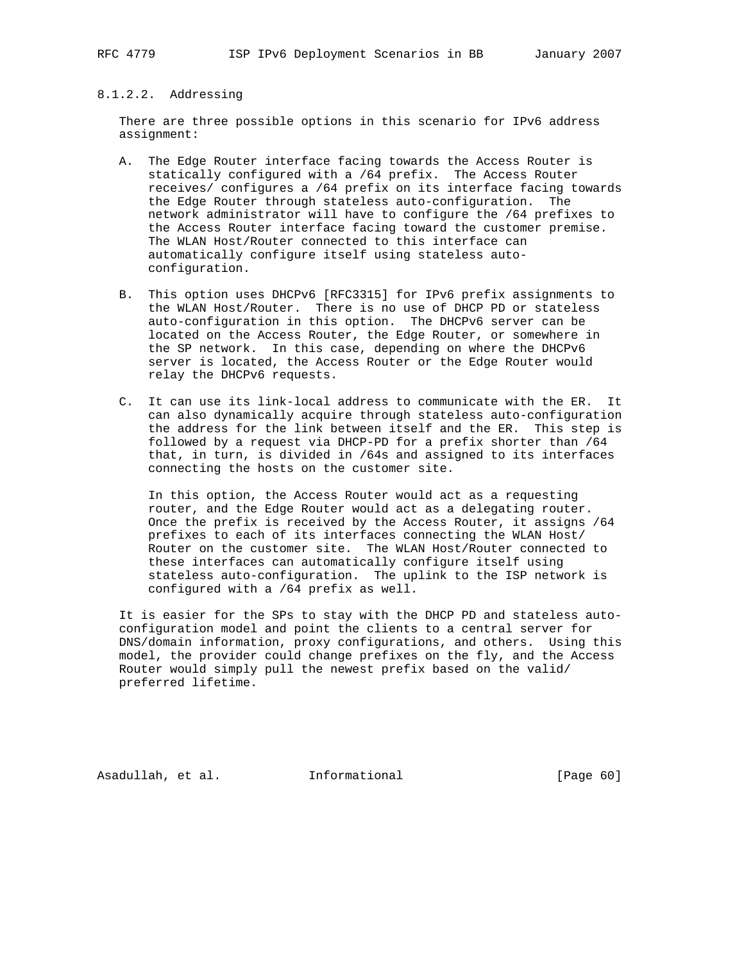### 8.1.2.2. Addressing

 There are three possible options in this scenario for IPv6 address assignment:

- A. The Edge Router interface facing towards the Access Router is statically configured with a /64 prefix. The Access Router receives/ configures a /64 prefix on its interface facing towards the Edge Router through stateless auto-configuration. The network administrator will have to configure the /64 prefixes to the Access Router interface facing toward the customer premise. The WLAN Host/Router connected to this interface can automatically configure itself using stateless auto configuration.
- B. This option uses DHCPv6 [RFC3315] for IPv6 prefix assignments to the WLAN Host/Router. There is no use of DHCP PD or stateless auto-configuration in this option. The DHCPv6 server can be located on the Access Router, the Edge Router, or somewhere in the SP network. In this case, depending on where the DHCPv6 server is located, the Access Router or the Edge Router would relay the DHCPv6 requests.
- C. It can use its link-local address to communicate with the ER. It can also dynamically acquire through stateless auto-configuration the address for the link between itself and the ER. This step is followed by a request via DHCP-PD for a prefix shorter than /64 that, in turn, is divided in /64s and assigned to its interfaces connecting the hosts on the customer site.

 In this option, the Access Router would act as a requesting router, and the Edge Router would act as a delegating router. Once the prefix is received by the Access Router, it assigns /64 prefixes to each of its interfaces connecting the WLAN Host/ Router on the customer site. The WLAN Host/Router connected to these interfaces can automatically configure itself using stateless auto-configuration. The uplink to the ISP network is configured with a /64 prefix as well.

 It is easier for the SPs to stay with the DHCP PD and stateless auto configuration model and point the clients to a central server for DNS/domain information, proxy configurations, and others. Using this model, the provider could change prefixes on the fly, and the Access Router would simply pull the newest prefix based on the valid/ preferred lifetime.

Asadullah, et al. Informational [Page 60]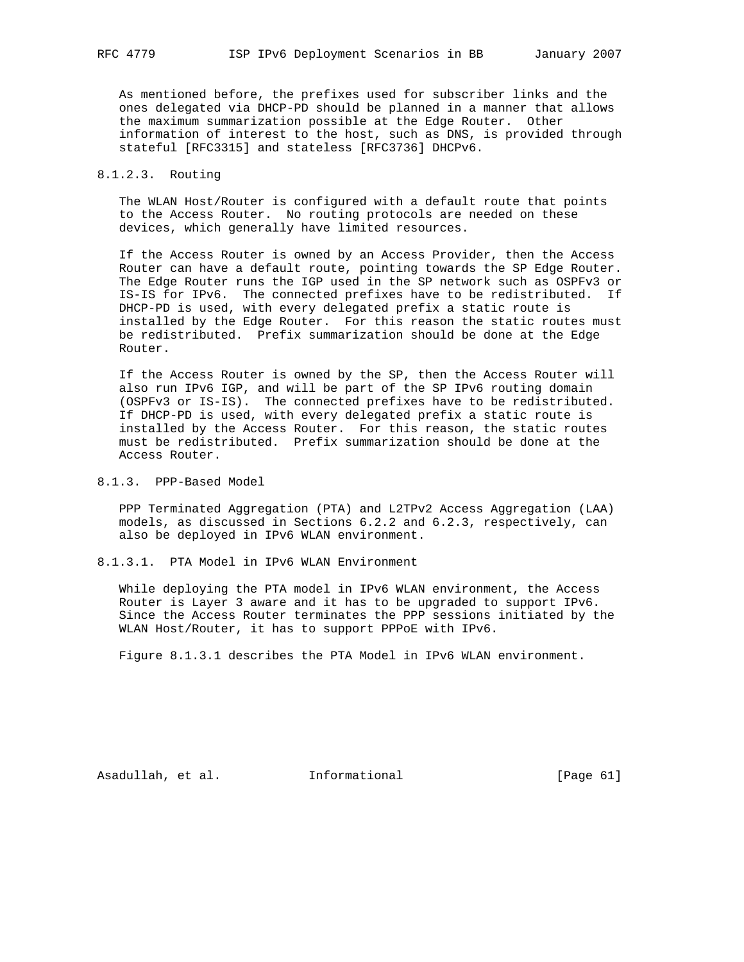As mentioned before, the prefixes used for subscriber links and the ones delegated via DHCP-PD should be planned in a manner that allows the maximum summarization possible at the Edge Router. Other information of interest to the host, such as DNS, is provided through stateful [RFC3315] and stateless [RFC3736] DHCPv6.

### 8.1.2.3. Routing

 The WLAN Host/Router is configured with a default route that points to the Access Router. No routing protocols are needed on these devices, which generally have limited resources.

 If the Access Router is owned by an Access Provider, then the Access Router can have a default route, pointing towards the SP Edge Router. The Edge Router runs the IGP used in the SP network such as OSPFv3 or IS-IS for IPv6. The connected prefixes have to be redistributed. If DHCP-PD is used, with every delegated prefix a static route is installed by the Edge Router. For this reason the static routes must be redistributed. Prefix summarization should be done at the Edge Router.

 If the Access Router is owned by the SP, then the Access Router will also run IPv6 IGP, and will be part of the SP IPv6 routing domain (OSPFv3 or IS-IS). The connected prefixes have to be redistributed. If DHCP-PD is used, with every delegated prefix a static route is installed by the Access Router. For this reason, the static routes must be redistributed. Prefix summarization should be done at the Access Router.

## 8.1.3. PPP-Based Model

 PPP Terminated Aggregation (PTA) and L2TPv2 Access Aggregation (LAA) models, as discussed in Sections 6.2.2 and 6.2.3, respectively, can also be deployed in IPv6 WLAN environment.

8.1.3.1. PTA Model in IPv6 WLAN Environment

 While deploying the PTA model in IPv6 WLAN environment, the Access Router is Layer 3 aware and it has to be upgraded to support IPv6. Since the Access Router terminates the PPP sessions initiated by the WLAN Host/Router, it has to support PPPoE with IPv6.

Figure 8.1.3.1 describes the PTA Model in IPv6 WLAN environment.

Asadullah, et al. Informational [Page 61]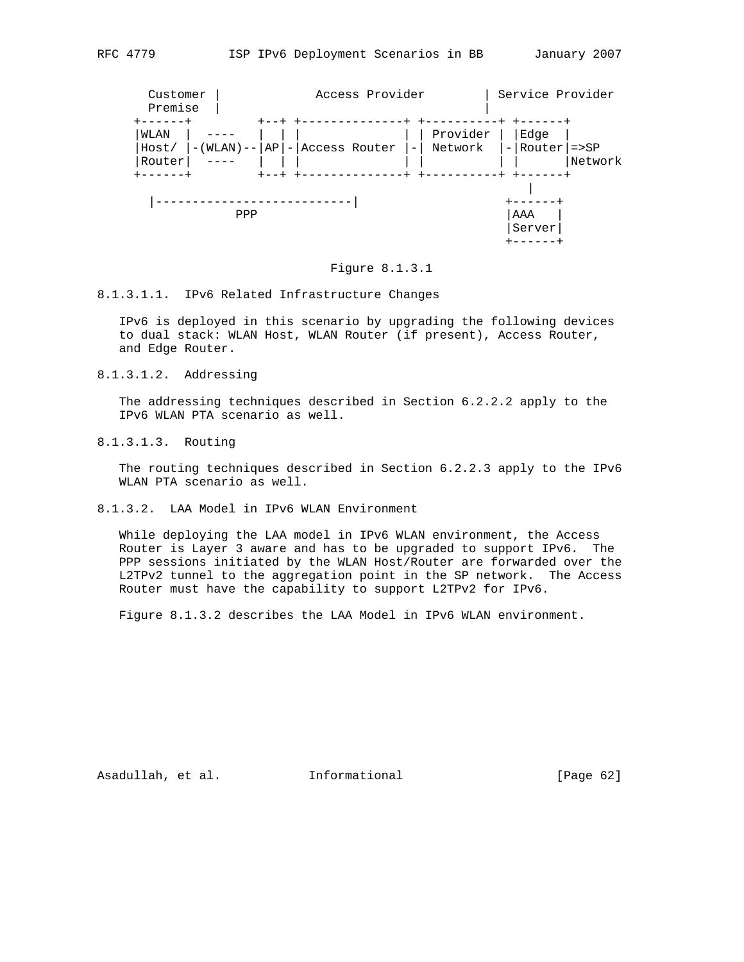

#### Figure 8.1.3.1

#### 8.1.3.1.1. IPv6 Related Infrastructure Changes

 IPv6 is deployed in this scenario by upgrading the following devices to dual stack: WLAN Host, WLAN Router (if present), Access Router, and Edge Router.

8.1.3.1.2. Addressing

 The addressing techniques described in Section 6.2.2.2 apply to the IPv6 WLAN PTA scenario as well.

8.1.3.1.3. Routing

 The routing techniques described in Section 6.2.2.3 apply to the IPv6 WLAN PTA scenario as well.

8.1.3.2. LAA Model in IPv6 WLAN Environment

 While deploying the LAA model in IPv6 WLAN environment, the Access Router is Layer 3 aware and has to be upgraded to support IPv6. The PPP sessions initiated by the WLAN Host/Router are forwarded over the L2TPv2 tunnel to the aggregation point in the SP network. The Access Router must have the capability to support L2TPv2 for IPv6.

Figure 8.1.3.2 describes the LAA Model in IPv6 WLAN environment.

Asadullah, et al. 1nformational [Page 62]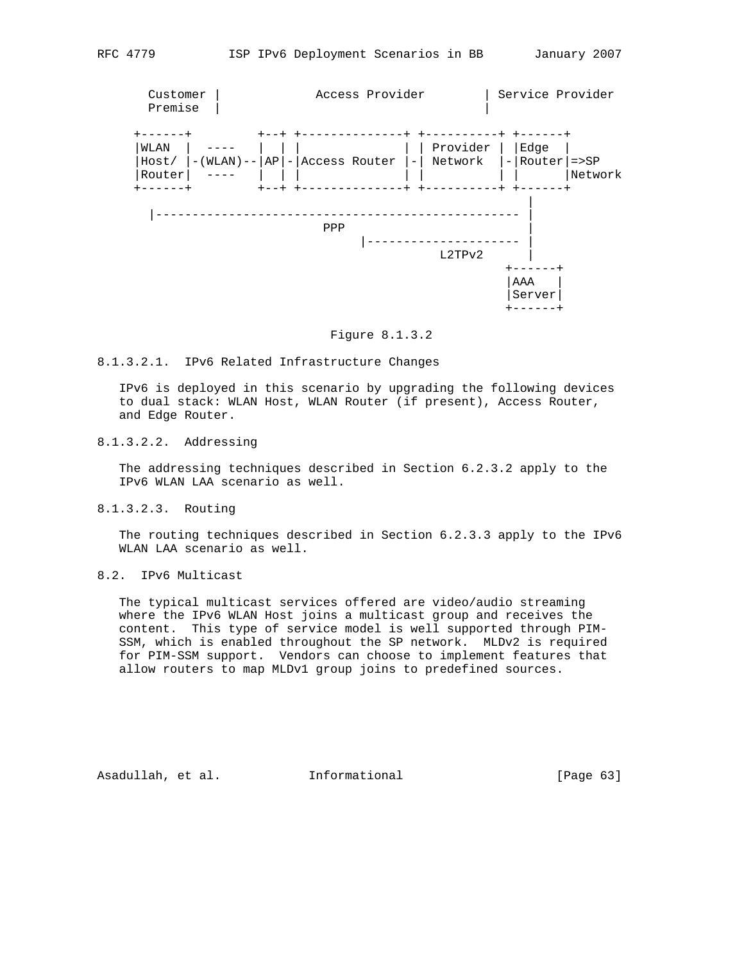

#### Figure 8.1.3.2

### 8.1.3.2.1. IPv6 Related Infrastructure Changes

 IPv6 is deployed in this scenario by upgrading the following devices to dual stack: WLAN Host, WLAN Router (if present), Access Router, and Edge Router.

# 8.1.3.2.2. Addressing

 The addressing techniques described in Section 6.2.3.2 apply to the IPv6 WLAN LAA scenario as well.

### 8.1.3.2.3. Routing

 The routing techniques described in Section 6.2.3.3 apply to the IPv6 WLAN LAA scenario as well.

## 8.2. IPv6 Multicast

 The typical multicast services offered are video/audio streaming where the IPv6 WLAN Host joins a multicast group and receives the content. This type of service model is well supported through PIM- SSM, which is enabled throughout the SP network. MLDv2 is required for PIM-SSM support. Vendors can choose to implement features that allow routers to map MLDv1 group joins to predefined sources.

Asadullah, et al. Informational [Page 63]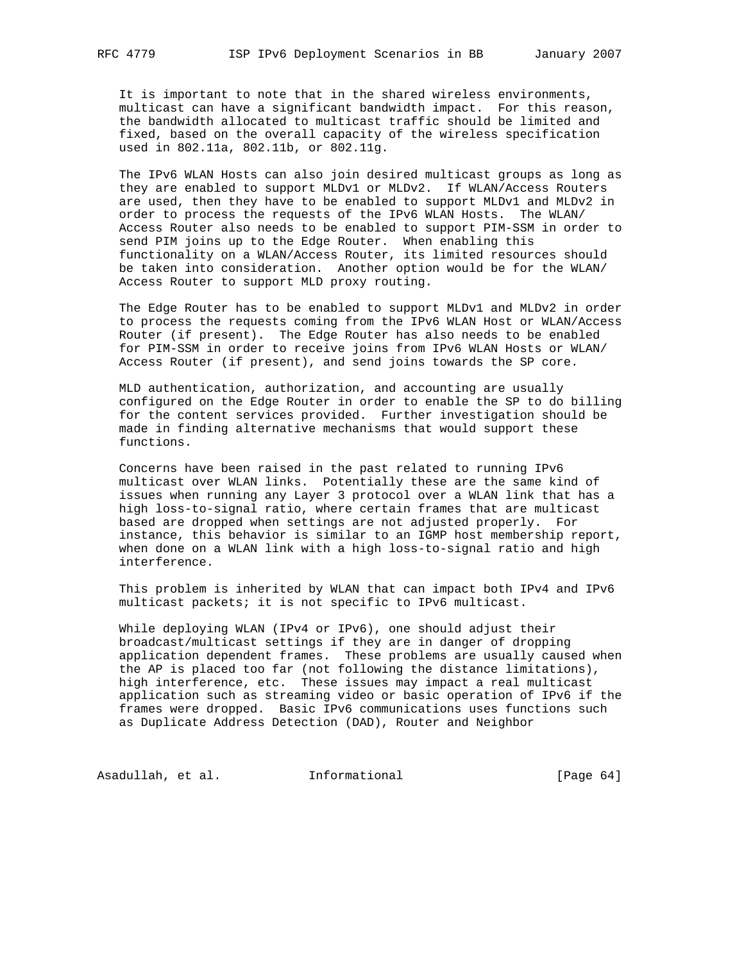It is important to note that in the shared wireless environments, multicast can have a significant bandwidth impact. For this reason, the bandwidth allocated to multicast traffic should be limited and fixed, based on the overall capacity of the wireless specification used in 802.11a, 802.11b, or 802.11g.

 The IPv6 WLAN Hosts can also join desired multicast groups as long as they are enabled to support MLDv1 or MLDv2. If WLAN/Access Routers are used, then they have to be enabled to support MLDv1 and MLDv2 in order to process the requests of the IPv6 WLAN Hosts. The WLAN/ Access Router also needs to be enabled to support PIM-SSM in order to send PIM joins up to the Edge Router. When enabling this functionality on a WLAN/Access Router, its limited resources should be taken into consideration. Another option would be for the WLAN/ Access Router to support MLD proxy routing.

 The Edge Router has to be enabled to support MLDv1 and MLDv2 in order to process the requests coming from the IPv6 WLAN Host or WLAN/Access Router (if present). The Edge Router has also needs to be enabled for PIM-SSM in order to receive joins from IPv6 WLAN Hosts or WLAN/ Access Router (if present), and send joins towards the SP core.

 MLD authentication, authorization, and accounting are usually configured on the Edge Router in order to enable the SP to do billing for the content services provided. Further investigation should be made in finding alternative mechanisms that would support these functions.

 Concerns have been raised in the past related to running IPv6 multicast over WLAN links. Potentially these are the same kind of issues when running any Layer 3 protocol over a WLAN link that has a high loss-to-signal ratio, where certain frames that are multicast based are dropped when settings are not adjusted properly. For instance, this behavior is similar to an IGMP host membership report, when done on a WLAN link with a high loss-to-signal ratio and high interference.

 This problem is inherited by WLAN that can impact both IPv4 and IPv6 multicast packets; it is not specific to IPv6 multicast.

 While deploying WLAN (IPv4 or IPv6), one should adjust their broadcast/multicast settings if they are in danger of dropping application dependent frames. These problems are usually caused when the AP is placed too far (not following the distance limitations), high interference, etc. These issues may impact a real multicast application such as streaming video or basic operation of IPv6 if the frames were dropped. Basic IPv6 communications uses functions such as Duplicate Address Detection (DAD), Router and Neighbor

Asadullah, et al. 1nformational 1999 [Page 64]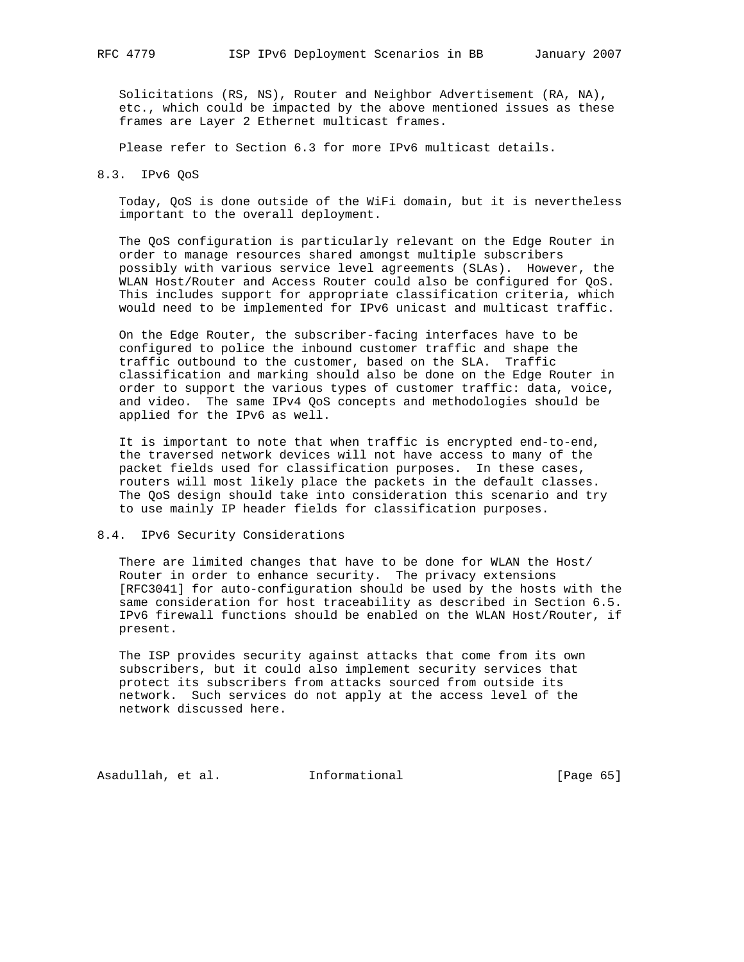Solicitations (RS, NS), Router and Neighbor Advertisement (RA, NA), etc., which could be impacted by the above mentioned issues as these frames are Layer 2 Ethernet multicast frames.

Please refer to Section 6.3 for more IPv6 multicast details.

#### 8.3. IPv6 QoS

 Today, QoS is done outside of the WiFi domain, but it is nevertheless important to the overall deployment.

 The QoS configuration is particularly relevant on the Edge Router in order to manage resources shared amongst multiple subscribers possibly with various service level agreements (SLAs). However, the WLAN Host/Router and Access Router could also be configured for QoS. This includes support for appropriate classification criteria, which would need to be implemented for IPv6 unicast and multicast traffic.

 On the Edge Router, the subscriber-facing interfaces have to be configured to police the inbound customer traffic and shape the traffic outbound to the customer, based on the SLA. Traffic classification and marking should also be done on the Edge Router in order to support the various types of customer traffic: data, voice, and video. The same IPv4 QoS concepts and methodologies should be applied for the IPv6 as well.

 It is important to note that when traffic is encrypted end-to-end, the traversed network devices will not have access to many of the packet fields used for classification purposes. In these cases, routers will most likely place the packets in the default classes. The QoS design should take into consideration this scenario and try to use mainly IP header fields for classification purposes.

### 8.4. IPv6 Security Considerations

 There are limited changes that have to be done for WLAN the Host/ Router in order to enhance security. The privacy extensions [RFC3041] for auto-configuration should be used by the hosts with the same consideration for host traceability as described in Section 6.5. IPv6 firewall functions should be enabled on the WLAN Host/Router, if present.

 The ISP provides security against attacks that come from its own subscribers, but it could also implement security services that protect its subscribers from attacks sourced from outside its network. Such services do not apply at the access level of the network discussed here.

Asadullah, et al. 1nformational [Page 65]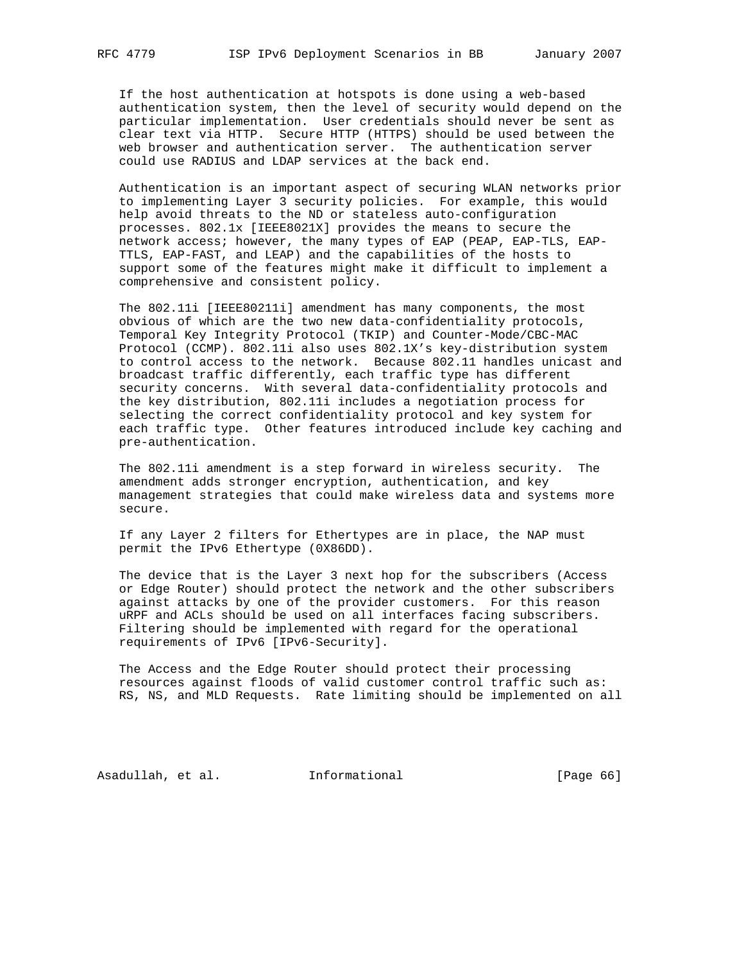If the host authentication at hotspots is done using a web-based authentication system, then the level of security would depend on the particular implementation. User credentials should never be sent as clear text via HTTP. Secure HTTP (HTTPS) should be used between the web browser and authentication server. The authentication server could use RADIUS and LDAP services at the back end.

 Authentication is an important aspect of securing WLAN networks prior to implementing Layer 3 security policies. For example, this would help avoid threats to the ND or stateless auto-configuration processes. 802.1x [IEEE8021X] provides the means to secure the network access; however, the many types of EAP (PEAP, EAP-TLS, EAP- TTLS, EAP-FAST, and LEAP) and the capabilities of the hosts to support some of the features might make it difficult to implement a comprehensive and consistent policy.

 The 802.11i [IEEE80211i] amendment has many components, the most obvious of which are the two new data-confidentiality protocols, Temporal Key Integrity Protocol (TKIP) and Counter-Mode/CBC-MAC Protocol (CCMP). 802.11i also uses 802.1X's key-distribution system to control access to the network. Because 802.11 handles unicast and broadcast traffic differently, each traffic type has different security concerns. With several data-confidentiality protocols and the key distribution, 802.11i includes a negotiation process for selecting the correct confidentiality protocol and key system for each traffic type. Other features introduced include key caching and pre-authentication.

 The 802.11i amendment is a step forward in wireless security. The amendment adds stronger encryption, authentication, and key management strategies that could make wireless data and systems more secure.

 If any Layer 2 filters for Ethertypes are in place, the NAP must permit the IPv6 Ethertype (0X86DD).

 The device that is the Layer 3 next hop for the subscribers (Access or Edge Router) should protect the network and the other subscribers against attacks by one of the provider customers. For this reason uRPF and ACLs should be used on all interfaces facing subscribers. Filtering should be implemented with regard for the operational requirements of IPv6 [IPv6-Security].

 The Access and the Edge Router should protect their processing resources against floods of valid customer control traffic such as: RS, NS, and MLD Requests. Rate limiting should be implemented on all

Asadullah, et al. 1nformational [Page 66]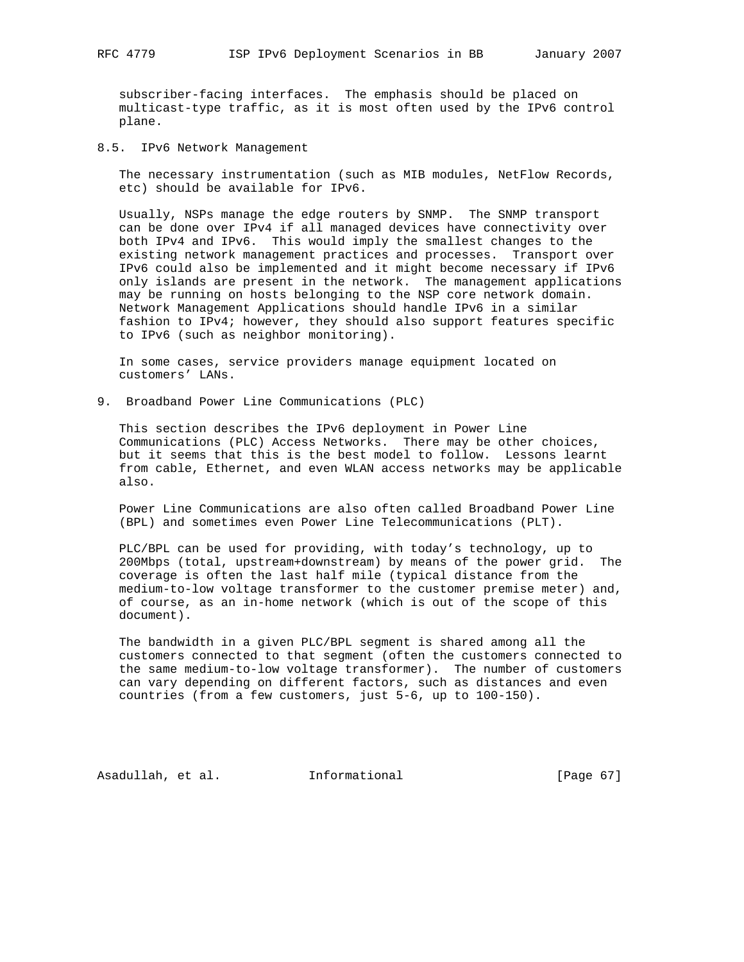subscriber-facing interfaces. The emphasis should be placed on multicast-type traffic, as it is most often used by the IPv6 control plane.

8.5. IPv6 Network Management

 The necessary instrumentation (such as MIB modules, NetFlow Records, etc) should be available for IPv6.

 Usually, NSPs manage the edge routers by SNMP. The SNMP transport can be done over IPv4 if all managed devices have connectivity over both IPv4 and IPv6. This would imply the smallest changes to the existing network management practices and processes. Transport over IPv6 could also be implemented and it might become necessary if IPv6 only islands are present in the network. The management applications may be running on hosts belonging to the NSP core network domain. Network Management Applications should handle IPv6 in a similar fashion to IPv4; however, they should also support features specific to IPv6 (such as neighbor monitoring).

 In some cases, service providers manage equipment located on customers' LANs.

9. Broadband Power Line Communications (PLC)

 This section describes the IPv6 deployment in Power Line Communications (PLC) Access Networks. There may be other choices, but it seems that this is the best model to follow. Lessons learnt from cable, Ethernet, and even WLAN access networks may be applicable also.

 Power Line Communications are also often called Broadband Power Line (BPL) and sometimes even Power Line Telecommunications (PLT).

 PLC/BPL can be used for providing, with today's technology, up to 200Mbps (total, upstream+downstream) by means of the power grid. The coverage is often the last half mile (typical distance from the medium-to-low voltage transformer to the customer premise meter) and, of course, as an in-home network (which is out of the scope of this document).

 The bandwidth in a given PLC/BPL segment is shared among all the customers connected to that segment (often the customers connected to the same medium-to-low voltage transformer). The number of customers can vary depending on different factors, such as distances and even countries (from a few customers, just 5-6, up to 100-150).

Asadullah, et al. Informational [Page 67]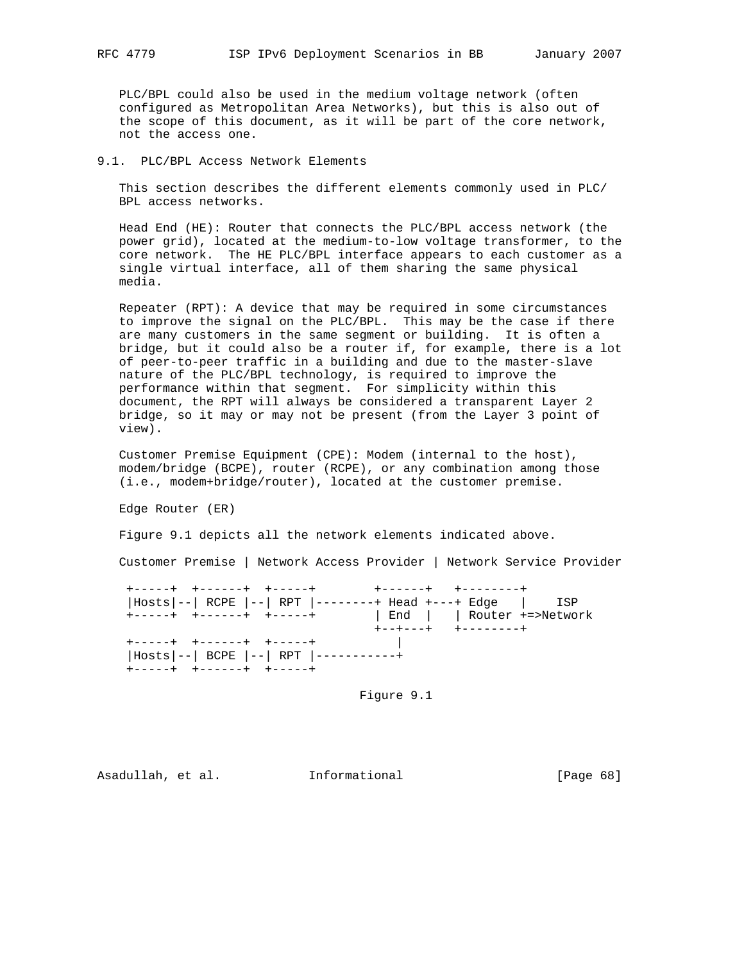PLC/BPL could also be used in the medium voltage network (often configured as Metropolitan Area Networks), but this is also out of the scope of this document, as it will be part of the core network, not the access one.

### 9.1. PLC/BPL Access Network Elements

 This section describes the different elements commonly used in PLC/ BPL access networks.

 Head End (HE): Router that connects the PLC/BPL access network (the power grid), located at the medium-to-low voltage transformer, to the core network. The HE PLC/BPL interface appears to each customer as a single virtual interface, all of them sharing the same physical media.

 Repeater (RPT): A device that may be required in some circumstances to improve the signal on the PLC/BPL. This may be the case if there are many customers in the same segment or building. It is often a bridge, but it could also be a router if, for example, there is a lot of peer-to-peer traffic in a building and due to the master-slave nature of the PLC/BPL technology, is required to improve the performance within that segment. For simplicity within this document, the RPT will always be considered a transparent Layer 2 bridge, so it may or may not be present (from the Layer 3 point of view).

 Customer Premise Equipment (CPE): Modem (internal to the host), modem/bridge (BCPE), router (RCPE), or any combination among those (i.e., modem+bridge/router), located at the customer premise.

Edge Router (ER)

Figure 9.1 depicts all the network elements indicated above.

Customer Premise | Network Access Provider | Network Service Provider

 +-----+ +------+ +-----+ +------+ +--------+ |Hosts|--| RCPE |--| RPT |--------+ Head +---+ Edge | ISP +-----+ +------+ +-----+ | End | | Router +=>Network +--+---+ +--------+ +-----+ +------+ +-----+ | |Hosts|--| BCPE |--| RPT |-----------+ +-----+ +------+ +-----+

Figure 9.1

Asadullah, et al. Informational [Page 68]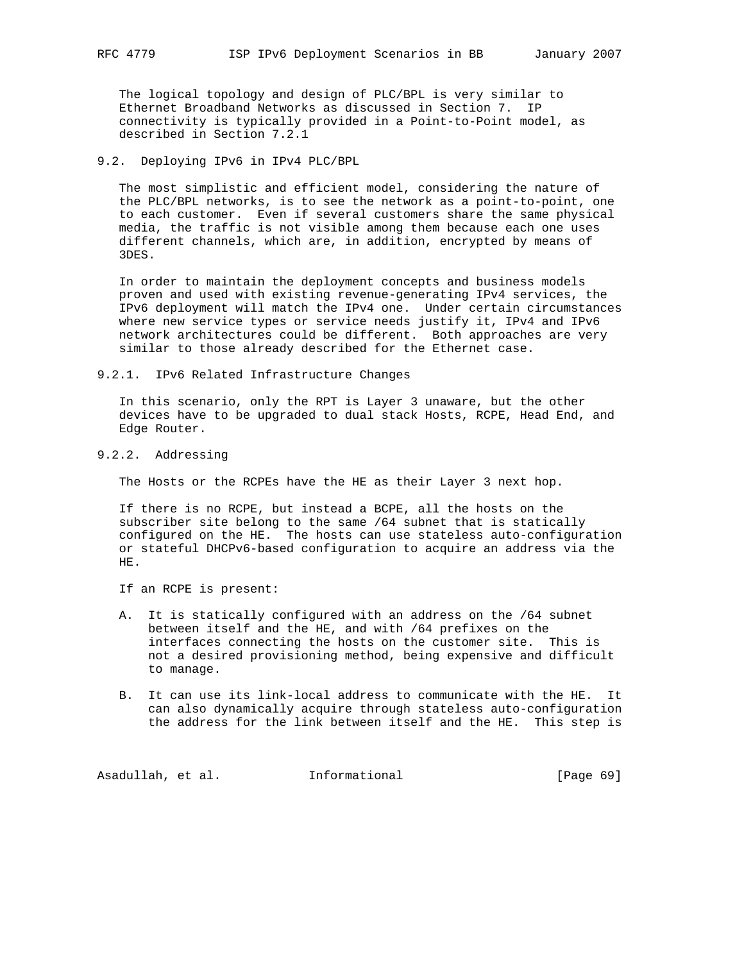The logical topology and design of PLC/BPL is very similar to Ethernet Broadband Networks as discussed in Section 7. IP connectivity is typically provided in a Point-to-Point model, as described in Section 7.2.1

### 9.2. Deploying IPv6 in IPv4 PLC/BPL

 The most simplistic and efficient model, considering the nature of the PLC/BPL networks, is to see the network as a point-to-point, one to each customer. Even if several customers share the same physical media, the traffic is not visible among them because each one uses different channels, which are, in addition, encrypted by means of 3DES.

 In order to maintain the deployment concepts and business models proven and used with existing revenue-generating IPv4 services, the IPv6 deployment will match the IPv4 one. Under certain circumstances where new service types or service needs justify it, IPv4 and IPv6 network architectures could be different. Both approaches are very similar to those already described for the Ethernet case.

9.2.1. IPv6 Related Infrastructure Changes

 In this scenario, only the RPT is Layer 3 unaware, but the other devices have to be upgraded to dual stack Hosts, RCPE, Head End, and Edge Router.

# 9.2.2. Addressing

The Hosts or the RCPEs have the HE as their Layer 3 next hop.

 If there is no RCPE, but instead a BCPE, all the hosts on the subscriber site belong to the same /64 subnet that is statically configured on the HE. The hosts can use stateless auto-configuration or stateful DHCPv6-based configuration to acquire an address via the HE.

If an RCPE is present:

- A. It is statically configured with an address on the /64 subnet between itself and the HE, and with /64 prefixes on the interfaces connecting the hosts on the customer site. This is not a desired provisioning method, being expensive and difficult to manage.
- B. It can use its link-local address to communicate with the HE. It can also dynamically acquire through stateless auto-configuration the address for the link between itself and the HE. This step is

Asadullah, et al. 1nformational 1999 [Page 69]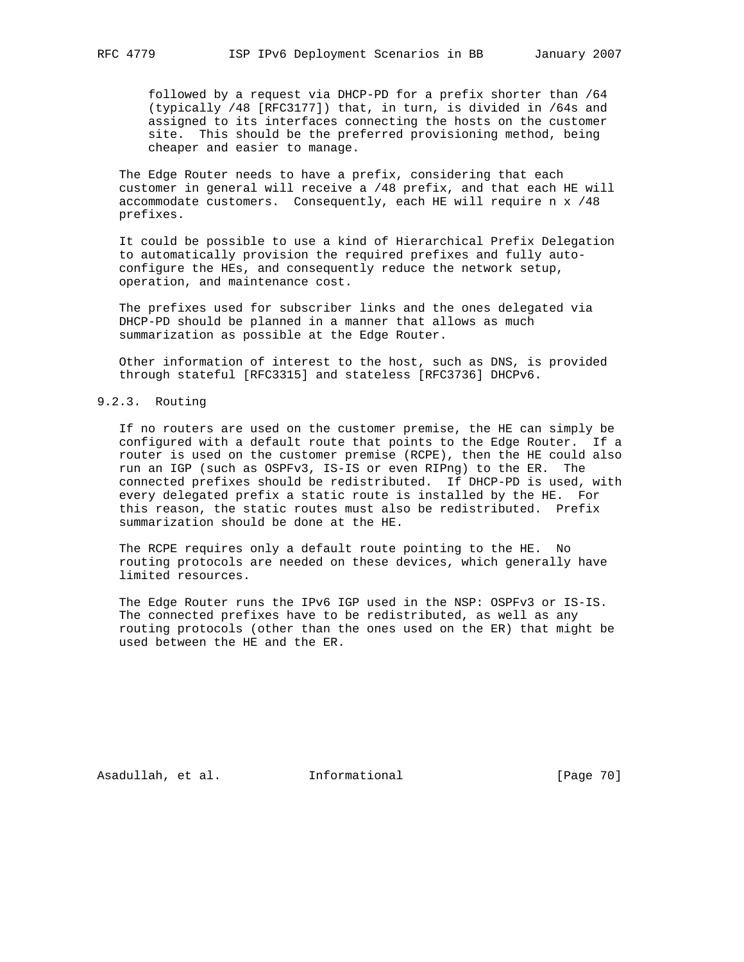followed by a request via DHCP-PD for a prefix shorter than /64 (typically /48 [RFC3177]) that, in turn, is divided in /64s and assigned to its interfaces connecting the hosts on the customer site. This should be the preferred provisioning method, being cheaper and easier to manage.

 The Edge Router needs to have a prefix, considering that each customer in general will receive a /48 prefix, and that each HE will accommodate customers. Consequently, each HE will require n x /48 prefixes.

 It could be possible to use a kind of Hierarchical Prefix Delegation to automatically provision the required prefixes and fully auto configure the HEs, and consequently reduce the network setup, operation, and maintenance cost.

 The prefixes used for subscriber links and the ones delegated via DHCP-PD should be planned in a manner that allows as much summarization as possible at the Edge Router.

 Other information of interest to the host, such as DNS, is provided through stateful [RFC3315] and stateless [RFC3736] DHCPv6.

### 9.2.3. Routing

 If no routers are used on the customer premise, the HE can simply be configured with a default route that points to the Edge Router. If a router is used on the customer premise (RCPE), then the HE could also run an IGP (such as OSPFv3, IS-IS or even RIPng) to the ER. The connected prefixes should be redistributed. If DHCP-PD is used, with every delegated prefix a static route is installed by the HE. For this reason, the static routes must also be redistributed. Prefix summarization should be done at the HE.

 The RCPE requires only a default route pointing to the HE. No routing protocols are needed on these devices, which generally have limited resources.

 The Edge Router runs the IPv6 IGP used in the NSP: OSPFv3 or IS-IS. The connected prefixes have to be redistributed, as well as any routing protocols (other than the ones used on the ER) that might be used between the HE and the ER.

Asadullah, et al. Informational [Page 70]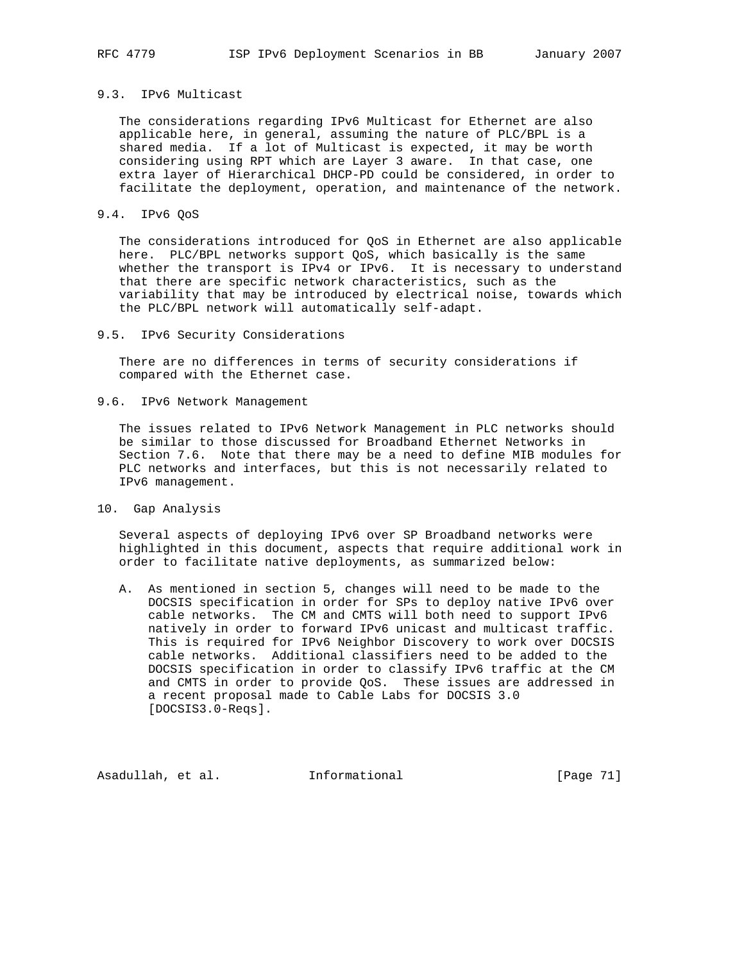### 9.3. IPv6 Multicast

 The considerations regarding IPv6 Multicast for Ethernet are also applicable here, in general, assuming the nature of PLC/BPL is a shared media. If a lot of Multicast is expected, it may be worth considering using RPT which are Layer 3 aware. In that case, one extra layer of Hierarchical DHCP-PD could be considered, in order to facilitate the deployment, operation, and maintenance of the network.

#### 9.4. IPv6 QoS

 The considerations introduced for QoS in Ethernet are also applicable here. PLC/BPL networks support QoS, which basically is the same whether the transport is IPv4 or IPv6. It is necessary to understand that there are specific network characteristics, such as the variability that may be introduced by electrical noise, towards which the PLC/BPL network will automatically self-adapt.

#### 9.5. IPv6 Security Considerations

 There are no differences in terms of security considerations if compared with the Ethernet case.

9.6. IPv6 Network Management

 The issues related to IPv6 Network Management in PLC networks should be similar to those discussed for Broadband Ethernet Networks in Section 7.6. Note that there may be a need to define MIB modules for PLC networks and interfaces, but this is not necessarily related to IPv6 management.

10. Gap Analysis

 Several aspects of deploying IPv6 over SP Broadband networks were highlighted in this document, aspects that require additional work in order to facilitate native deployments, as summarized below:

 A. As mentioned in section 5, changes will need to be made to the DOCSIS specification in order for SPs to deploy native IPv6 over cable networks. The CM and CMTS will both need to support IPv6 natively in order to forward IPv6 unicast and multicast traffic. This is required for IPv6 Neighbor Discovery to work over DOCSIS cable networks. Additional classifiers need to be added to the DOCSIS specification in order to classify IPv6 traffic at the CM and CMTS in order to provide QoS. These issues are addressed in a recent proposal made to Cable Labs for DOCSIS 3.0 [DOCSIS3.0-Reqs].

Asadullah, et al. Informational [Page 71]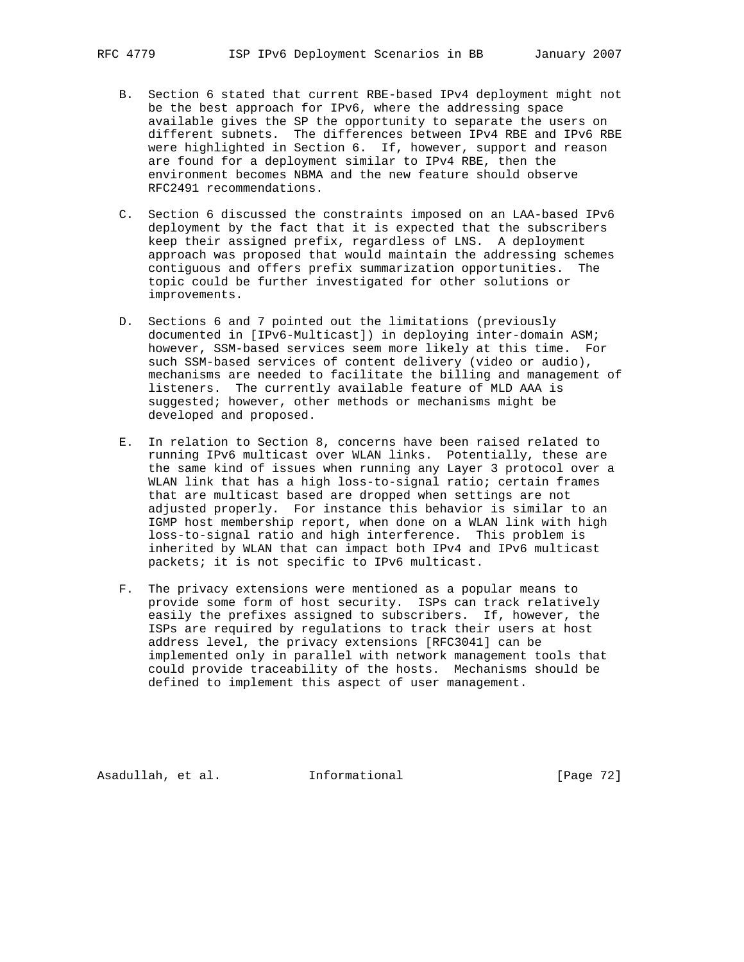- B. Section 6 stated that current RBE-based IPv4 deployment might not be the best approach for IPv6, where the addressing space available gives the SP the opportunity to separate the users on different subnets. The differences between IPv4 RBE and IPv6 RBE were highlighted in Section 6. If, however, support and reason are found for a deployment similar to IPv4 RBE, then the environment becomes NBMA and the new feature should observe RFC2491 recommendations.
- C. Section 6 discussed the constraints imposed on an LAA-based IPv6 deployment by the fact that it is expected that the subscribers keep their assigned prefix, regardless of LNS. A deployment approach was proposed that would maintain the addressing schemes contiguous and offers prefix summarization opportunities. The topic could be further investigated for other solutions or improvements.
- D. Sections 6 and 7 pointed out the limitations (previously documented in [IPv6-Multicast]) in deploying inter-domain ASM; however, SSM-based services seem more likely at this time. For such SSM-based services of content delivery (video or audio), mechanisms are needed to facilitate the billing and management of listeners. The currently available feature of MLD AAA is suggested; however, other methods or mechanisms might be developed and proposed.
- E. In relation to Section 8, concerns have been raised related to running IPv6 multicast over WLAN links. Potentially, these are the same kind of issues when running any Layer 3 protocol over a WLAN link that has a high loss-to-signal ratio; certain frames that are multicast based are dropped when settings are not adjusted properly. For instance this behavior is similar to an IGMP host membership report, when done on a WLAN link with high loss-to-signal ratio and high interference. This problem is inherited by WLAN that can impact both IPv4 and IPv6 multicast packets; it is not specific to IPv6 multicast.
- F. The privacy extensions were mentioned as a popular means to provide some form of host security. ISPs can track relatively easily the prefixes assigned to subscribers. If, however, the ISPs are required by regulations to track their users at host address level, the privacy extensions [RFC3041] can be implemented only in parallel with network management tools that could provide traceability of the hosts. Mechanisms should be defined to implement this aspect of user management.

Asadullah, et al. Informational [Page 72]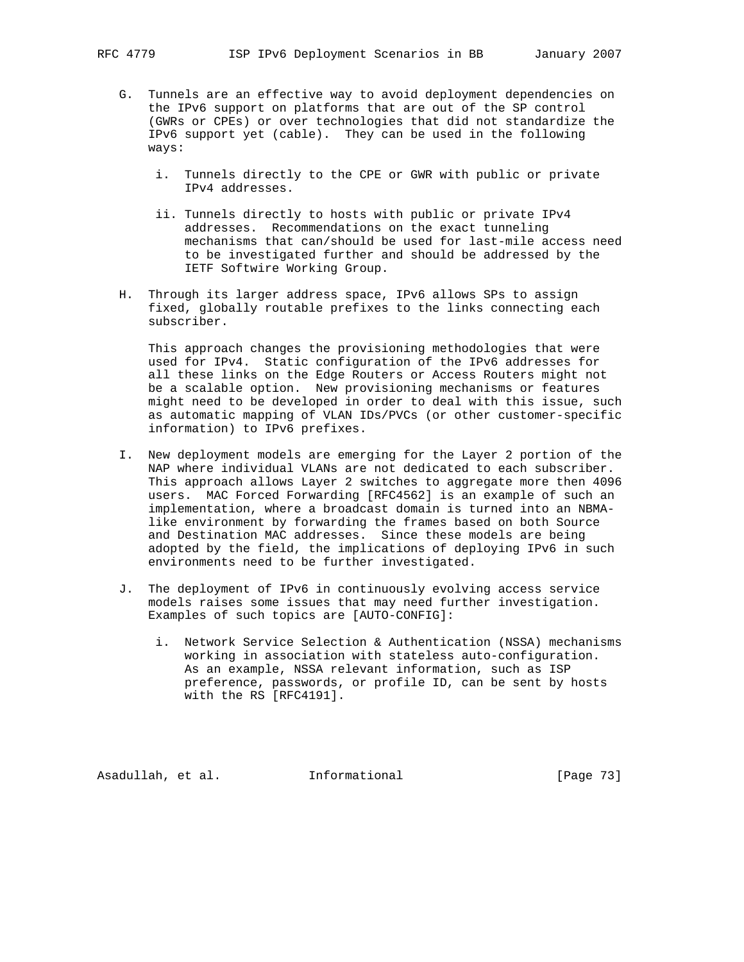- G. Tunnels are an effective way to avoid deployment dependencies on the IPv6 support on platforms that are out of the SP control (GWRs or CPEs) or over technologies that did not standardize the IPv6 support yet (cable). They can be used in the following ways:
	- i. Tunnels directly to the CPE or GWR with public or private IPv4 addresses.
	- ii. Tunnels directly to hosts with public or private IPv4 addresses. Recommendations on the exact tunneling mechanisms that can/should be used for last-mile access need to be investigated further and should be addressed by the IETF Softwire Working Group.
- H. Through its larger address space, IPv6 allows SPs to assign fixed, globally routable prefixes to the links connecting each subscriber.

 This approach changes the provisioning methodologies that were used for IPv4. Static configuration of the IPv6 addresses for all these links on the Edge Routers or Access Routers might not be a scalable option. New provisioning mechanisms or features might need to be developed in order to deal with this issue, such as automatic mapping of VLAN IDs/PVCs (or other customer-specific information) to IPv6 prefixes.

- I. New deployment models are emerging for the Layer 2 portion of the NAP where individual VLANs are not dedicated to each subscriber. This approach allows Layer 2 switches to aggregate more then 4096 users. MAC Forced Forwarding [RFC4562] is an example of such an implementation, where a broadcast domain is turned into an NBMA like environment by forwarding the frames based on both Source and Destination MAC addresses. Since these models are being adopted by the field, the implications of deploying IPv6 in such environments need to be further investigated.
- J. The deployment of IPv6 in continuously evolving access service models raises some issues that may need further investigation. Examples of such topics are [AUTO-CONFIG]:
	- i. Network Service Selection & Authentication (NSSA) mechanisms working in association with stateless auto-configuration. As an example, NSSA relevant information, such as ISP preference, passwords, or profile ID, can be sent by hosts with the RS [RFC4191].

Asadullah, et al. Informational [Page 73]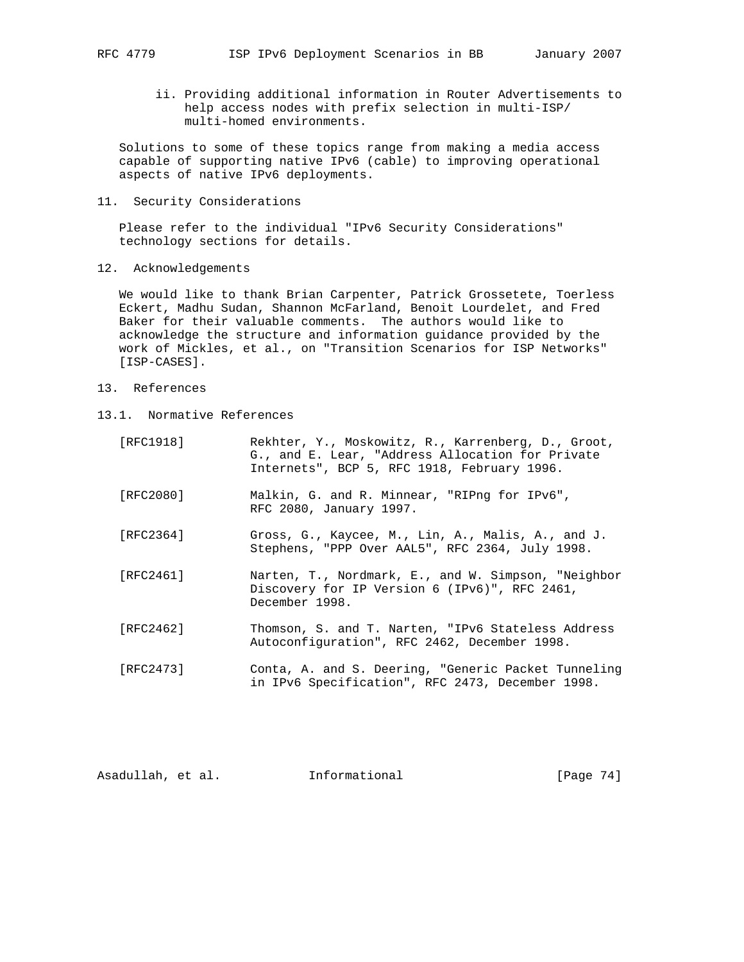ii. Providing additional information in Router Advertisements to help access nodes with prefix selection in multi-ISP/ multi-homed environments.

 Solutions to some of these topics range from making a media access capable of supporting native IPv6 (cable) to improving operational aspects of native IPv6 deployments.

11. Security Considerations

 Please refer to the individual "IPv6 Security Considerations" technology sections for details.

12. Acknowledgements

 We would like to thank Brian Carpenter, Patrick Grossetete, Toerless Eckert, Madhu Sudan, Shannon McFarland, Benoit Lourdelet, and Fred Baker for their valuable comments. The authors would like to acknowledge the structure and information guidance provided by the work of Mickles, et al., on "Transition Scenarios for ISP Networks" [ISP-CASES].

- 13. References
- 13.1. Normative References
	- [RFC1918] Rekhter, Y., Moskowitz, R., Karrenberg, D., Groot, G., and E. Lear, "Address Allocation for Private Internets", BCP 5, RFC 1918, February 1996. [RFC2080] Malkin, G. and R. Minnear, "RIPng for IPv6", RFC 2080, January 1997. [RFC2364] Gross, G., Kaycee, M., Lin, A., Malis, A., and J. Stephens, "PPP Over AAL5", RFC 2364, July 1998. [RFC2461] Narten, T., Nordmark, E., and W. Simpson, "Neighbor Discovery for IP Version 6 (IPv6)", RFC 2461, December 1998. [RFC2462] Thomson, S. and T. Narten, "IPv6 Stateless Address Autoconfiguration", RFC 2462, December 1998. [RFC2473] Conta, A. and S. Deering, "Generic Packet Tunneling in IPv6 Specification", RFC 2473, December 1998.

Asadullah, et al. Informational [Page 74]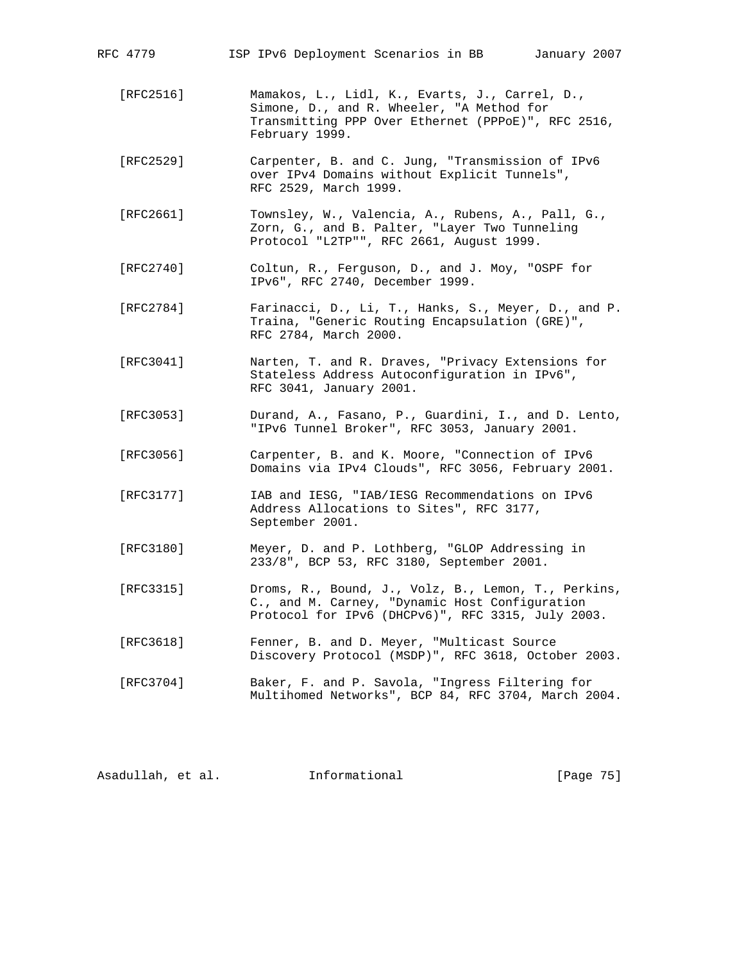| RFC 4779  | ISP IPv6 Deployment Scenarios in BB<br>January 2007                                                                                                                 |
|-----------|---------------------------------------------------------------------------------------------------------------------------------------------------------------------|
| [RFC2516] | Mamakos, L., Lidl, K., Evarts, J., Carrel, D.,<br>Simone, D., and R. Wheeler, "A Method for<br>Transmitting PPP Over Ethernet (PPPoE)", RFC 2516,<br>February 1999. |
| [RFC2529] | Carpenter, B. and C. Jung, "Transmission of IPv6<br>over IPv4 Domains without Explicit Tunnels",<br>RFC 2529, March 1999.                                           |
| [RFC2661] | Townsley, W., Valencia, A., Rubens, A., Pall, G.,<br>Zorn, G., and B. Palter, "Layer Two Tunneling<br>Protocol "L2TP"", RFC 2661, August 1999.                      |
| [RFC2740] | Coltun, R., Ferguson, D., and J. Moy, "OSPF for<br>IPv6", RFC 2740, December 1999.                                                                                  |
| [RFC2784] | Farinacci, D., Li, T., Hanks, S., Meyer, D., and P.<br>Traina, "Generic Routing Encapsulation (GRE)",<br>RFC 2784, March 2000.                                      |
| [RFC3041] | Narten, T. and R. Draves, "Privacy Extensions for<br>Stateless Address Autoconfiguration in IPv6",<br>RFC 3041, January 2001.                                       |
| [RFC3053] | Durand, A., Fasano, P., Guardini, I., and D. Lento,<br>"IPv6 Tunnel Broker", RFC 3053, January 2001.                                                                |
| [RFC3056] | Carpenter, B. and K. Moore, "Connection of IPv6<br>Domains via IPv4 Clouds", RFC 3056, February 2001.                                                               |
| [RFC3177] | IAB and IESG, "IAB/IESG Recommendations on IPv6<br>Address Allocations to Sites", RFC 3177,<br>September 2001.                                                      |
| [RFC3180] | Meyer, D. and P. Lothberg, "GLOP Addressing in<br>233/8", BCP 53, RFC 3180, September 2001.                                                                         |
| [RFC3315] | Droms, R., Bound, J., Volz, B., Lemon, T., Perkins,<br>C., and M. Carney, "Dynamic Host Configuration<br>Protocol for IPv6 (DHCPv6)", RFC 3315, July 2003.          |
| [RFC3618] | Fenner, B. and D. Meyer, "Multicast Source<br>Discovery Protocol (MSDP)", RFC 3618, October 2003.                                                                   |
| [RFC3704] | Baker, F. and P. Savola, "Ingress Filtering for<br>Multihomed Networks", BCP 84, RFC 3704, March 2004.                                                              |

| [Page 75]<br>Informational<br>Asadullah, et al. |  |  |
|-------------------------------------------------|--|--|
|-------------------------------------------------|--|--|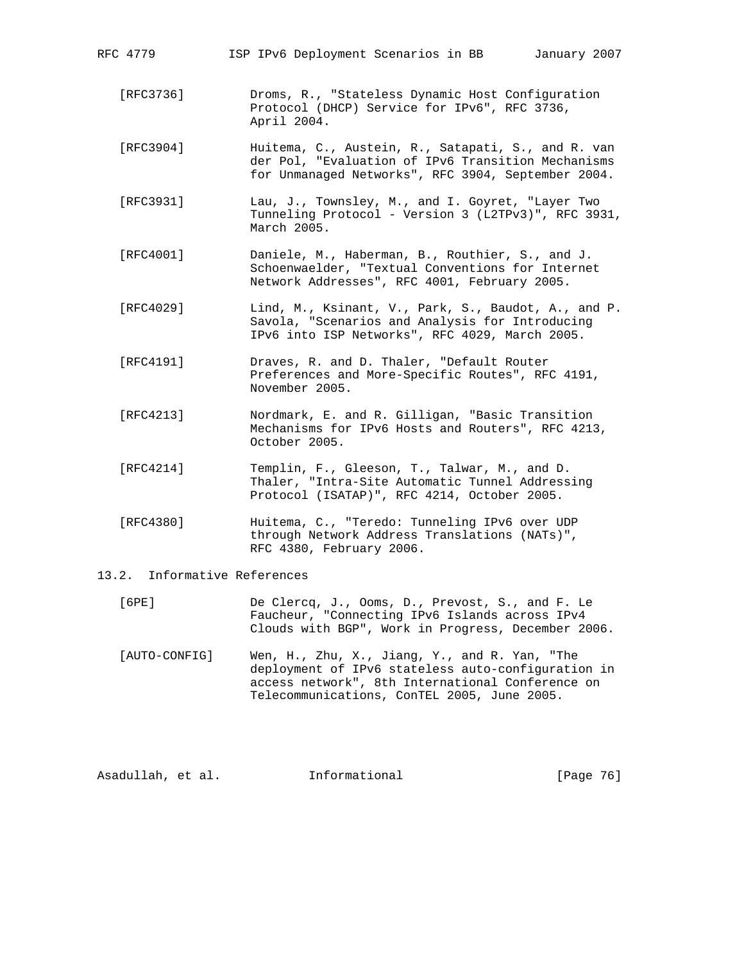| RFC 4779                     | ISP IPv6 Deployment Scenarios in BB<br>January 2007                                                                                                            |
|------------------------------|----------------------------------------------------------------------------------------------------------------------------------------------------------------|
| [RFC3736]                    | Droms, R., "Stateless Dynamic Host Configuration<br>Protocol (DHCP) Service for IPv6", RFC 3736,<br>April 2004.                                                |
| [RFC3904]                    | Huitema, C., Austein, R., Satapati, S., and R. van<br>der Pol, "Evaluation of IPv6 Transition Mechanisms<br>for Unmanaged Networks", RFC 3904, September 2004. |
| [RFC3931]                    | Lau, J., Townsley, M., and I. Goyret, "Layer Two<br>Tunneling Protocol - Version 3 (L2TPv3)", RFC 3931,<br>March 2005.                                         |
| [RFC4001]                    | Daniele, M., Haberman, B., Routhier, S., and J.<br>Schoenwaelder, "Textual Conventions for Internet<br>Network Addresses", RFC 4001, February 2005.            |
| [RFC4029]                    | Lind, M., Ksinant, V., Park, S., Baudot, A., and P.<br>Savola, "Scenarios and Analysis for Introducing<br>IPv6 into ISP Networks", RFC 4029, March 2005.       |
| [RFC4191]                    | Draves, R. and D. Thaler, "Default Router<br>Preferences and More-Specific Routes", RFC 4191,<br>November 2005.                                                |
| [RFC4213]                    | Nordmark, E. and R. Gilligan, "Basic Transition<br>Mechanisms for IPv6 Hosts and Routers", RFC 4213,<br>October 2005.                                          |
| [RFC4214]                    | Templin, F., Gleeson, T., Talwar, M., and D.<br>Thaler, "Intra-Site Automatic Tunnel Addressing<br>Protocol (ISATAP)", RFC 4214, October 2005.                 |
| [RFC4380]                    | Huitema, C., "Teredo: Tunneling IPv6 over UDP<br>through Network Address Translations (NATs)",<br>RFC 4380, February 2006.                                     |
| 13.2. Informative References |                                                                                                                                                                |
| [6PE]                        | De Clercq, J., Ooms, D., Prevost, S., and F. Le<br>Faucheur, "Connecting IPv6 Islands across IPv4                                                              |

 [AUTO-CONFIG] Wen, H., Zhu, X., Jiang, Y., and R. Yan, "The deployment of IPv6 stateless auto-configuration in access network", 8th International Conference on

Telecommunications, ConTEL 2005, June 2005.

Clouds with BGP", Work in Progress, December 2006.

Asadullah, et al. 1nformational 1999 [Page 76]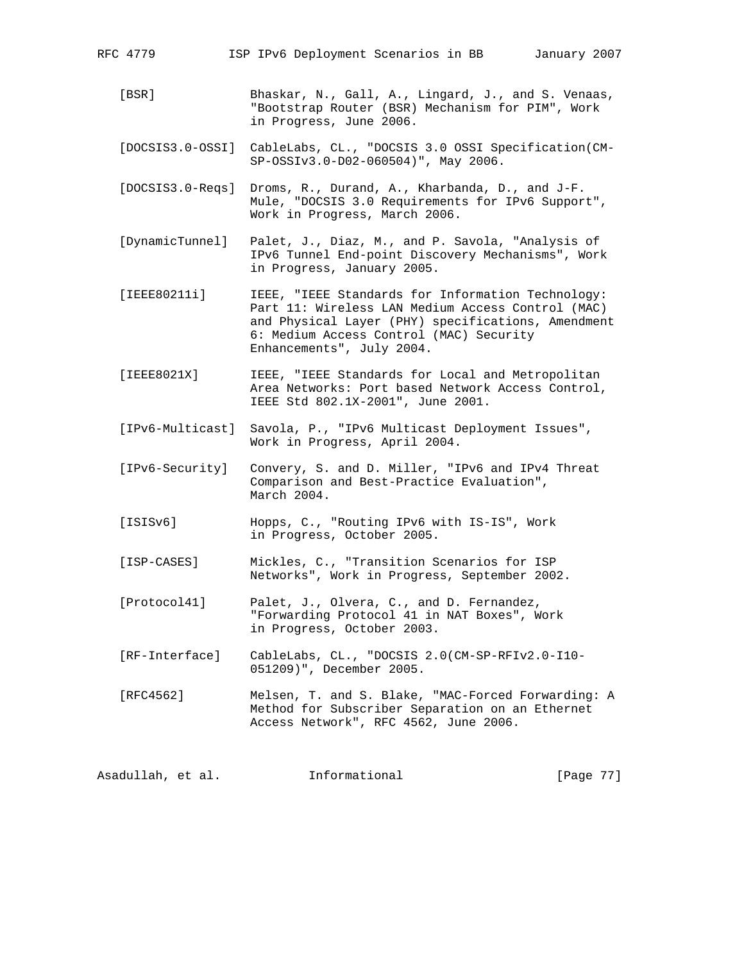RFC 4779 ISP IPv6 Deployment Scenarios in BB January 2007

- [BSR] Bhaskar, N., Gall, A., Lingard, J., and S. Venaas, "Bootstrap Router (BSR) Mechanism for PIM", Work in Progress, June 2006.
- [DOCSIS3.0-OSSI] CableLabs, CL., "DOCSIS 3.0 OSSI Specification(CM- SP-OSSIv3.0-D02-060504)", May 2006.
- [DOCSIS3.0-Reqs] Droms, R., Durand, A., Kharbanda, D., and J-F. Mule, "DOCSIS 3.0 Requirements for IPv6 Support", Work in Progress, March 2006.
- [DynamicTunnel] Palet, J., Diaz, M., and P. Savola, "Analysis of IPv6 Tunnel End-point Discovery Mechanisms", Work in Progress, January 2005.
- [IEEE80211i] IEEE, "IEEE Standards for Information Technology: Part 11: Wireless LAN Medium Access Control (MAC) and Physical Layer (PHY) specifications, Amendment 6: Medium Access Control (MAC) Security Enhancements", July 2004.
- [IEEE8021X] IEEE, "IEEE Standards for Local and Metropolitan Area Networks: Port based Network Access Control, IEEE Std 802.1X-2001", June 2001.
- [IPv6-Multicast] Savola, P., "IPv6 Multicast Deployment Issues", Work in Progress, April 2004.
- [IPv6-Security] Convery, S. and D. Miller, "IPv6 and IPv4 Threat Comparison and Best-Practice Evaluation", March 2004.
- [ISISv6] Hopps, C., "Routing IPv6 with IS-IS", Work in Progress, October 2005.
- [ISP-CASES] Mickles, C., "Transition Scenarios for ISP Networks", Work in Progress, September 2002.
- [Protocol41] Palet, J., Olvera, C., and D. Fernandez, "Forwarding Protocol 41 in NAT Boxes", Work in Progress, October 2003.
- [RF-Interface] CableLabs, CL., "DOCSIS 2.0(CM-SP-RFIv2.0-I10- 051209)", December 2005.
- [RFC4562] Melsen, T. and S. Blake, "MAC-Forced Forwarding: A Method for Subscriber Separation on an Ethernet Access Network", RFC 4562, June 2006.

Asadullah, et al. Informational [Page 77]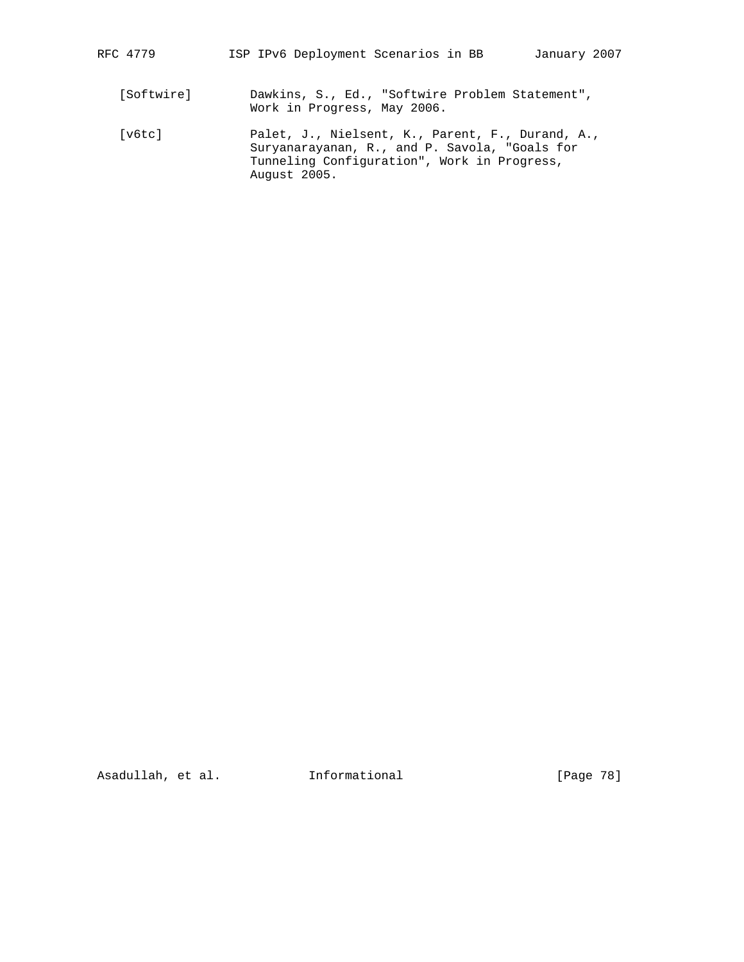[v6tc] Palet, J., Nielsent, K., Parent, F., Durand, A., Suryanarayanan, R., and P. Savola, "Goals for Tunneling Configuration", Work in Progress, August 2005.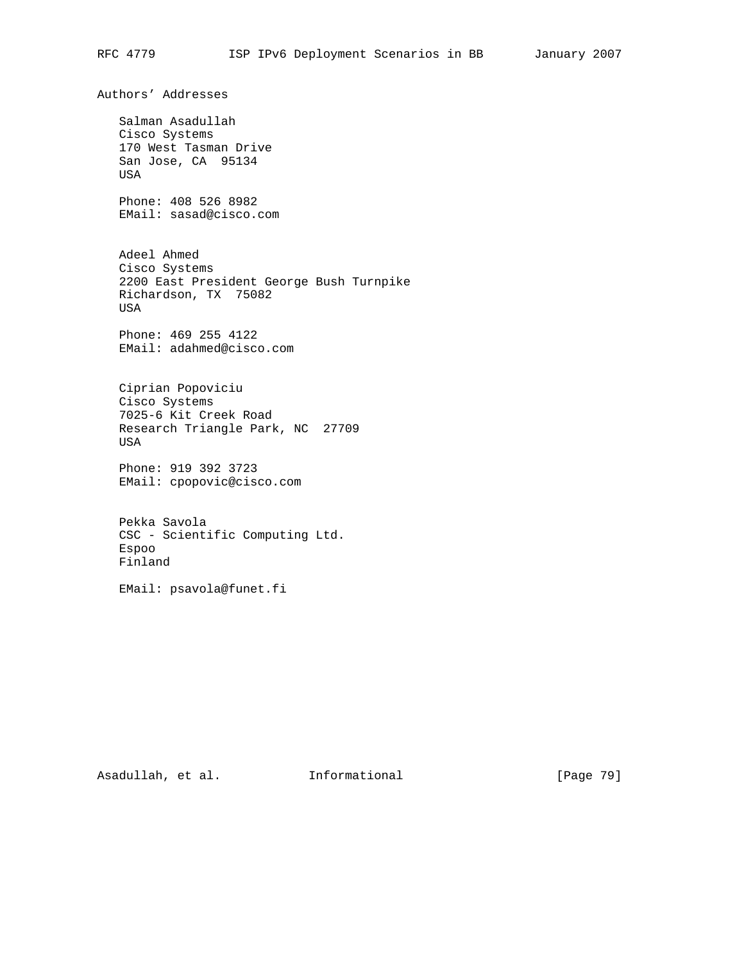Authors' Addresses Salman Asadullah Cisco Systems 170 West Tasman Drive San Jose, CA 95134 USA Phone: 408 526 8982 EMail: sasad@cisco.com Adeel Ahmed Cisco Systems 2200 East President George Bush Turnpike Richardson, TX 75082 USA Phone: 469 255 4122 EMail: adahmed@cisco.com Ciprian Popoviciu Cisco Systems 7025-6 Kit Creek Road Research Triangle Park, NC 27709 USA Phone: 919 392 3723 EMail: cpopovic@cisco.com Pekka Savola CSC - Scientific Computing Ltd. Espoo Finland EMail: psavola@funet.fi

Asadullah, et al. 1nformational [Page 79]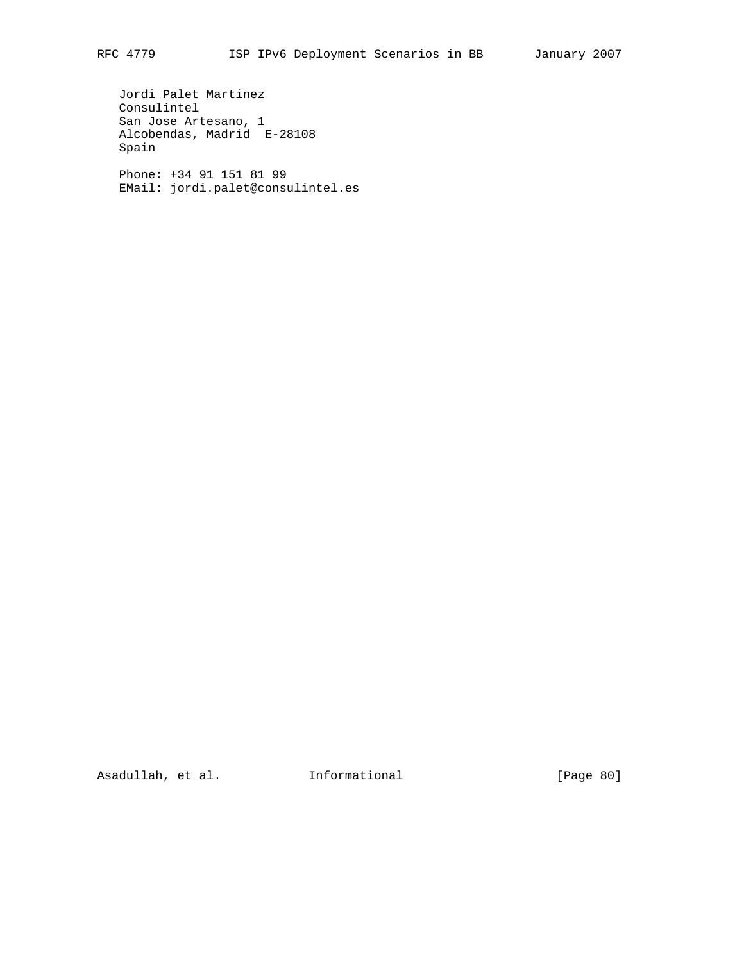Jordi Palet Martinez Consulintel San Jose Artesano, 1 Alcobendas, Madrid E-28108 Spain Phone: +34 91 151 81 99

EMail: jordi.palet@consulintel.es

Asadullah, et al. 1nformational [Page 80]